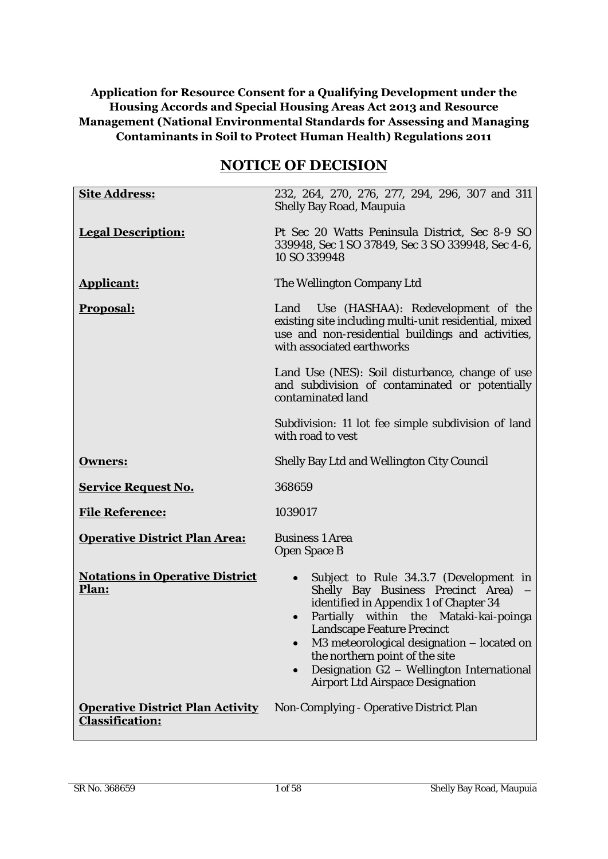# **Application for Resource Consent for a Qualifying Development under the Housing Accords and Special Housing Areas Act 2013 and Resource Management (National Environmental Standards for Assessing and Managing Contaminants in Soil to Protect Human Health) Regulations 2011**

# **NOTICE OF DECISION**

| <b>Site Address:</b>                                              | 232, 264, 270, 276, 277, 294, 296, 307 and 311                                                                                                                                                                                                                                                                                                                               |  |
|-------------------------------------------------------------------|------------------------------------------------------------------------------------------------------------------------------------------------------------------------------------------------------------------------------------------------------------------------------------------------------------------------------------------------------------------------------|--|
|                                                                   | Shelly Bay Road, Maupuia                                                                                                                                                                                                                                                                                                                                                     |  |
| <b>Legal Description:</b>                                         | Pt Sec 20 Watts Peninsula District, Sec 8-9 SO<br>339948, Sec 1 SO 37849, Sec 3 SO 339948, Sec 4-6,<br>10 SO 339948                                                                                                                                                                                                                                                          |  |
| <b>Applicant:</b>                                                 | The Wellington Company Ltd                                                                                                                                                                                                                                                                                                                                                   |  |
| <b>Proposal:</b>                                                  | Land Use (HASHAA): Redevelopment of the<br>existing site including multi-unit residential, mixed<br>use and non-residential buildings and activities,<br>with associated earthworks                                                                                                                                                                                          |  |
|                                                                   | Land Use (NES): Soil disturbance, change of use<br>and subdivision of contaminated or potentially<br>contaminated land                                                                                                                                                                                                                                                       |  |
|                                                                   | Subdivision: 11 lot fee simple subdivision of land<br>with road to yest                                                                                                                                                                                                                                                                                                      |  |
| <b>Owners:</b>                                                    | Shelly Bay Ltd and Wellington City Council                                                                                                                                                                                                                                                                                                                                   |  |
| <b>Service Request No.</b>                                        | 368659                                                                                                                                                                                                                                                                                                                                                                       |  |
| <b>File Reference:</b>                                            | 1039017                                                                                                                                                                                                                                                                                                                                                                      |  |
| <b>Operative District Plan Area:</b>                              | <b>Business 1 Area</b><br>Open Space B                                                                                                                                                                                                                                                                                                                                       |  |
| <b>Notations in Operative District</b><br>Plan:                   | Subject to Rule 34.3.7 (Development in<br>$\bullet$<br>Shelly Bay Business Precinct Area)<br>identified in Appendix 1 of Chapter 34<br>Partially within the Mataki-kai-poinga<br>Landscape Feature Precinct<br>M3 meteorological designation - located on<br>the northern point of the site<br>Designation G2 - Wellington International<br>Airport Ltd Airspace Designation |  |
| <b>Operative District Plan Activity</b><br><b>Classification:</b> | Non-Complying - Operative District Plan                                                                                                                                                                                                                                                                                                                                      |  |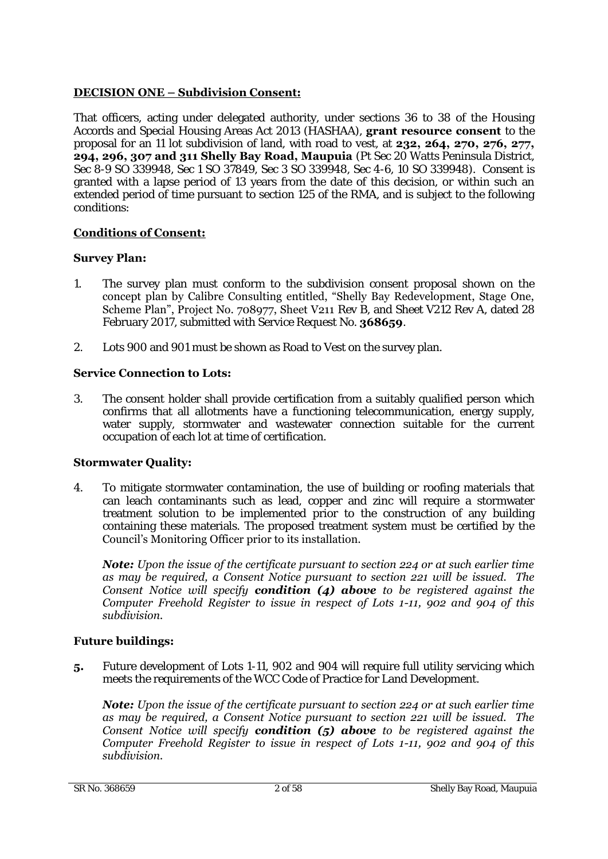# **DECISION ONE – Subdivision Consent:**

That officers, acting under delegated authority, under sections 36 to 38 of the Housing Accords and Special Housing Areas Act 2013 (HASHAA), **grant resource consent** to the proposal for an 11 lot subdivision of land, with road to vest, at **232, 264, 270, 276, 277, 294, 296, 307 and 311 Shelly Bay Road, Maupuia** (Pt Sec 20 Watts Peninsula District, Sec 8-9 SO 339948, Sec 1 SO 37849, Sec 3 SO 339948, Sec 4-6, 10 SO 339948). Consent is granted with a lapse period of 13 years from the date of this decision, or within such an extended period of time pursuant to section 125 of the RMA, and is subject to the following conditions:

# **Conditions of Consent:**

# **Survey Plan:**

- 1. The survey plan must conform to the subdivision consent proposal shown on the concept plan by Calibre Consulting entitled, "Shelly Bay Redevelopment, Stage One, Scheme Plan", Project No. 708977, Sheet V211 Rev B, and Sheet V212 Rev A, dated 28 February 2017, submitted with Service Request No. **368659**.
- 2. Lots 900 and 901 must be shown as Road to Vest on the survey plan.

# **Service Connection to Lots:**

3. The consent holder shall provide certification from a suitably qualified person which confirms that all allotments have a functioning telecommunication, energy supply, water supply, stormwater and wastewater connection suitable for the current occupation of each lot at time of certification.

# **Stormwater Quality:**

4. To mitigate stormwater contamination, the use of building or roofing materials that can leach contaminants such as lead, copper and zinc will require a stormwater treatment solution to be implemented prior to the construction of any building containing these materials. The proposed treatment system must be certified by the Council's Monitoring Officer prior to its installation.

*Note: Upon the issue of the certificate pursuant to section 224 or at such earlier time as may be required, a Consent Notice pursuant to section 221 will be issued. The Consent Notice will specify condition (4) above to be registered against the Computer Freehold Register to issue in respect of Lots 1-11, 902 and 904 of this subdivision.* 

# **Future buildings:**

**5.** Future development of Lots 1-11, 902 and 904 will require full utility servicing which meets the requirements of the WCC Code of Practice for Land Development.

*Note: Upon the issue of the certificate pursuant to section 224 or at such earlier time as may be required, a Consent Notice pursuant to section 221 will be issued. The Consent Notice will specify condition (5) above to be registered against the Computer Freehold Register to issue in respect of Lots 1-11, 902 and 904 of this subdivision.*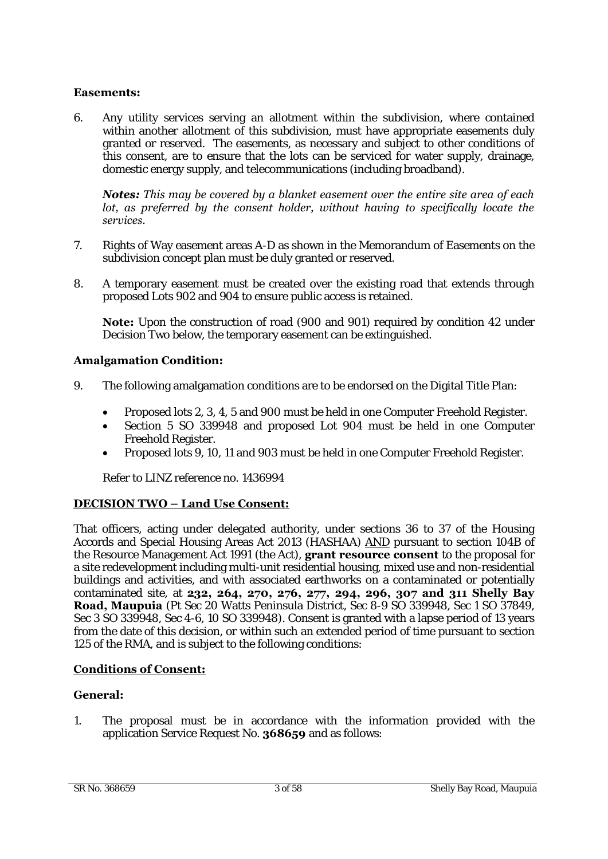# **Easements:**

6. Any utility services serving an allotment within the subdivision, where contained within another allotment of this subdivision, must have appropriate easements duly granted or reserved. The easements, as necessary and subject to other conditions of this consent, are to ensure that the lots can be serviced for water supply, drainage, domestic energy supply, and telecommunications (including broadband).

#### *Notes: This may be covered by a blanket easement over the entire site area of each lot, as preferred by the consent holder, without having to specifically locate the services.*

- 7. Rights of Way easement areas A-D as shown in the Memorandum of Easements on the subdivision concept plan must be duly granted or reserved.
- 8. A temporary easement must be created over the existing road that extends through proposed Lots 902 and 904 to ensure public access is retained.

**Note:** Upon the construction of road (900 and 901) required by condition 42 under Decision Two below, the temporary easement can be extinguished.

# **Amalgamation Condition:**

- 9. The following amalgamation conditions are to be endorsed on the Digital Title Plan:
	- Proposed lots 2, 3, 4, 5 and 900 must be held in one Computer Freehold Register.
	- Section 5 SO 339948 and proposed Lot 904 must be held in one Computer Freehold Register.
	- Proposed lots 9, 10, 11 and 903 must be held in one Computer Freehold Register.

Refer to LINZ reference no. 1436994

# **DECISION TWO – Land Use Consent:**

That officers, acting under delegated authority, under sections 36 to 37 of the Housing Accords and Special Housing Areas Act 2013 (HASHAA) AND pursuant to section 104B of the Resource Management Act 1991 (the Act), **grant resource consent** to the proposal for a site redevelopment including multi-unit residential housing, mixed use and non-residential buildings and activities, and with associated earthworks on a contaminated or potentially contaminated site, at **232, 264, 270, 276, 277, 294, 296, 307 and 311 Shelly Bay Road, Maupuia** (Pt Sec 20 Watts Peninsula District, Sec 8-9 SO 339948, Sec 1 SO 37849, Sec 3 SO 339948, Sec 4-6, 10 SO 339948). Consent is granted with a lapse period of 13 years from the date of this decision, or within such an extended period of time pursuant to section 125 of the RMA, and is subject to the following conditions:

# **Conditions of Consent:**

# **General:**

1. The proposal must be in accordance with the information provided with the application Service Request No. **368659** and as follows: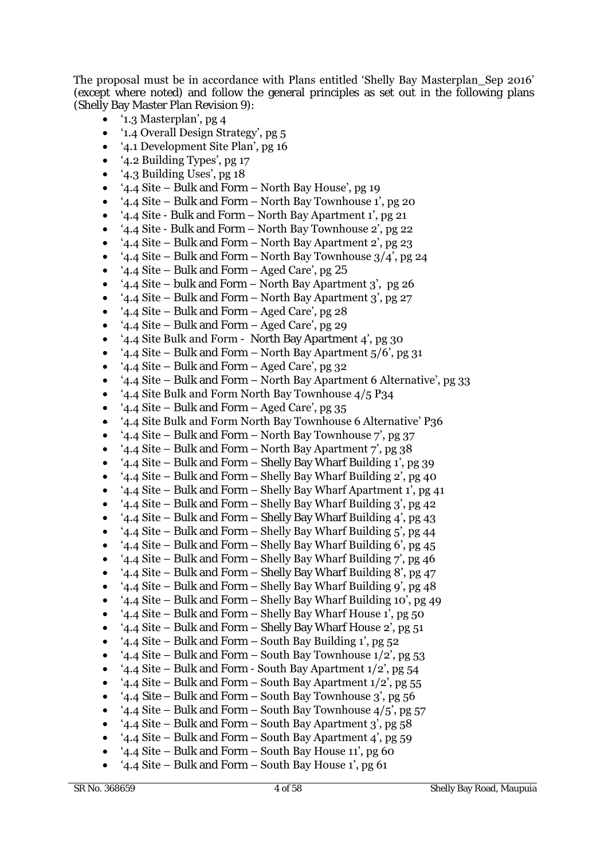The proposal must be in accordance with Plans entitled 'Shelly Bay Masterplan\_Sep 2016' (except where noted) and follow the general principles as set out in the following plans (Shelly Bay Master Plan Revision 9):

- '1.3 Masterplan', pg 4
- '1.4 Overall Design Strategy', pg 5
- '4.1 Development Site Plan', pg 16
- '4.2 Building Types', pg 17
- '4.3 Building Uses', pg 18
- '4.4 Site Bulk and Form North Bay House', pg 19
- '4.4 Site Bulk and Form North Bay Townhouse 1', pg 20
- '4.4 Site Bulk and Form North Bay Apartment 1', pg 21
- '4.4 Site Bulk and Form North Bay Townhouse 2', pg 22
- '4.4 Site Bulk and Form North Bay Apartment 2', pg 23
- '4.4 Site Bulk and Form North Bay Townhouse  $3/4$ ', pg 24
- '4.4 Site Bulk and Form Aged Care', pg 25
- '4.4 Site bulk and Form North Bay Apartment 3', pg 26
- '4.4 Site Bulk and Form North Bay Apartment 3', pg 27
- '4.4 Site Bulk and Form Aged Care', pg 28
- '4.4 Site Bulk and Form Aged Care', pg 29
- '4.4 Site Bulk and Form North Bay Apartment 4', pg 30
- '4.4 Site Bulk and Form North Bay Apartment 5/6', pg 31
- '4.4 Site Bulk and Form Aged Care', pg 32
- '4.4 Site Bulk and Form North Bay Apartment 6 Alternative', pg 33
- '4.4 Site Bulk and Form North Bay Townhouse 4/5 P34
- '4.4 Site Bulk and Form Aged Care', pg 35
- '4.4 Site Bulk and Form North Bay Townhouse 6 Alternative' P36
- '4.4 Site Bulk and Form North Bay Townhouse 7', pg 37
- '4.4 Site Bulk and Form North Bay Apartment 7', pg  $38$
- '4.4 Site Bulk and Form Shelly Bay Wharf Building 1', pg 39
- '4.4 Site Bulk and Form Shelly Bay Wharf Building 2', pg 40
- '4.4 Site Bulk and Form Shelly Bay Wharf Apartment 1', pg 41
- '4.4 Site Bulk and Form Shelly Bay Wharf Building 3', pg 42
- '4.4 Site Bulk and Form Shelly Bay Wharf Building 4', pg 43
- '4.4 Site Bulk and Form Shelly Bay Wharf Building 5', pg 44
- '4.4 Site Bulk and Form Shelly Bay Wharf Building 6', pg 45
- '4.4 Site Bulk and Form Shelly Bay Wharf Building 7', pg 46
- '4.4 Site Bulk and Form Shelly Bay Wharf Building 8', pg 47
- '4.4 Site Bulk and Form Shelly Bay Wharf Building 9', pg 48
- '4.4 Site Bulk and Form Shelly Bay Wharf Building 10', pg 49
- '4.4 Site Bulk and Form Shelly Bay Wharf House 1', pg 50
- '4.4 Site Bulk and Form Shelly Bay Wharf House 2', pg 51
- '4.4 Site Bulk and Form South Bay Building 1', pg 52
- '4.4 Site Bulk and Form South Bay Townhouse  $1/2$ ', pg 53
- '4.4 Site Bulk and Form South Bay Apartment 1/2', pg 54
- '4.4 Site Bulk and Form South Bay Apartment  $1/2$ ', pg 55
- '4.4 Site Bulk and Form South Bay Townhouse 3', pg 56
- '4.4 Site Bulk and Form South Bay Townhouse  $4/5$ ', pg 57
- '4.4 Site Bulk and Form South Bay Apartment 3', pg 58
- '4.4 Site Bulk and Form South Bay Apartment 4', pg 59
- '4.4 Site Bulk and Form South Bay House 11', pg 60
- '4.4 Site Bulk and Form South Bay House 1', pg 61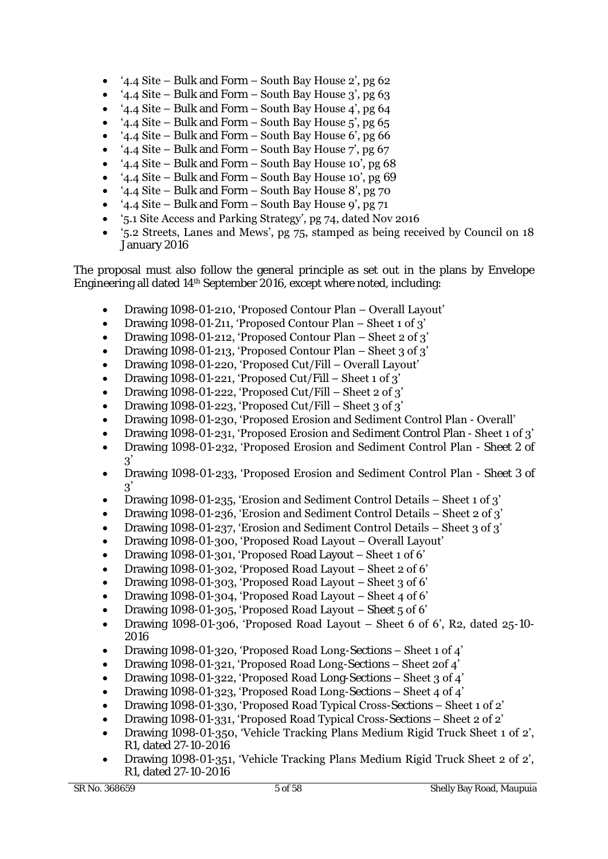- '4.4 Site Bulk and Form South Bay House 2', pg 62
- '4.4 Site Bulk and Form South Bay House 3', pg 63
- '4.4 Site Bulk and Form South Bay House  $4'$ , pg 64
- '4.4 Site Bulk and Form South Bay House  $5'$ , pg 65
- '4.4 Site Bulk and Form South Bay House 6', pg 66
- '4.4 Site Bulk and Form South Bay House 7', pg  $67$
- '4.4 Site Bulk and Form South Bay House 10', pg 68
- '4.4 Site Bulk and Form South Bay House 10', pg 69
- '4.4 Site Bulk and Form South Bay House 8', pg 70
- '4.4 Site Bulk and Form South Bay House  $9'$ , pg  $71$
- '5.1 Site Access and Parking Strategy', pg 74, dated Nov 2016
- '5.2 Streets, Lanes and Mews', pg 75, stamped as being received by Council on 18 January 2016

The proposal must also follow the general principle as set out in the plans by Envelope Engineering all dated 14<sup>th</sup> September 2016, except where noted, including:

- Drawing 1098-01-210, 'Proposed Contour Plan Overall Layout'
- Drawing 1098-01-211, 'Proposed Contour Plan Sheet 1 of 3'
- Drawing 1098-01-212, 'Proposed Contour Plan Sheet 2 of 3'
- Drawing 1098-01-213, 'Proposed Contour Plan Sheet  $3$  of  $3'$
- Drawing 1098-01-220, 'Proposed Cut/Fill Overall Layout'
- Drawing 1098-01-221, 'Proposed Cut/Fill Sheet 1 of 3'
- Drawing 1098-01-222, 'Proposed Cut/Fill Sheet 2 of 3'
- Drawing 1098-01-223, 'Proposed Cut/Fill Sheet 3 of 3'
- Drawing 1098-01-230, 'Proposed Erosion and Sediment Control Plan Overall'
- Drawing 1098-01-231, 'Proposed Erosion and Sediment Control Plan Sheet 1 of 3'
- Drawing 1098-01-232, 'Proposed Erosion and Sediment Control Plan Sheet 2 of  $\mathcal{R}'$
- Drawing 1098-01-233, 'Proposed Erosion and Sediment Control Plan Sheet 3 of  $3'$
- Drawing 1098-01-235, 'Erosion and Sediment Control Details Sheet 1 of 3'
- Drawing 1098-01-236, 'Erosion and Sediment Control Details Sheet 2 of 3'
- Drawing 1098-01-237, 'Erosion and Sediment Control Details Sheet 3 of 3'
- Drawing 1098-01-300, 'Proposed Road Layout Overall Layout'
- Drawing 1098-01-301, 'Proposed Road Layout Sheet 1 of 6'
- Drawing 1098-01-302, 'Proposed Road Layout Sheet 2 of 6'
- Drawing 1098-01-303, 'Proposed Road Layout Sheet 3 of 6'
- Drawing 1098-01-304, 'Proposed Road Layout Sheet 4 of 6'
- Drawing 1098-01-305, 'Proposed Road Layout Sheet 5 of 6'
- Drawing 1098-01-306, 'Proposed Road Layout Sheet 6 of 6', R2, dated 25-10- 2016
- Drawing 1098-01-320, 'Proposed Road Long-Sections Sheet 1 of 4'
- Drawing 1098-01-321, 'Proposed Road Long-Sections Sheet 2of 4'
- Drawing 1098-01-322, 'Proposed Road Long-Sections Sheet 3 of 4'
- Drawing 1098-01-323, 'Proposed Road Long-Sections Sheet 4 of 4'
- Drawing 1098-01-330, 'Proposed Road Typical Cross-Sections Sheet 1 of 2'
- Drawing 1098-01-331, 'Proposed Road Typical Cross-Sections Sheet 2 of 2'
- Drawing 1098-01-350, 'Vehicle Tracking Plans Medium Rigid Truck Sheet 1 of 2', R1, dated 27-10-2016
- Drawing 1098-01-351, 'Vehicle Tracking Plans Medium Rigid Truck Sheet 2 of 2', R1, dated 27-10-2016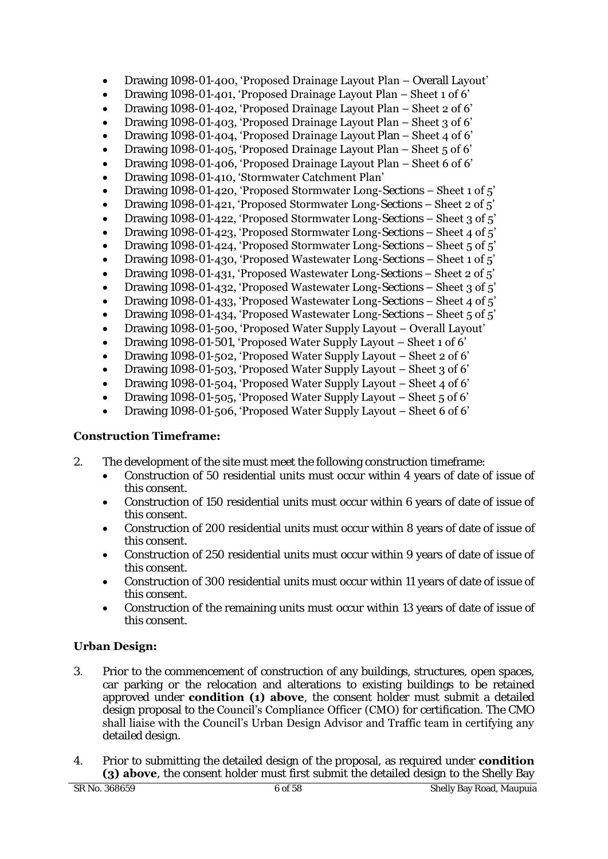- Drawing 1098-01-400, 'Proposed Drainage Layout Plan Overall Layout'
- Drawing 1098-01-401, 'Proposed Drainage Layout Plan Sheet 1 of 6'
- Drawing 1098-01-402, 'Proposed Drainage Layout Plan Sheet 2 of 6'
- Drawing 1098-01-403, 'Proposed Drainage Layout Plan Sheet 3 of 6'
- Drawing 1098-01-404, 'Proposed Drainage Layout Plan Sheet 4 of 6'
- Drawing 1098-01-405, 'Proposed Drainage Layout Plan Sheet 5 of 6'
- Drawing 1098-01-406, 'Proposed Drainage Layout Plan Sheet 6 of 6'
- Drawing 1098-01-410, 'Stormwater Catchment Plan'
- Drawing 1098-01-420, 'Proposed Stormwater Long-Sections Sheet 1 of 5'
- Drawing 1098-01-421, 'Proposed Stormwater Long-Sections Sheet 2 of 5'
- Drawing 1098-01-422, 'Proposed Stormwater Long-Sections Sheet 3 of 5'
- Drawing 1098-01-423, 'Proposed Stormwater Long-Sections Sheet 4 of 5'
- Drawing 1098-01-424, 'Proposed Stormwater Long-Sections Sheet 5 of 5'
- Drawing 1098-01-430, 'Proposed Wastewater Long-Sections  $-$  Sheet 1 of  $5'$
- Drawing 1098-01-431, 'Proposed Wastewater Long-Sections Sheet 2 of 5'
- Drawing 1098-01-432, 'Proposed Wastewater Long-Sections Sheet 3 of 5'
- Drawing 1098-01-433, 'Proposed Wastewater Long-Sections Sheet 4 of 5'
- Drawing 1098-01-434, 'Proposed Wastewater Long-Sections Sheet 5 of 5'
- Drawing 1098-01-500, 'Proposed Water Supply Layout Overall Layout'
- Drawing 1098-01-501, 'Proposed Water Supply Layout Sheet 1 of 6'
- Drawing 1098-01-502, 'Proposed Water Supply Layout Sheet 2 of 6'
- Drawing 1098-01-503, 'Proposed Water Supply Layout Sheet 3 of 6'
- Drawing 1098-01-504, 'Proposed Water Supply Layout Sheet 4 of 6'
- Drawing 1098-01-505, 'Proposed Water Supply Layout Sheet 5 of 6'
- Drawing 1098-01-506, 'Proposed Water Supply Layout Sheet 6 of 6'

# **Construction Timeframe:**

- 2. The development of the site must meet the following construction timeframe:
	- Construction of 50 residential units must occur within 4 years of date of issue of this consent.
	- Construction of 150 residential units must occur within 6 years of date of issue of this consent.
	- Construction of 200 residential units must occur within 8 years of date of issue of this consent.
	- Construction of 250 residential units must occur within 9 years of date of issue of this consent.
	- Construction of 300 residential units must occur within 11 years of date of issue of this consent.
	- Construction of the remaining units must occur within 13 years of date of issue of this consent.

# **Urban Design:**

- 3. Prior to the commencement of construction of any buildings, structures, open spaces, car parking or the relocation and alterations to existing buildings to be retained approved under **condition (1) above**, the consent holder must submit a detailed design proposal to the Council's Compliance Officer (CMO) for certification. The CMO shall liaise with the Council's Urban Design Advisor and Traffic team in certifying any detailed design.
- 4. Prior to submitting the detailed design of the proposal, as required under **condition (3) above**, the consent holder must first submit the detailed design to the Shelly Bay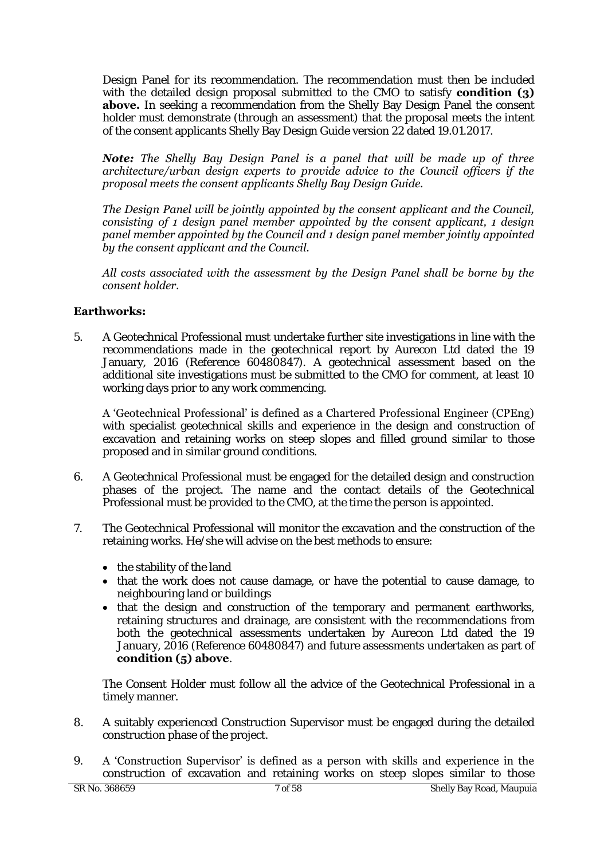Design Panel for its recommendation. The recommendation must then be included with the detailed design proposal submitted to the CMO to satisfy **condition (3) above.** In seeking a recommendation from the Shelly Bay Design Panel the consent holder must demonstrate (through an assessment) that the proposal meets the intent of the consent applicants Shelly Bay Design Guide version 22 dated 19.01.2017.

*Note: The Shelly Bay Design Panel is a panel that will be made up of three architecture/urban design experts to provide advice to the Council officers if the proposal meets the consent applicants Shelly Bay Design Guide.* 

*The Design Panel will be jointly appointed by the consent applicant and the Council, consisting of 1 design panel member appointed by the consent applicant, 1 design panel member appointed by the Council and 1 design panel member jointly appointed by the consent applicant and the Council.* 

*All costs associated with the assessment by the Design Panel shall be borne by the consent holder.* 

# **Earthworks:**

5. A Geotechnical Professional must undertake further site investigations in line with the recommendations made in the geotechnical report by Aurecon Ltd dated the 19 January, 2016 (Reference 60480847). A geotechnical assessment based on the additional site investigations must be submitted to the CMO for comment, at least 10 working days prior to any work commencing.

A 'Geotechnical Professional' is defined as a Chartered Professional Engineer (CPEng) with specialist geotechnical skills and experience in the design and construction of excavation and retaining works on steep slopes and filled ground similar to those proposed and in similar ground conditions.

- 6. A Geotechnical Professional must be engaged for the detailed design and construction phases of the project. The name and the contact details of the Geotechnical Professional must be provided to the CMO, at the time the person is appointed.
- 7. The Geotechnical Professional will monitor the excavation and the construction of the retaining works. He/she will advise on the best methods to ensure:
	- $\bullet$  the stability of the land
	- that the work does not cause damage, or have the potential to cause damage, to neighbouring land or buildings
	- that the design and construction of the temporary and permanent earthworks, retaining structures and drainage, are consistent with the recommendations from both the geotechnical assessments undertaken by Aurecon Ltd dated the 19 January, 2016 (Reference 60480847) and future assessments undertaken as part of **condition (5) above**.

The Consent Holder must follow all the advice of the Geotechnical Professional in a timely manner.

- 8. A suitably experienced Construction Supervisor must be engaged during the detailed construction phase of the project.
- 9. A 'Construction Supervisor' is defined as a person with skills and experience in the construction of excavation and retaining works on steep slopes similar to those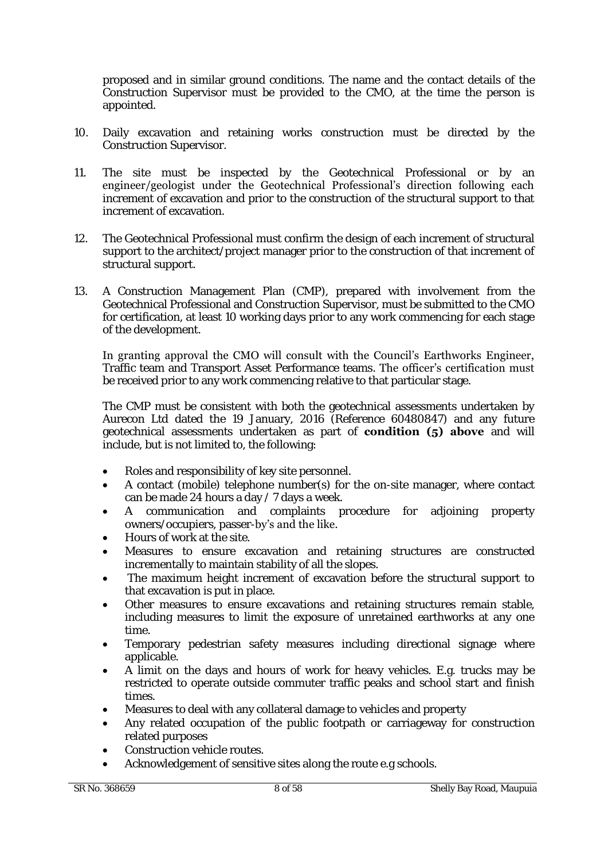proposed and in similar ground conditions. The name and the contact details of the Construction Supervisor must be provided to the CMO, at the time the person is appointed.

- 10. Daily excavation and retaining works construction must be directed by the Construction Supervisor.
- 11. The site must be inspected by the Geotechnical Professional or by an engineer/geologist under the Geotechnical Professional's direction following each increment of excavation and prior to the construction of the structural support to that increment of excavation.
- 12. The Geotechnical Professional must confirm the design of each increment of structural support to the architect/project manager prior to the construction of that increment of structural support.
- 13. A Construction Management Plan (CMP), prepared with involvement from the Geotechnical Professional and Construction Supervisor, must be submitted to the CMO for certification, at least 10 working days prior to any work commencing for each stage of the development.

In granting approval the CMO will consult with the Council's Earthworks Engineer, Traffic team and Transport Asset Performance teams. The officer's certification must be received prior to any work commencing relative to that particular stage.

The CMP must be consistent with both the geotechnical assessments undertaken by Aurecon Ltd dated the 19 January, 2016 (Reference 60480847) and any future geotechnical assessments undertaken as part of **condition (5) above** and will include, but is not limited to, the following:

- Roles and responsibility of key site personnel.
- A contact (mobile) telephone number(s) for the on-site manager, where contact can be made 24 hours a day / 7 days a week.
- A communication and complaints procedure for adjoining property owners/occupiers, passer-by's and the like.
- Hours of work at the site.
- Measures to ensure excavation and retaining structures are constructed incrementally to maintain stability of all the slopes.
- The maximum height increment of excavation before the structural support to that excavation is put in place.
- Other measures to ensure excavations and retaining structures remain stable, including measures to limit the exposure of unretained earthworks at any one time.
- Temporary pedestrian safety measures including directional signage where applicable.
- A limit on the days and hours of work for heavy vehicles. E.g. trucks may be restricted to operate outside commuter traffic peaks and school start and finish times.
- Measures to deal with any collateral damage to vehicles and property
- Any related occupation of the public footpath or carriageway for construction related purposes
- Construction vehicle routes.
- Acknowledgement of sensitive sites along the route e.g schools.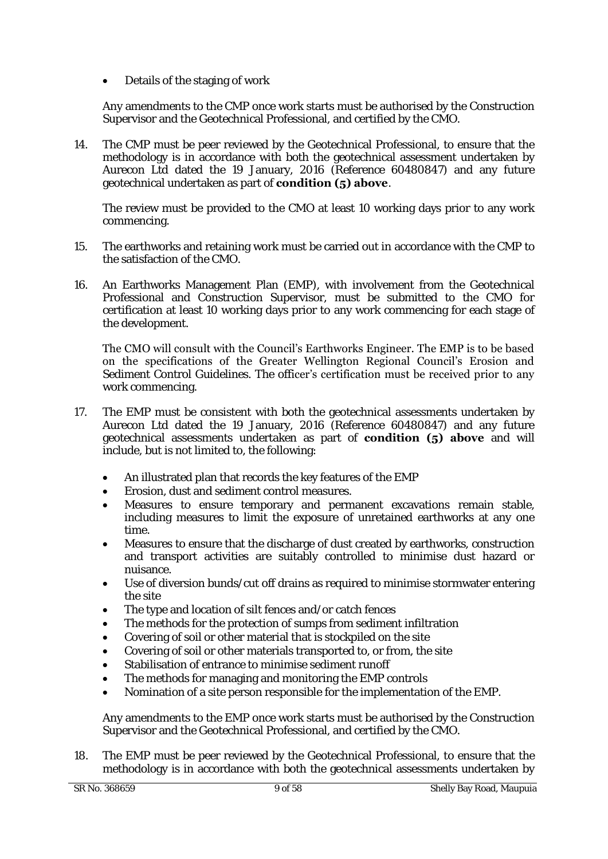Details of the staging of work

Any amendments to the CMP once work starts must be authorised by the Construction Supervisor and the Geotechnical Professional, and certified by the CMO.

14. The CMP must be peer reviewed by the Geotechnical Professional, to ensure that the methodology is in accordance with both the geotechnical assessment undertaken by Aurecon Ltd dated the 19 January, 2016 (Reference 60480847) and any future geotechnical undertaken as part of **condition (5) above**.

The review must be provided to the CMO at least 10 working days prior to any work commencing.

- 15. The earthworks and retaining work must be carried out in accordance with the CMP to the satisfaction of the CMO.
- 16. An Earthworks Management Plan (EMP), with involvement from the Geotechnical Professional and Construction Supervisor, must be submitted to the CMO for certification at least 10 working days prior to any work commencing for each stage of the development.

The CMO will consult with the Council's Earthworks Engineer. The EMP is to be based on the specifications of the Greater Wellington Regional Council's Erosion and Sediment Control Guidelines. The officer's certification must be received prior to any work commencing.

- 17. The EMP must be consistent with both the geotechnical assessments undertaken by Aurecon Ltd dated the 19 January, 2016 (Reference 60480847) and any future geotechnical assessments undertaken as part of **condition (5) above** and will include, but is not limited to, the following:
	- An illustrated plan that records the key features of the EMP
	- Erosion, dust and sediment control measures.
	- Measures to ensure temporary and permanent excavations remain stable, including measures to limit the exposure of unretained earthworks at any one time.
	- Measures to ensure that the discharge of dust created by earthworks, construction and transport activities are suitably controlled to minimise dust hazard or nuisance.
	- Use of diversion bunds/cut off drains as required to minimise stormwater entering the site
	- The type and location of silt fences and/or catch fences
	- The methods for the protection of sumps from sediment infiltration
	- Covering of soil or other material that is stockpiled on the site
	- Covering of soil or other materials transported to, or from, the site
	- Stabilisation of entrance to minimise sediment runoff
	- The methods for managing and monitoring the EMP controls
	- Nomination of a site person responsible for the implementation of the EMP.

Any amendments to the EMP once work starts must be authorised by the Construction Supervisor and the Geotechnical Professional, and certified by the CMO.

18. The EMP must be peer reviewed by the Geotechnical Professional, to ensure that the methodology is in accordance with both the geotechnical assessments undertaken by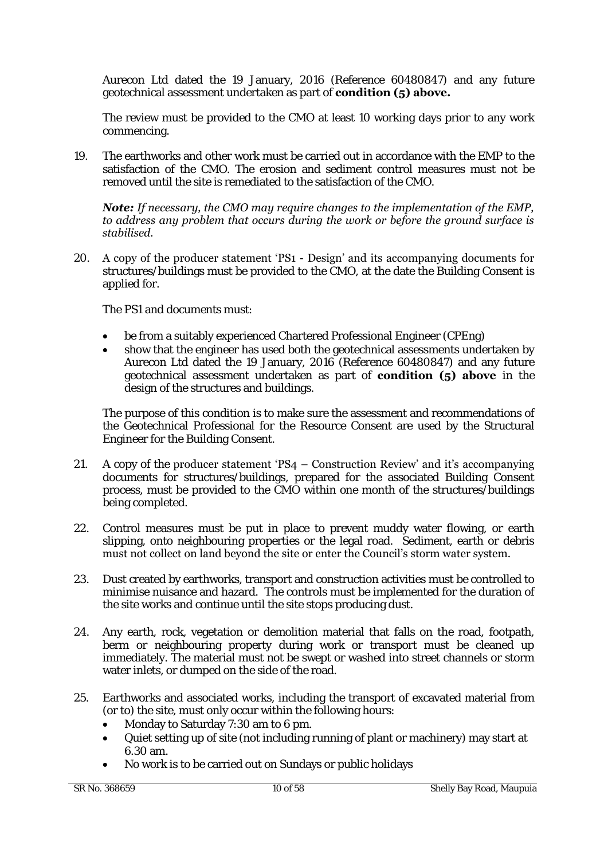Aurecon Ltd dated the 19 January, 2016 (Reference 60480847) and any future geotechnical assessment undertaken as part of **condition (5) above.**

The review must be provided to the CMO at least 10 working days prior to any work commencing.

19. The earthworks and other work must be carried out in accordance with the EMP to the satisfaction of the CMO. The erosion and sediment control measures must not be removed until the site is remediated to the satisfaction of the CMO.

#### *Note: If necessary, the CMO may require changes to the implementation of the EMP, to address any problem that occurs during the work or before the ground surface is stabilised.*

20. A copy of the producer statement 'PS1 - Design' and its accompanying documents for structures/buildings must be provided to the CMO, at the date the Building Consent is applied for.

The PS1 and documents must:

- be from a suitably experienced Chartered Professional Engineer (CPEng)
- show that the engineer has used both the geotechnical assessments undertaken by Aurecon Ltd dated the 19 January, 2016 (Reference 60480847) and any future geotechnical assessment undertaken as part of **condition (5) above** in the design of the structures and buildings.

The purpose of this condition is to make sure the assessment and recommendations of the Geotechnical Professional for the Resource Consent are used by the Structural Engineer for the Building Consent.

- 21. A copy of the producer statement 'PS4 Construction Review' and it's accompanying documents for structures/buildings, prepared for the associated Building Consent process, must be provided to the CMO within one month of the structures/buildings being completed.
- 22. Control measures must be put in place to prevent muddy water flowing, or earth slipping, onto neighbouring properties or the legal road. Sediment, earth or debris must not collect on land beyond the site or enter the Council's storm water system.
- 23. Dust created by earthworks, transport and construction activities must be controlled to minimise nuisance and hazard. The controls must be implemented for the duration of the site works and continue until the site stops producing dust.
- 24. Any earth, rock, vegetation or demolition material that falls on the road, footpath, berm or neighbouring property during work or transport must be cleaned up immediately. The material must not be swept or washed into street channels or storm water inlets, or dumped on the side of the road.
- 25. Earthworks and associated works, including the transport of excavated material from (or to) the site, must only occur within the following hours:
	- Monday to Saturday 7:30 am to 6 pm.
	- Quiet setting up of site (not including running of plant or machinery) may start at 6.30 am.
	- No work is to be carried out on Sundays or public holidays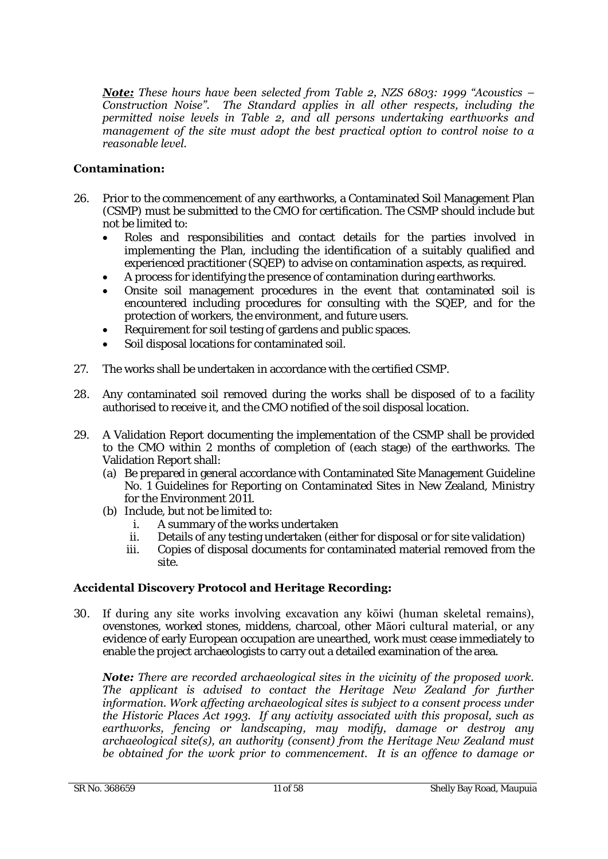*Note: These hours have been selected from Table 2, NZS 6803: 1999 "Acoustics – Construction Noise". The Standard applies in all other respects, including the permitted noise levels in Table 2, and all persons undertaking earthworks and management of the site must adopt the best practical option to control noise to a reasonable level.* 

# **Contamination:**

- 26. Prior to the commencement of any earthworks, a Contaminated Soil Management Plan (CSMP) must be submitted to the CMO for certification. The CSMP should include but not be limited to:
	- Roles and responsibilities and contact details for the parties involved in implementing the Plan, including the identification of a suitably qualified and experienced practitioner (SQEP) to advise on contamination aspects, as required.
	- A process for identifying the presence of contamination during earthworks.
	- Onsite soil management procedures in the event that contaminated soil is encountered including procedures for consulting with the SQEP, and for the protection of workers, the environment, and future users.
	- Requirement for soil testing of gardens and public spaces.
	- Soil disposal locations for contaminated soil.
- 27. The works shall be undertaken in accordance with the certified CSMP.
- 28. Any contaminated soil removed during the works shall be disposed of to a facility authorised to receive it, and the CMO notified of the soil disposal location.
- 29. A Validation Report documenting the implementation of the CSMP shall be provided to the CMO within 2 months of completion of (each stage) of the earthworks. The Validation Report shall:
	- (a) Be prepared in general accordance with Contaminated Site Management Guideline No. 1 Guidelines for Reporting on Contaminated Sites in New Zealand, Ministry for the Environment 2011.
	- (b) Include, but not be limited to:
		- i. A summary of the works undertaken
		- ii. Details of any testing undertaken (either for disposal or for site validation)
		- iii. Copies of disposal documents for contaminated material removed from the site.

# **Accidental Discovery Protocol and Heritage Recording:**

30. If during any site works involving excavation any kōiwi (human skeletal remains), ovenstones, worked stones, middens, charcoal, other Māori cultural material, or any evidence of early European occupation are unearthed, work must cease immediately to enable the project archaeologists to carry out a detailed examination of the area.

*Note: There are recorded archaeological sites in the vicinity of the proposed work. The applicant is advised to contact the Heritage New Zealand for further information. Work affecting archaeological sites is subject to a consent process under the Historic Places Act 1993. If any activity associated with this proposal, such as earthworks, fencing or landscaping, may modify, damage or destroy any archaeological site(s), an authority (consent) from the Heritage New Zealand must be obtained for the work prior to commencement. It is an offence to damage or*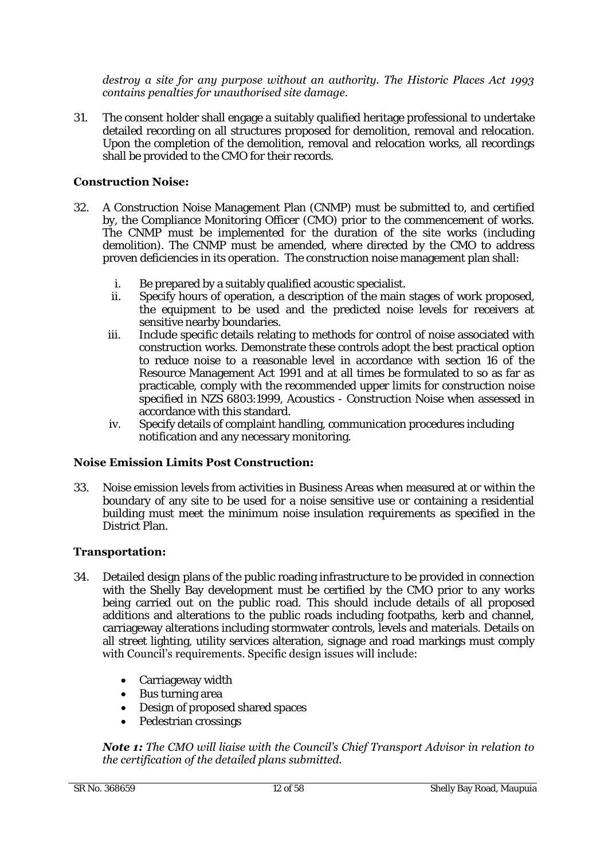### *destroy a site for any purpose without an authority. The Historic Places Act 1993 contains penalties for unauthorised site damage.*

31. The consent holder shall engage a suitably qualified heritage professional to undertake detailed recording on all structures proposed for demolition, removal and relocation. Upon the completion of the demolition, removal and relocation works, all recordings shall be provided to the CMO for their records.

# **Construction Noise:**

- 32. A Construction Noise Management Plan (CNMP) must be submitted to, and certified by, the Compliance Monitoring Officer (CMO) prior to the commencement of works. The CNMP must be implemented for the duration of the site works (including demolition). The CNMP must be amended, where directed by the CMO to address proven deficiencies in its operation. The construction noise management plan shall:
	- i. Be prepared by a suitably qualified acoustic specialist.
	- ii. Specify hours of operation, a description of the main stages of work proposed, the equipment to be used and the predicted noise levels for receivers at sensitive nearby boundaries.
	- iii. Include specific details relating to methods for control of noise associated with construction works. Demonstrate these controls adopt the best practical option to reduce noise to a reasonable level in accordance with section 16 of the Resource Management Act 1991 and at all times be formulated to so as far as practicable, comply with the recommended upper limits for construction noise specified in NZS 6803:1999, Acoustics - Construction Noise when assessed in accordance with this standard.
	- iv. Specify details of complaint handling, communication procedures including notification and any necessary monitoring.

# **Noise Emission Limits Post Construction:**

33. Noise emission levels from activities in Business Areas when measured at or within the boundary of any site to be used for a noise sensitive use or containing a residential building must meet the minimum noise insulation requirements as specified in the District Plan.

# **Transportation:**

- 34. Detailed design plans of the public roading infrastructure to be provided in connection with the Shelly Bay development must be certified by the CMO prior to any works being carried out on the public road. This should include details of all proposed additions and alterations to the public roads including footpaths, kerb and channel, carriageway alterations including stormwater controls, levels and materials. Details on all street lighting, utility services alteration, signage and road markings must comply with Council's requirements. Specific design issues will include:
	- Carriageway width
	- Bus turning area
	- Design of proposed shared spaces
	- Pedestrian crossings

### *Note 1: The CMO will liaise with the Council's Chief Transport Advisor in relation to the certification of the detailed plans submitted.*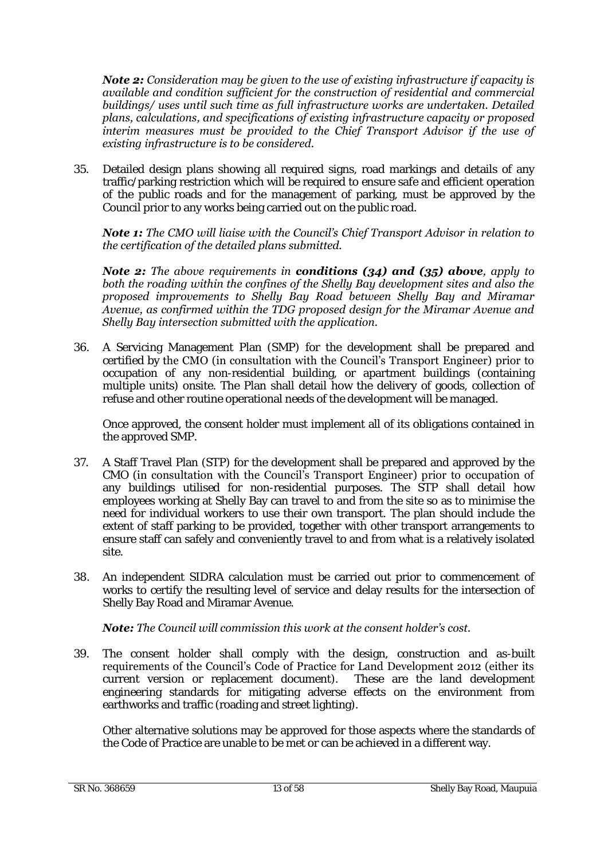*Note 2: Consideration may be given to the use of existing infrastructure if capacity is available and condition sufficient for the construction of residential and commercial buildings/ uses until such time as full infrastructure works are undertaken. Detailed plans, calculations, and specifications of existing infrastructure capacity or proposed interim measures must be provided to the Chief Transport Advisor if the use of existing infrastructure is to be considered.* 

35. Detailed design plans showing all required signs, road markings and details of any traffic/parking restriction which will be required to ensure safe and efficient operation of the public roads and for the management of parking, must be approved by the Council prior to any works being carried out on the public road.

#### *Note 1: The CMO will liaise with the Council's Chief Transport Advisor in relation to the certification of the detailed plans submitted.*

*Note 2: The above requirements in conditions (34) and (35) above, apply to both the roading within the confines of the Shelly Bay development sites and also the proposed improvements to Shelly Bay Road between Shelly Bay and Miramar Avenue, as confirmed within the TDG proposed design for the Miramar Avenue and Shelly Bay intersection submitted with the application.* 

36. A Servicing Management Plan (SMP) for the development shall be prepared and certified by the CMO (in consultation with the Council's Transport Engineer) prior to occupation of any non-residential building, or apartment buildings (containing multiple units) onsite. The Plan shall detail how the delivery of goods, collection of refuse and other routine operational needs of the development will be managed.

Once approved, the consent holder must implement all of its obligations contained in the approved SMP.

- 37. A Staff Travel Plan (STP) for the development shall be prepared and approved by the CMO (in consultation with the Council's Transport Engineer) prior to occupation of any buildings utilised for non-residential purposes. The STP shall detail how employees working at Shelly Bay can travel to and from the site so as to minimise the need for individual workers to use their own transport. The plan should include the extent of staff parking to be provided, together with other transport arrangements to ensure staff can safely and conveniently travel to and from what is a relatively isolated site.
- 38. An independent SIDRA calculation must be carried out prior to commencement of works to certify the resulting level of service and delay results for the intersection of Shelly Bay Road and Miramar Avenue.

# *Note: The Council will commission this work at the consent holder's cost.*

39. The consent holder shall comply with the design, construction and as-built requirements of the Council's Code of Practice for Land Development 2012 (either its current version or replacement document). These are the land development engineering standards for mitigating adverse effects on the environment from earthworks and traffic (roading and street lighting).

Other alternative solutions may be approved for those aspects where the standards of the Code of Practice are unable to be met or can be achieved in a different way.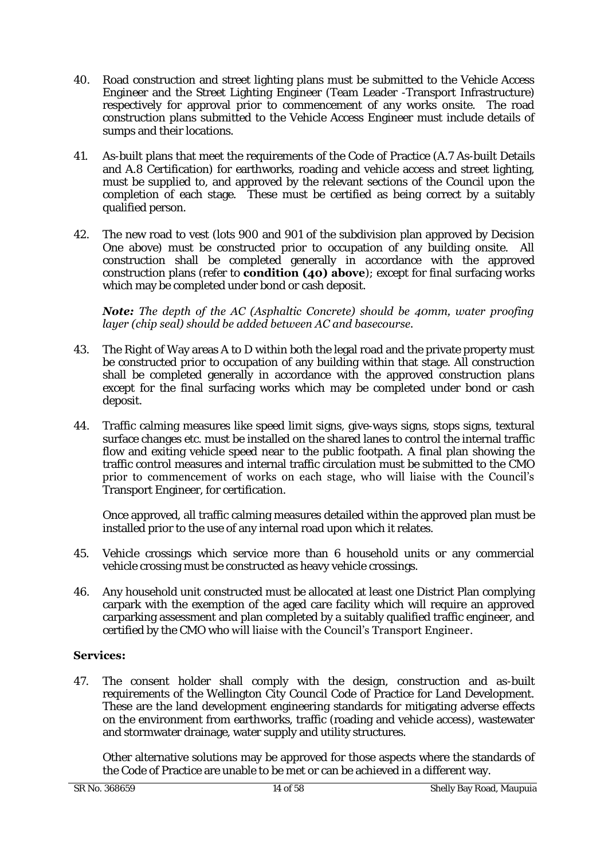- 40. Road construction and street lighting plans must be submitted to the Vehicle Access Engineer and the Street Lighting Engineer (Team Leader -Transport Infrastructure) respectively for approval prior to commencement of any works onsite. The road construction plans submitted to the Vehicle Access Engineer must include details of sumps and their locations.
- 41. As-built plans that meet the requirements of the Code of Practice (A.7 As-built Details and A.8 Certification) for earthworks, roading and vehicle access and street lighting, must be supplied to, and approved by the relevant sections of the Council upon the completion of each stage. These must be certified as being correct by a suitably qualified person.
- 42. The new road to vest (lots 900 and 901 of the subdivision plan approved by Decision One above) must be constructed prior to occupation of any building onsite. All construction shall be completed generally in accordance with the approved construction plans (refer to **condition (40) above**); except for final surfacing works which may be completed under bond or cash deposit.

### *Note: The depth of the AC (Asphaltic Concrete) should be 40mm, water proofing layer (chip seal) should be added between AC and basecourse.*

- 43. The Right of Way areas A to D within both the legal road and the private property must be constructed prior to occupation of any building within that stage. All construction shall be completed generally in accordance with the approved construction plans except for the final surfacing works which may be completed under bond or cash deposit.
- 44. Traffic calming measures like speed limit signs, give-ways signs, stops signs, textural surface changes etc. must be installed on the shared lanes to control the internal traffic flow and exiting vehicle speed near to the public footpath. A final plan showing the traffic control measures and internal traffic circulation must be submitted to the CMO prior to commencement of works on each stage, who will liaise with the Council's Transport Engineer, for certification.

Once approved, all traffic calming measures detailed within the approved plan must be installed prior to the use of any internal road upon which it relates.

- 45. Vehicle crossings which service more than 6 household units or any commercial vehicle crossing must be constructed as heavy vehicle crossings.
- 46. Any household unit constructed must be allocated at least one District Plan complying carpark with the exemption of the aged care facility which will require an approved carparking assessment and plan completed by a suitably qualified traffic engineer, and certified by the CMO who will liaise with the Council's Transport Engineer.

# **Services:**

47. The consent holder shall comply with the design, construction and as-built requirements of the Wellington City Council Code of Practice for Land Development. These are the land development engineering standards for mitigating adverse effects on the environment from earthworks, traffic (roading and vehicle access), wastewater and stormwater drainage, water supply and utility structures.

Other alternative solutions may be approved for those aspects where the standards of the Code of Practice are unable to be met or can be achieved in a different way.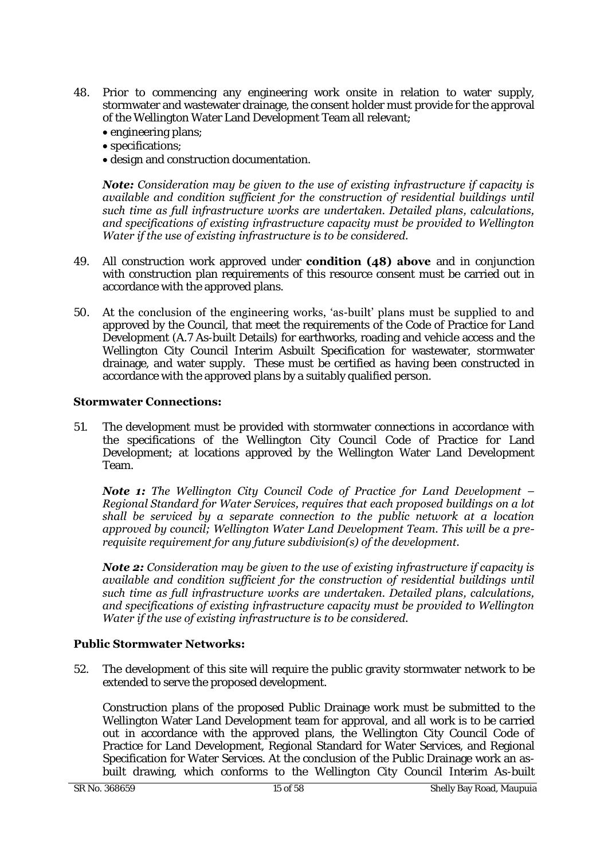- 48. Prior to commencing any engineering work onsite in relation to water supply, stormwater and wastewater drainage, the consent holder must provide for the approval of the Wellington Water Land Development Team all relevant;
	- engineering plans;
	- specifications;
	- design and construction documentation.

*Note: Consideration may be given to the use of existing infrastructure if capacity is available and condition sufficient for the construction of residential buildings until such time as full infrastructure works are undertaken. Detailed plans, calculations, and specifications of existing infrastructure capacity must be provided to Wellington Water if the use of existing infrastructure is to be considered.* 

- 49. All construction work approved under **condition (48) above** and in conjunction with construction plan requirements of this resource consent must be carried out in accordance with the approved plans.
- 50. At the conclusion of the engineering works, 'as-built' plans must be supplied to and approved by the Council, that meet the requirements of the Code of Practice for Land Development (A.7 As-built Details) for earthworks, roading and vehicle access and the Wellington City Council Interim Asbuilt Specification for wastewater, stormwater drainage, and water supply. These must be certified as having been constructed in accordance with the approved plans by a suitably qualified person.

# **Stormwater Connections:**

51. The development must be provided with stormwater connections in accordance with the specifications of the Wellington City Council Code of Practice for Land Development; at locations approved by the Wellington Water Land Development Team.

*Note 1: The Wellington City Council Code of Practice for Land Development – Regional Standard for Water Services, requires that each proposed buildings on a lot shall be serviced by a separate connection to the public network at a location approved by council; Wellington Water Land Development Team. This will be a prerequisite requirement for any future subdivision(s) of the development.* 

*Note 2: Consideration may be given to the use of existing infrastructure if capacity is available and condition sufficient for the construction of residential buildings until such time as full infrastructure works are undertaken. Detailed plans, calculations, and specifications of existing infrastructure capacity must be provided to Wellington Water if the use of existing infrastructure is to be considered.* 

# **Public Stormwater Networks:**

52. The development of this site will require the public gravity stormwater network to be extended to serve the proposed development.

Construction plans of the proposed Public Drainage work must be submitted to the Wellington Water Land Development team for approval, and all work is to be carried out in accordance with the approved plans, the Wellington City Council Code of Practice for Land Development, Regional Standard for Water Services, and Regional Specification for Water Services. At the conclusion of the Public Drainage work an asbuilt drawing, which conforms to the Wellington City Council Interim As-built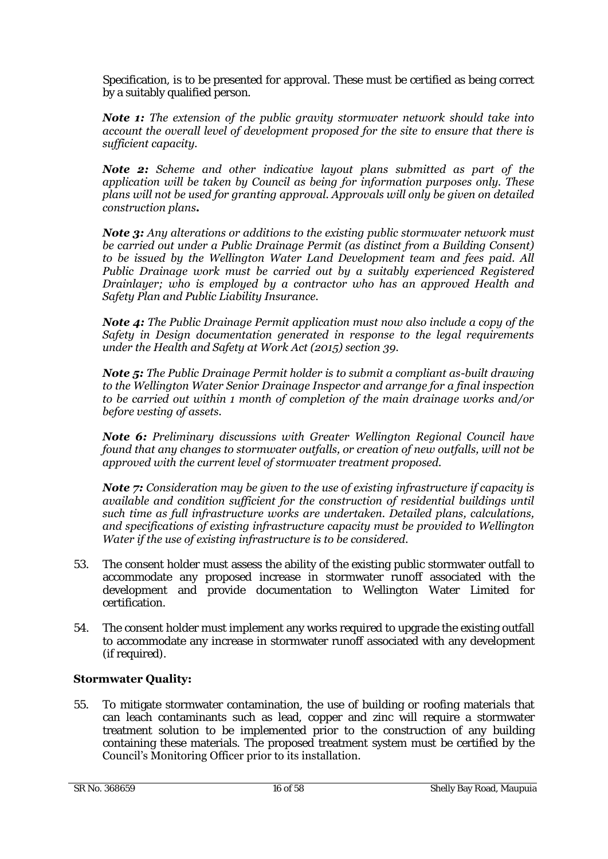Specification, is to be presented for approval. These must be certified as being correct by a suitably qualified person.

*Note 1: The extension of the public gravity stormwater network should take into account the overall level of development proposed for the site to ensure that there is sufficient capacity.* 

*Note 2: Scheme and other indicative layout plans submitted as part of the application will be taken by Council as being for information purposes only. These plans will not be used for granting approval. Approvals will only be given on detailed construction plans.* 

*Note 3: Any alterations or additions to the existing public stormwater network must be carried out under a Public Drainage Permit (as distinct from a Building Consent) to be issued by the Wellington Water Land Development team and fees paid. All Public Drainage work must be carried out by a suitably experienced Registered Drainlayer; who is employed by a contractor who has an approved Health and Safety Plan and Public Liability Insurance.*

*Note 4: The Public Drainage Permit application must now also include a copy of the Safety in Design documentation generated in response to the legal requirements under the Health and Safety at Work Act (2015) section 39.* 

*Note 5: The Public Drainage Permit holder is to submit a compliant as-built drawing to the Wellington Water Senior Drainage Inspector and arrange for a final inspection to be carried out within 1 month of completion of the main drainage works and/or before vesting of assets.* 

*Note 6: Preliminary discussions with Greater Wellington Regional Council have found that any changes to stormwater outfalls, or creation of new outfalls, will not be approved with the current level of stormwater treatment proposed.* 

*Note 7: Consideration may be given to the use of existing infrastructure if capacity is available and condition sufficient for the construction of residential buildings until such time as full infrastructure works are undertaken. Detailed plans, calculations, and specifications of existing infrastructure capacity must be provided to Wellington Water if the use of existing infrastructure is to be considered.* 

- 53. The consent holder must assess the ability of the existing public stormwater outfall to accommodate any proposed increase in stormwater runoff associated with the development and provide documentation to Wellington Water Limited for certification.
- 54. The consent holder must implement any works required to upgrade the existing outfall to accommodate any increase in stormwater runoff associated with any development (if required).

# **Stormwater Quality:**

55. To mitigate stormwater contamination, the use of building or roofing materials that can leach contaminants such as lead, copper and zinc will require a stormwater treatment solution to be implemented prior to the construction of any building containing these materials. The proposed treatment system must be certified by the Council's Monitoring Officer prior to its installation.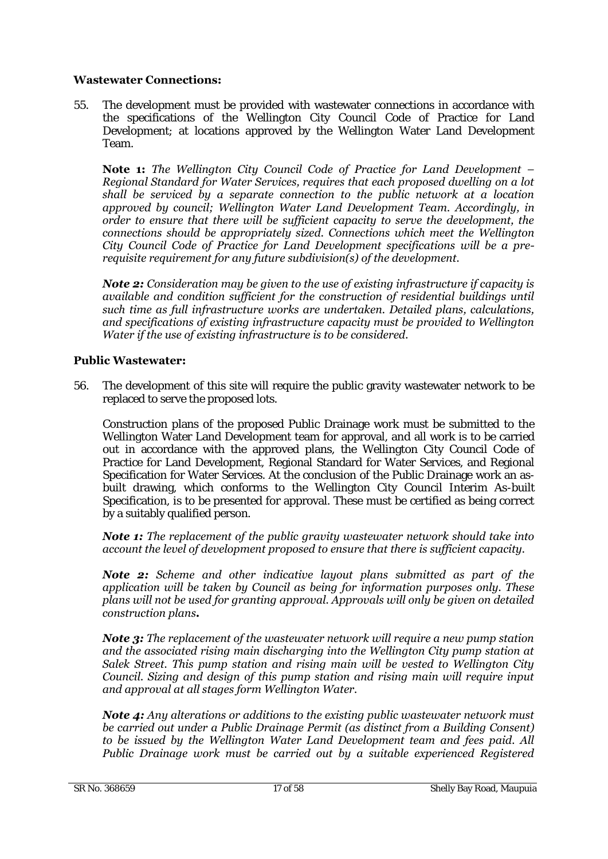# **Wastewater Connections:**

55. The development must be provided with wastewater connections in accordance with the specifications of the Wellington City Council Code of Practice for Land Development; at locations approved by the Wellington Water Land Development Team.

**Note 1:** *The Wellington City Council Code of Practice for Land Development – Regional Standard for Water Services, requires that each proposed dwelling on a lot shall be serviced by a separate connection to the public network at a location approved by council; Wellington Water Land Development Team. Accordingly, in order to ensure that there will be sufficient capacity to serve the development, the connections should be appropriately sized. Connections which meet the Wellington City Council Code of Practice for Land Development specifications will be a prerequisite requirement for any future subdivision(s) of the development.* 

*Note 2: Consideration may be given to the use of existing infrastructure if capacity is available and condition sufficient for the construction of residential buildings until such time as full infrastructure works are undertaken. Detailed plans, calculations, and specifications of existing infrastructure capacity must be provided to Wellington Water if the use of existing infrastructure is to be considered.* 

# **Public Wastewater:**

56. The development of this site will require the public gravity wastewater network to be replaced to serve the proposed lots.

Construction plans of the proposed Public Drainage work must be submitted to the Wellington Water Land Development team for approval, and all work is to be carried out in accordance with the approved plans, the Wellington City Council Code of Practice for Land Development, Regional Standard for Water Services, and Regional Specification for Water Services. At the conclusion of the Public Drainage work an asbuilt drawing, which conforms to the Wellington City Council Interim As-built Specification, is to be presented for approval. These must be certified as being correct by a suitably qualified person.

*Note 1: The replacement of the public gravity wastewater network should take into account the level of development proposed to ensure that there is sufficient capacity.* 

*Note 2: Scheme and other indicative layout plans submitted as part of the application will be taken by Council as being for information purposes only. These plans will not be used for granting approval. Approvals will only be given on detailed construction plans.* 

*Note 3: The replacement of the wastewater network will require a new pump station and the associated rising main discharging into the Wellington City pump station at Salek Street. This pump station and rising main will be vested to Wellington City Council. Sizing and design of this pump station and rising main will require input and approval at all stages form Wellington Water.* 

*Note 4: Any alterations or additions to the existing public wastewater network must be carried out under a Public Drainage Permit (as distinct from a Building Consent) to be issued by the Wellington Water Land Development team and fees paid. All Public Drainage work must be carried out by a suitable experienced Registered*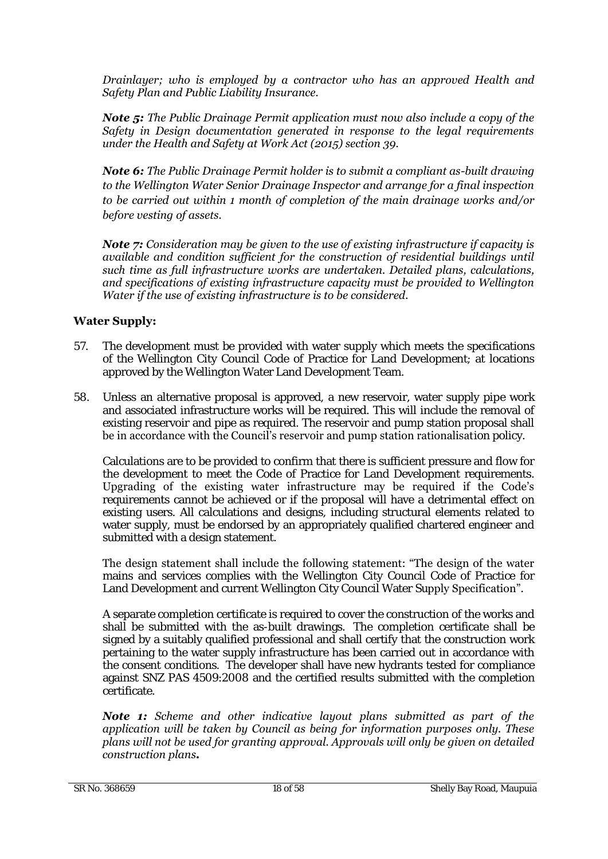*Drainlayer; who is employed by a contractor who has an approved Health and Safety Plan and Public Liability Insurance.* 

*Note 5: The Public Drainage Permit application must now also include a copy of the Safety in Design documentation generated in response to the legal requirements under the Health and Safety at Work Act (2015) section 39.* 

*Note 6: The Public Drainage Permit holder is to submit a compliant as-built drawing to the Wellington Water Senior Drainage Inspector and arrange for a final inspection to be carried out within 1 month of completion of the main drainage works and/or before vesting of assets.* 

*Note 7: Consideration may be given to the use of existing infrastructure if capacity is available and condition sufficient for the construction of residential buildings until such time as full infrastructure works are undertaken. Detailed plans, calculations, and specifications of existing infrastructure capacity must be provided to Wellington Water if the use of existing infrastructure is to be considered.* 

# **Water Supply:**

- 57. The development must be provided with water supply which meets the specifications of the Wellington City Council Code of Practice for Land Development; at locations approved by the Wellington Water Land Development Team.
- 58. Unless an alternative proposal is approved, a new reservoir, water supply pipe work and associated infrastructure works will be required. This will include the removal of existing reservoir and pipe as required. The reservoir and pump station proposal shall be in accordance with the Council's reservoir and pump station rationalisation policy.

Calculations are to be provided to confirm that there is sufficient pressure and flow for the development to meet the Code of Practice for Land Development requirements. Upgrading of the existing water infrastructure may be required if the Code's requirements cannot be achieved or if the proposal will have a detrimental effect on existing users. All calculations and designs, including structural elements related to water supply, must be endorsed by an appropriately qualified chartered engineer and submitted with a design statement.

The design statement shall include the following statement: "The design of the water mains and services complies with the Wellington City Council Code of Practice for Land Development and current Wellington City Council Water Supply Specification".

A separate completion certificate is required to cover the construction of the works and shall be submitted with the as-built drawings. The completion certificate shall be signed by a suitably qualified professional and shall certify that the construction work pertaining to the water supply infrastructure has been carried out in accordance with the consent conditions. The developer shall have new hydrants tested for compliance against SNZ PAS 4509:2008 and the certified results submitted with the completion certificate.

*Note 1: Scheme and other indicative layout plans submitted as part of the application will be taken by Council as being for information purposes only. These plans will not be used for granting approval. Approvals will only be given on detailed construction plans.*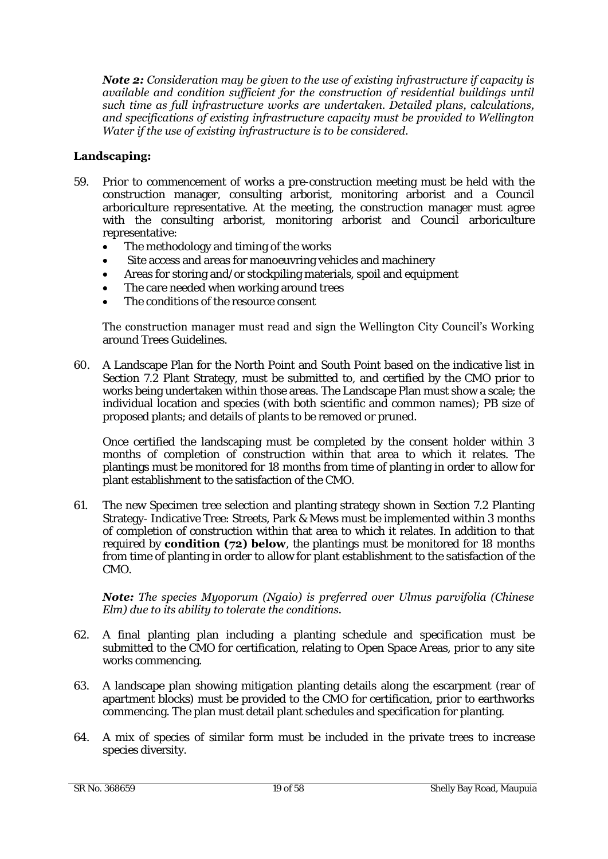*Note 2: Consideration may be given to the use of existing infrastructure if capacity is available and condition sufficient for the construction of residential buildings until such time as full infrastructure works are undertaken. Detailed plans, calculations, and specifications of existing infrastructure capacity must be provided to Wellington Water if the use of existing infrastructure is to be considered.* 

# **Landscaping:**

- 59. Prior to commencement of works a pre-construction meeting must be held with the construction manager, consulting arborist, monitoring arborist and a Council arboriculture representative. At the meeting, the construction manager must agree with the consulting arborist, monitoring arborist and Council arboriculture representative:
	- The methodology and timing of the works
	- Site access and areas for manoeuvring vehicles and machinery
	- Areas for storing and/or stockpiling materials, spoil and equipment
	- The care needed when working around trees
	- The conditions of the resource consent

#### The construction manager must read and sign the Wellington City Council's Working around Trees Guidelines.

60. A Landscape Plan for the North Point and South Point based on the indicative list in Section 7.2 Plant Strategy, must be submitted to, and certified by the CMO prior to works being undertaken within those areas. The Landscape Plan must show a scale; the individual location and species (with both scientific and common names); PB size of proposed plants; and details of plants to be removed or pruned.

Once certified the landscaping must be completed by the consent holder within 3 months of completion of construction within that area to which it relates. The plantings must be monitored for 18 months from time of planting in order to allow for plant establishment to the satisfaction of the CMO.

61. The new Specimen tree selection and planting strategy shown in Section 7.2 Planting Strategy- Indicative Tree: Streets, Park & Mews must be implemented within 3 months of completion of construction within that area to which it relates. In addition to that required by **condition (72) below**, the plantings must be monitored for 18 months from time of planting in order to allow for plant establishment to the satisfaction of the CMO.

#### *Note: The species Myoporum (Ngaio) is preferred over Ulmus parvifolia (Chinese Elm) due to its ability to tolerate the conditions.*

- 62. A final planting plan including a planting schedule and specification must be submitted to the CMO for certification, relating to Open Space Areas, prior to any site works commencing.
- 63. A landscape plan showing mitigation planting details along the escarpment (rear of apartment blocks) must be provided to the CMO for certification, prior to earthworks commencing. The plan must detail plant schedules and specification for planting.
- 64. A mix of species of similar form must be included in the private trees to increase species diversity.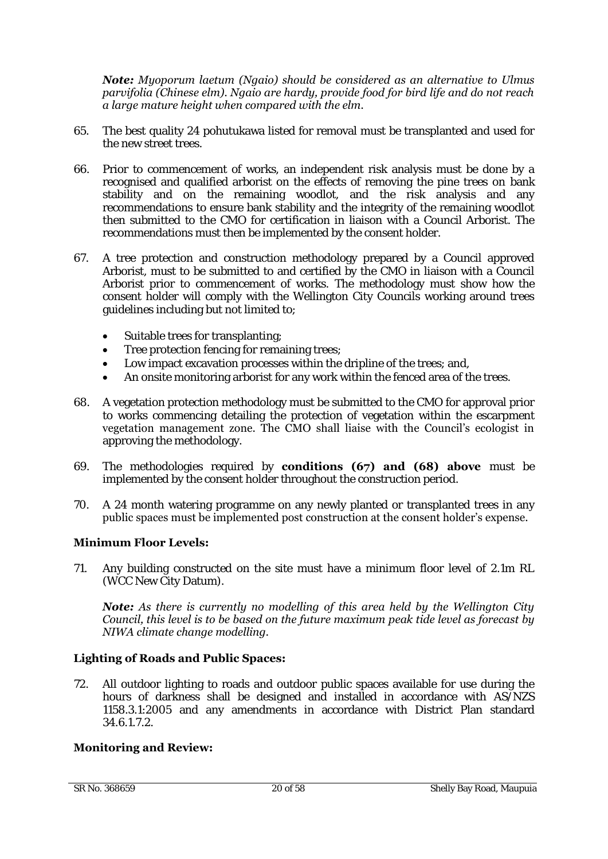#### *Note: Myoporum laetum (Ngaio) should be considered as an alternative to Ulmus parvifolia (Chinese elm). Ngaio are hardy, provide food for bird life and do not reach a large mature height when compared with the elm.*

- 65. The best quality 24 pohutukawa listed for removal must be transplanted and used for the new street trees.
- 66. Prior to commencement of works, an independent risk analysis must be done by a recognised and qualified arborist on the effects of removing the pine trees on bank stability and on the remaining woodlot, and the risk analysis and any recommendations to ensure bank stability and the integrity of the remaining woodlot then submitted to the CMO for certification in liaison with a Council Arborist. The recommendations must then be implemented by the consent holder.
- 67. A tree protection and construction methodology prepared by a Council approved Arborist, must to be submitted to and certified by the CMO in liaison with a Council Arborist prior to commencement of works. The methodology must show how the consent holder will comply with the Wellington City Councils working around trees guidelines including but not limited to;
	- Suitable trees for transplanting;
	- Tree protection fencing for remaining trees;
	- Low impact excavation processes within the dripline of the trees; and,
	- An onsite monitoring arborist for any work within the fenced area of the trees.
- 68. A vegetation protection methodology must be submitted to the CMO for approval prior to works commencing detailing the protection of vegetation within the escarpment vegetation management zone. The CMO shall liaise with the Council's ecologist in approving the methodology.
- 69. The methodologies required by **conditions (67) and (68) above** must be implemented by the consent holder throughout the construction period.
- 70. A 24 month watering programme on any newly planted or transplanted trees in any public spaces must be implemented post construction at the consent holder's expense.

# **Minimum Floor Levels:**

71. Any building constructed on the site must have a minimum floor level of 2.1m RL (WCC New City Datum).

*Note: As there is currently no modelling of this area held by the Wellington City Council, this level is to be based on the future maximum peak tide level as forecast by NIWA climate change modelling.* 

# **Lighting of Roads and Public Spaces:**

72. All outdoor lighting to roads and outdoor public spaces available for use during the hours of darkness shall be designed and installed in accordance with AS/NZS 1158.3.1:2005 and any amendments in accordance with District Plan standard 34.6.1.7.2.

# **Monitoring and Review:**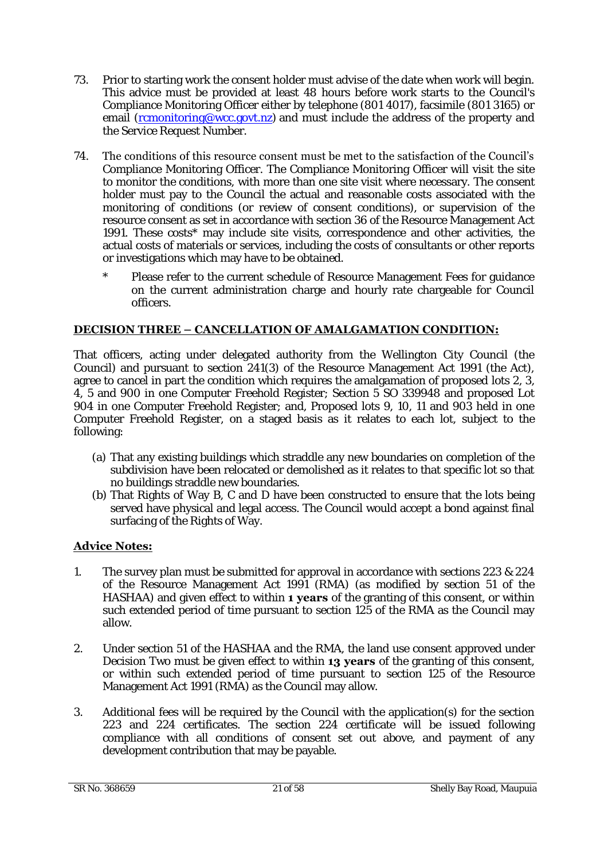- 73. Prior to starting work the consent holder must advise of the date when work will begin. This advice must be provided at least 48 hours before work starts to the Council's Compliance Monitoring Officer either by telephone (801 4017), facsimile (801 3165) or email [\(rcmonitoring@wcc.govt.nz\)](mailto:rcmonitoring@wcc.govt.nz) and must include the address of the property and the Service Request Number.
- 74. The conditions of this resource consent must be met to the satisfaction of the Council's Compliance Monitoring Officer. The Compliance Monitoring Officer will visit the site to monitor the conditions, with more than one site visit where necessary. The consent holder must pay to the Council the actual and reasonable costs associated with the monitoring of conditions (or review of consent conditions), or supervision of the resource consent as set in accordance with section 36 of the Resource Management Act 1991. These costs\* may include site visits, correspondence and other activities, the actual costs of materials or services, including the costs of consultants or other reports or investigations which may have to be obtained.
	- Please refer to the current schedule of Resource Management Fees for guidance on the current administration charge and hourly rate chargeable for Council officers.

# **DECISION THREE – CANCELLATION OF AMALGAMATION CONDITION:**

That officers, acting under delegated authority from the Wellington City Council (the Council) and pursuant to section 241(3) of the Resource Management Act 1991 (the Act), agree to cancel in part the condition which requires the amalgamation of proposed lots 2, 3, 4, 5 and 900 in one Computer Freehold Register; Section 5 SO 339948 and proposed Lot 904 in one Computer Freehold Register; and, Proposed lots 9, 10, 11 and 903 held in one Computer Freehold Register, on a staged basis as it relates to each lot, subject to the following:

- (a) That any existing buildings which straddle any new boundaries on completion of the subdivision have been relocated or demolished as it relates to that specific lot so that no buildings straddle new boundaries.
- (b) That Rights of Way B, C and D have been constructed to ensure that the lots being served have physical and legal access. The Council would accept a bond against final surfacing of the Rights of Way.

# **Advice Notes:**

- 1. The survey plan must be submitted for approval in accordance with sections 223 & 224 of the Resource Management Act 1991 (RMA) (as modified by section 51 of the HASHAA) and given effect to within **1 years** of the granting of this consent, or within such extended period of time pursuant to section 125 of the RMA as the Council may allow.
- 2. Under section 51 of the HASHAA and the RMA, the land use consent approved under Decision Two must be given effect to within **13 years** of the granting of this consent, or within such extended period of time pursuant to section 125 of the Resource Management Act 1991 (RMA) as the Council may allow.
- 3. Additional fees will be required by the Council with the application(s) for the section 223 and 224 certificates. The section 224 certificate will be issued following compliance with all conditions of consent set out above, and payment of any development contribution that may be payable.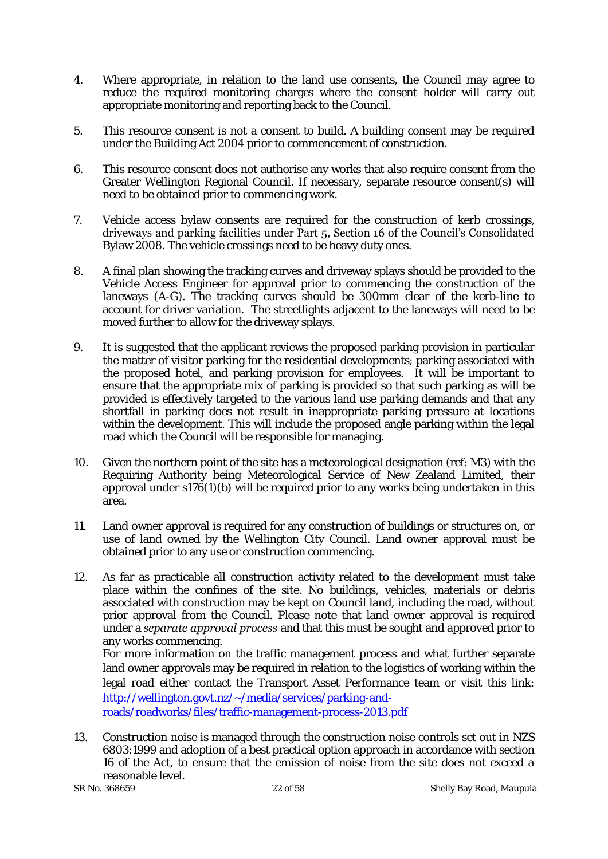- 4. Where appropriate, in relation to the land use consents, the Council may agree to reduce the required monitoring charges where the consent holder will carry out appropriate monitoring and reporting back to the Council.
- 5. This resource consent is not a consent to build. A building consent may be required under the Building Act 2004 prior to commencement of construction.
- 6. This resource consent does not authorise any works that also require consent from the Greater Wellington Regional Council. If necessary, separate resource consent(s) will need to be obtained prior to commencing work.
- 7. Vehicle access bylaw consents are required for the construction of kerb crossings, driveways and parking facilities under Part 5, Section 16 of the Council's Consolidated Bylaw 2008. The vehicle crossings need to be heavy duty ones.
- 8. A final plan showing the tracking curves and driveway splays should be provided to the Vehicle Access Engineer for approval prior to commencing the construction of the laneways (A-G). The tracking curves should be 300mm clear of the kerb-line to account for driver variation. The streetlights adjacent to the laneways will need to be moved further to allow for the driveway splays.
- 9. It is suggested that the applicant reviews the proposed parking provision in particular the matter of visitor parking for the residential developments; parking associated with the proposed hotel, and parking provision for employees. It will be important to ensure that the appropriate mix of parking is provided so that such parking as will be provided is effectively targeted to the various land use parking demands and that any shortfall in parking does not result in inappropriate parking pressure at locations within the development. This will include the proposed angle parking within the legal road which the Council will be responsible for managing.
- 10. Given the northern point of the site has a meteorological designation (ref: M3) with the Requiring Authority being Meteorological Service of New Zealand Limited, their approval under  $s176(1)(b)$  will be required prior to any works being undertaken in this area.
- 11. Land owner approval is required for any construction of buildings or structures on, or use of land owned by the Wellington City Council. Land owner approval must be obtained prior to any use or construction commencing.
- 12. As far as practicable all construction activity related to the development must take place within the confines of the site. No buildings, vehicles, materials or debris associated with construction may be kept on Council land, including the road, without prior approval from the Council. Please note that land owner approval is required under a *separate approval process* and that this must be sought and approved prior to any works commencing. For more information on the traffic management process and what further separate land owner approvals may be required in relation to the logistics of working within the

legal road either contact the Transport Asset Performance team or visit this link: [http://wellington.govt.nz/~/media/services/parking-and-](http://wellington.govt.nz/~/media/services/parking-and-roads/roadworks/files/traffic-management-process-2013.pdf)

[roads/roadworks/files/traffic-management-process-2013.pdf](http://wellington.govt.nz/~/media/services/parking-and-roads/roadworks/files/traffic-management-process-2013.pdf)

13. Construction noise is managed through the construction noise controls set out in NZS 6803:1999 and adoption of a best practical option approach in accordance with section 16 of the Act, to ensure that the emission of noise from the site does not exceed a reasonable level.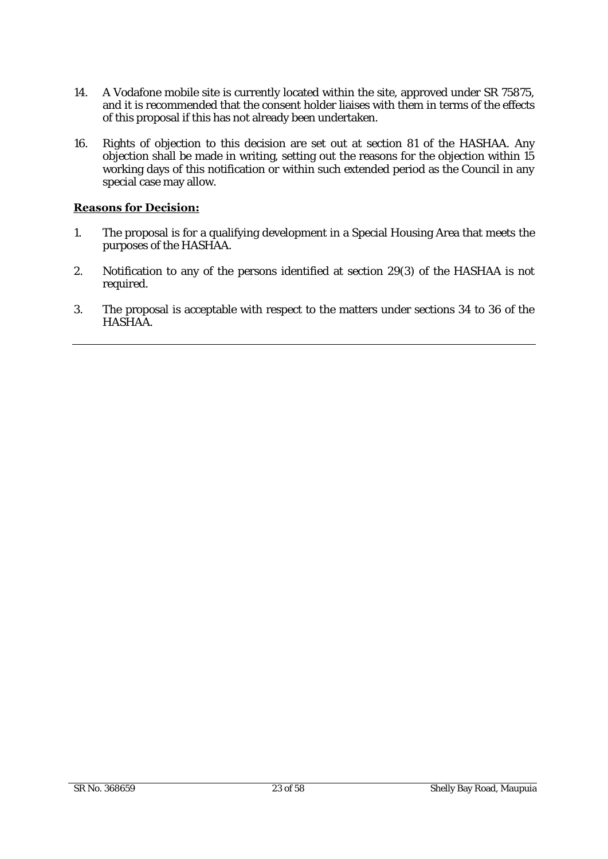- 14. A Vodafone mobile site is currently located within the site, approved under SR 75875, and it is recommended that the consent holder liaises with them in terms of the effects of this proposal if this has not already been undertaken.
- 16. Rights of objection to this decision are set out at section 81 of the HASHAA. Any objection shall be made in writing, setting out the reasons for the objection within 15 working days of this notification or within such extended period as the Council in any special case may allow.

### **Reasons for Decision:**

- 1. The proposal is for a qualifying development in a Special Housing Area that meets the purposes of the HASHAA.
- 2. Notification to any of the persons identified at section 29(3) of the HASHAA is not required.
- 3. The proposal is acceptable with respect to the matters under sections 34 to 36 of the HASHAA.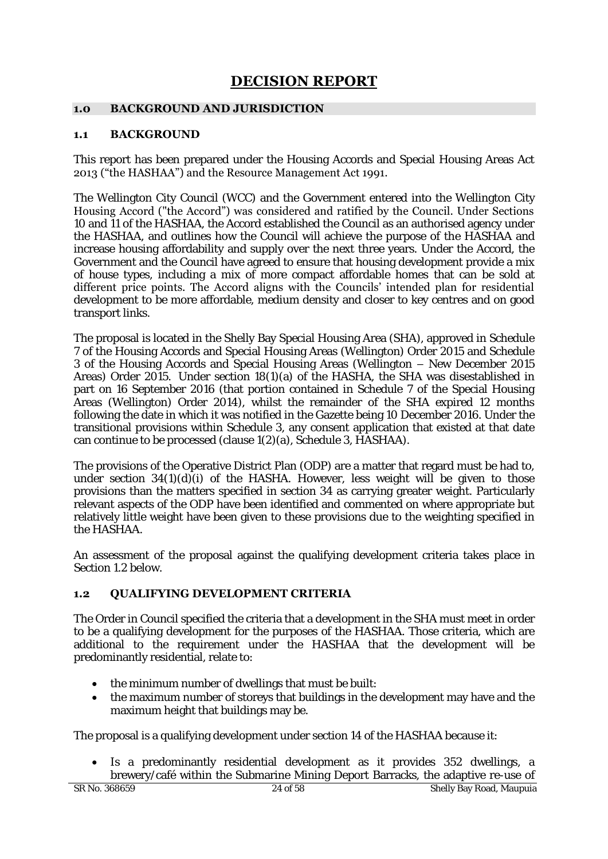# **DECISION REPORT**

# **1.0 BACKGROUND AND JURISDICTION**

### **1.1 BACKGROUND**

This report has been prepared under the Housing Accords and Special Housing Areas Act 2013 ("the HASHAA") and the Resource Management Act 1991.

The Wellington City Council (WCC) and the Government entered into the Wellington City Housing Accord ("the Accord") was considered and ratified by the Council. Under Sections 10 and 11 of the HASHAA, the Accord established the Council as an authorised agency under the HASHAA, and outlines how the Council will achieve the purpose of the HASHAA and increase housing affordability and supply over the next three years. Under the Accord, the Government and the Council have agreed to ensure that housing development provide a mix of house types, including a mix of more compact affordable homes that can be sold at different price points. The Accord aligns with the Councils' intended plan for residential development to be more affordable, medium density and closer to key centres and on good transport links.

The proposal is located in the Shelly Bay Special Housing Area (SHA), approved in Schedule 7 of the Housing Accords and Special Housing Areas (Wellington) Order 2015 and Schedule 3 of the Housing Accords and Special Housing Areas (Wellington – New December 2015 Areas) Order 2015. Under section 18(1)(a) of the HASHA, the SHA was disestablished in part on 16 September 2016 (that portion contained in Schedule 7 of the Special Housing Areas (Wellington) Order 2014), whilst the remainder of the SHA expired 12 months following the date in which it was notified in the Gazette being 10 December 2016. Under the transitional provisions within Schedule 3, any consent application that existed at that date can continue to be processed (clause 1(2)(a), Schedule 3, HASHAA).

The provisions of the Operative District Plan (ODP) are a matter that regard must be had to, under section  $34(1)(d)(i)$  of the HASHA. However, less weight will be given to those provisions than the matters specified in section 34 as carrying greater weight. Particularly relevant aspects of the ODP have been identified and commented on where appropriate but relatively little weight have been given to these provisions due to the weighting specified in the HASHAA.

An assessment of the proposal against the qualifying development criteria takes place in Section 1.2 below.

# **1.2 QUALIFYING DEVELOPMENT CRITERIA**

The Order in Council specified the criteria that a development in the SHA must meet in order to be a qualifying development for the purposes of the HASHAA. Those criteria, which are additional to the requirement under the HASHAA that the development will be predominantly residential, relate to:

- the minimum number of dwellings that must be built:
- the maximum number of storeys that buildings in the development may have and the maximum height that buildings may be.

The proposal is a qualifying development under section 14 of the HASHAA because it:

• Is a predominantly residential development as it provides 352 dwellings, a brewery/café within the Submarine Mining Deport Barracks, the adaptive re-use of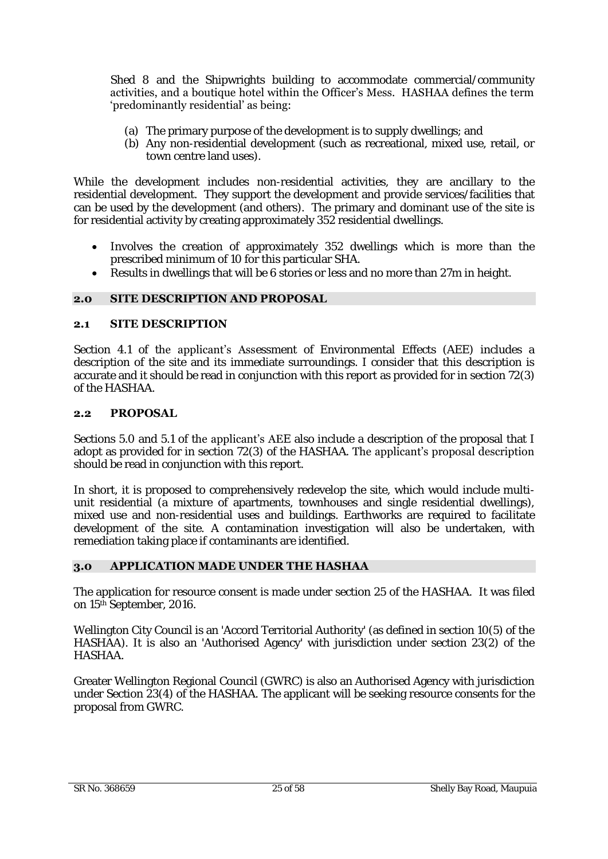Shed 8 and the Shipwrights building to accommodate commercial/community activities, and a boutique hotel within the Officer's Mess. HASHAA defines the term 'predominantly residential' as being:

- (a) The primary purpose of the development is to supply dwellings; and
- (b) Any non-residential development (such as recreational, mixed use, retail, or town centre land uses).

While the development includes non-residential activities, they are ancillary to the residential development. They support the development and provide services/facilities that can be used by the development (and others). The primary and dominant use of the site is for residential activity by creating approximately 352 residential dwellings.

- Involves the creation of approximately 352 dwellings which is more than the prescribed minimum of 10 for this particular SHA.
- Results in dwellings that will be 6 stories or less and no more than 27m in height.

# **2.0 SITE DESCRIPTION AND PROPOSAL**

# **2.1 SITE DESCRIPTION**

Section 4.1 of the applicant's Assessment of Environmental Effects (AEE) includes a description of the site and its immediate surroundings. I consider that this description is accurate and it should be read in conjunction with this report as provided for in section 72(3) of the HASHAA.

# **2.2 PROPOSAL**

Sections 5.0 and 5.1 of the applicant's AEE also include a description of the proposal that I adopt as provided for in section 72(3) of the HASHAA. The applicant's proposal description should be read in conjunction with this report.

In short, it is proposed to comprehensively redevelop the site, which would include multiunit residential (a mixture of apartments, townhouses and single residential dwellings), mixed use and non-residential uses and buildings. Earthworks are required to facilitate development of the site. A contamination investigation will also be undertaken, with remediation taking place if contaminants are identified.

# **3.0 APPLICATION MADE UNDER THE HASHAA**

The application for resource consent is made under section 25 of the HASHAA. It was filed on 15th September, 2016.

Wellington City Council is an 'Accord Territorial Authority' (as defined in section 10(5) of the HASHAA). It is also an 'Authorised Agency' with jurisdiction under section 23(2) of the HASHAA.

Greater Wellington Regional Council (GWRC) is also an Authorised Agency with jurisdiction under Section 23(4) of the HASHAA. The applicant will be seeking resource consents for the proposal from GWRC.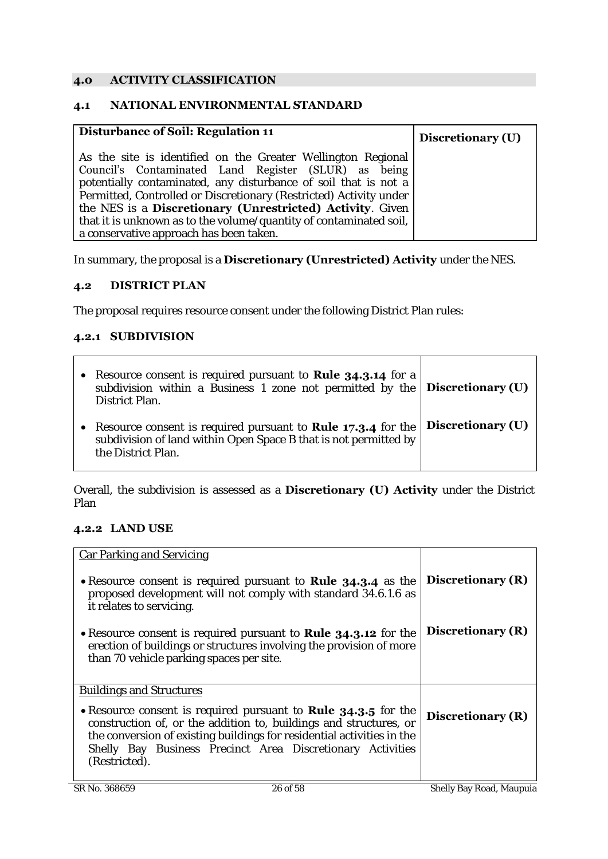# **4.0 ACTIVITY CLASSIFICATION**

### **4.1 NATIONAL ENVIRONMENTAL STANDARD**

| Disturbance of Soil: Regulation 11                                 | Discretionary (U) |
|--------------------------------------------------------------------|-------------------|
| As the site is identified on the Greater Wellington Regional       |                   |
| Council's Contaminated Land Register (SLUR) as being               |                   |
| potentially contaminated, any disturbance of soil that is not a    |                   |
| Permitted, Controlled or Discretionary (Restricted) Activity under |                   |
| the NES is a <b>Discretionary (Unrestricted) Activity</b> . Given  |                   |
| that it is unknown as to the volume/quantity of contaminated soil, |                   |
| a conservative approach has been taken.                            |                   |

In summary, the proposal is a **Discretionary (Unrestricted) Activity** under the NES.

# **4.2 DISTRICT PLAN**

The proposal requires resource consent under the following District Plan rules:

# **4.2.1 SUBDIVISION**

| Resource consent is required pursuant to <b>Rule 34.3.14</b> for a<br>subdivision within a Business 1 zone not permitted by the $ \text{Discretionary}(U) $<br>District Plan. |                   |
|-------------------------------------------------------------------------------------------------------------------------------------------------------------------------------|-------------------|
| Resource consent is required pursuant to <b>Rule 17.3.4</b> for the<br>subdivision of land within Open Space B that is not permitted by<br>the District Plan.                 | Discretionary (U) |

Overall, the subdivision is assessed as a **Discretionary (U) Activity** under the District Plan

# **4.2.2 LAND USE**

| Car Parking and Servicing                                                                                                                                                                                                                                                                           |                   |
|-----------------------------------------------------------------------------------------------------------------------------------------------------------------------------------------------------------------------------------------------------------------------------------------------------|-------------------|
| • Resource consent is required pursuant to Rule 34.3.4 as the<br>proposed development will not comply with standard 34.6.1.6 as<br>it relates to servicing.                                                                                                                                         | Discretionary (R) |
| • Resource consent is required pursuant to <b>Rule 34.3.12</b> for the<br>erection of buildings or structures involving the provision of more<br>than 70 vehicle parking spaces per site.                                                                                                           | Discretionary (R) |
| <b>Buildings and Structures</b>                                                                                                                                                                                                                                                                     |                   |
| • Resource consent is required pursuant to <b>Rule 34.3.5</b> for the<br>construction of, or the addition to, buildings and structures, or<br>the conversion of existing buildings for residential activities in the<br>Shelly Bay Business Precinct Area Discretionary Activities<br>(Restricted). | Discretionary (R) |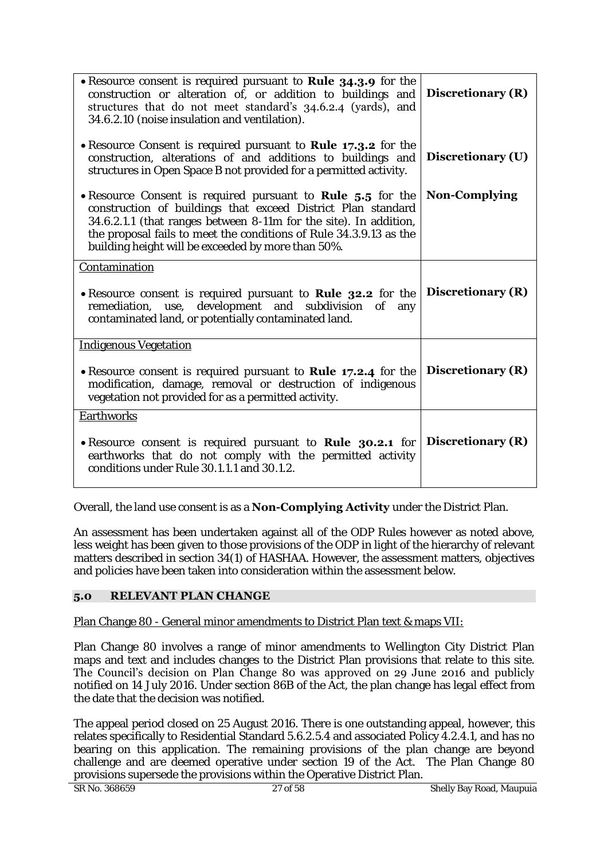| • Resource consent is required pursuant to Rule 34.3.9 for the<br>construction or alteration of, or addition to buildings and<br>structures that do not meet standard's 34.6.2.4 (yards), and<br>34.6.2.10 (noise insulation and ventilation).                                                                                      | Discretionary (R) |
|-------------------------------------------------------------------------------------------------------------------------------------------------------------------------------------------------------------------------------------------------------------------------------------------------------------------------------------|-------------------|
| • Resource Consent is required pursuant to <b>Rule 17.3.2</b> for the<br>construction, alterations of and additions to buildings and<br>structures in Open Space B not provided for a permitted activity.                                                                                                                           | Discretionary (U) |
| • Resource Consent is required pursuant to <b>Rule 5.5</b> for the<br>construction of buildings that exceed District Plan standard<br>34.6.2.1.1 (that ranges between 8-11m for the site). In addition,<br>the proposal fails to meet the conditions of Rule 34.3.9.13 as the<br>building height will be exceeded by more than 50%. | Non-Complying     |
| Contamination<br>. Resource consent is required pursuant to Rule 32.2 for the<br>remediation, use, development and subdivision of<br>any<br>contaminated land, or potentially contaminated land.                                                                                                                                    | Discretionary (R) |
| <b>Indigenous Vegetation</b>                                                                                                                                                                                                                                                                                                        |                   |
| • Resource consent is required pursuant to <b>Rule 17.2.4</b> for the<br>modification, damage, removal or destruction of indigenous<br>vegetation not provided for as a permitted activity.                                                                                                                                         | Discretionary (R) |
| Earthworks                                                                                                                                                                                                                                                                                                                          |                   |
| • Resource consent is required pursuant to Rule 30.2.1 for<br>earthworks that do not comply with the permitted activity<br>conditions under Rule 30.1.1.1 and 30.1.2.                                                                                                                                                               | Discretionary (R) |

Overall, the land use consent is as a **Non-Complying Activity** under the District Plan.

An assessment has been undertaken against all of the ODP Rules however as noted above, less weight has been given to those provisions of the ODP in light of the hierarchy of relevant matters described in section 34(1) of HASHAA. However, the assessment matters, objectives and policies have been taken into consideration within the assessment below.

# **5.0 RELEVANT PLAN CHANGE**

# Plan Change 80 - General minor amendments to District Plan text & maps VII:

Plan Change 80 involves a range of minor amendments to Wellington City District Plan maps and text and includes changes to the District Plan provisions that relate to this site. The Council's decision on Plan Change 80 was approved on 29 June 2016 and publicly notified on 14 July 2016. Under section 86B of the Act, the plan change has legal effect from the date that the decision was notified.

The appeal period closed on 25 August 2016. There is one outstanding appeal, however, this relates specifically to Residential Standard 5.6.2.5.4 and associated Policy 4.2.4.1, and has no bearing on this application. The remaining provisions of the plan change are beyond challenge and are deemed operative under section 19 of the Act. The Plan Change 80 provisions supersede the provisions within the Operative District Plan.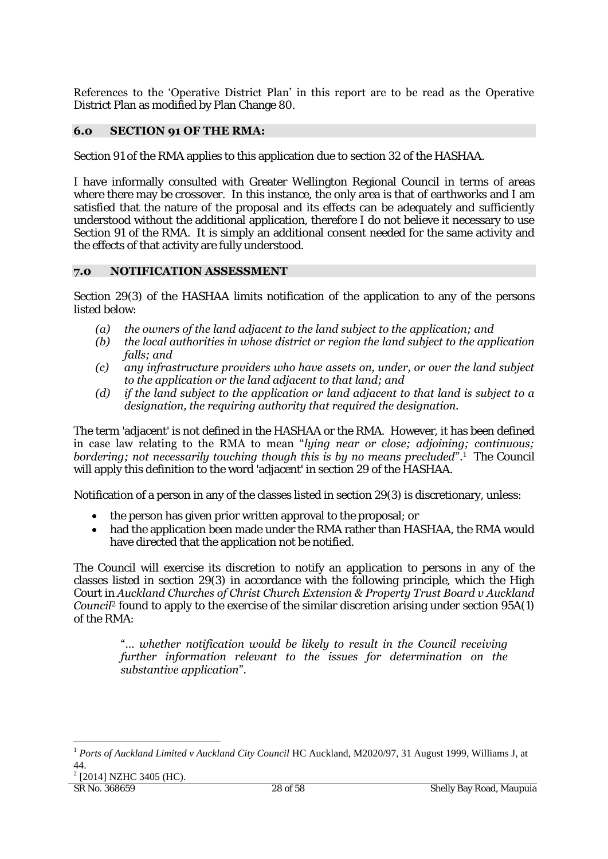References to the 'Operative District Plan' in this report are to be read as the Operative District Plan as modified by Plan Change 80.

# **6.0 SECTION 91 OF THE RMA:**

Section 91 of the RMA applies to this application due to section 32 of the HASHAA.

I have informally consulted with Greater Wellington Regional Council in terms of areas where there may be crossover. In this instance, the only area is that of earthworks and I am satisfied that the nature of the proposal and its effects can be adequately and sufficiently understood without the additional application, therefore I do not believe it necessary to use Section 91 of the RMA. It is simply an additional consent needed for the same activity and the effects of that activity are fully understood.

# **7.0 NOTIFICATION ASSESSMENT**

Section 29(3) of the HASHAA limits notification of the application to any of the persons listed below:

- *(a) the owners of the land adjacent to the land subject to the application; and*
- *(b) the local authorities in whose district or region the land subject to the application falls; and*
- *(c) any infrastructure providers who have assets on, under, or over the land subject to the application or the land adjacent to that land; and*
- *(d) if the land subject to the application or land adjacent to that land is subject to a designation, the requiring authority that required the designation.*

The term 'adjacent' is not defined in the HASHAA or the RMA. However, it has been defined in case law relating to the RMA to mean "*lying near or close; adjoining; continuous;*  **bordering; not necessarily touching though this is by no means precluded".** The Council will apply this definition to the word 'adjacent' in section 29 of the HASHAA.

Notification of a person in any of the classes listed in section 29(3) is discretionary, unless:

- the person has given prior written approval to the proposal; or
- had the application been made under the RMA rather than HASHAA, the RMA would have directed that the application not be notified.

The Council will exercise its discretion to notify an application to persons in any of the classes listed in section 29(3) in accordance with the following principle, which the High Court in *Auckland Churches of Christ Church Extension & Property Trust Board v Auckland*  **Council**<sup>2</sup> found to apply to the exercise of the similar discretion arising under section 95A(1) of the RMA:

"… *whether notification would be likely to result in the Council receiving further information relevant to the issues for determination on the substantive application*".

 $2$  [2014] NZHC 3405 (HC).

1

<sup>1</sup> *Ports of Auckland Limited v Auckland City Council* HC Auckland, M2020/97, 31 August 1999, Williams J, at 44.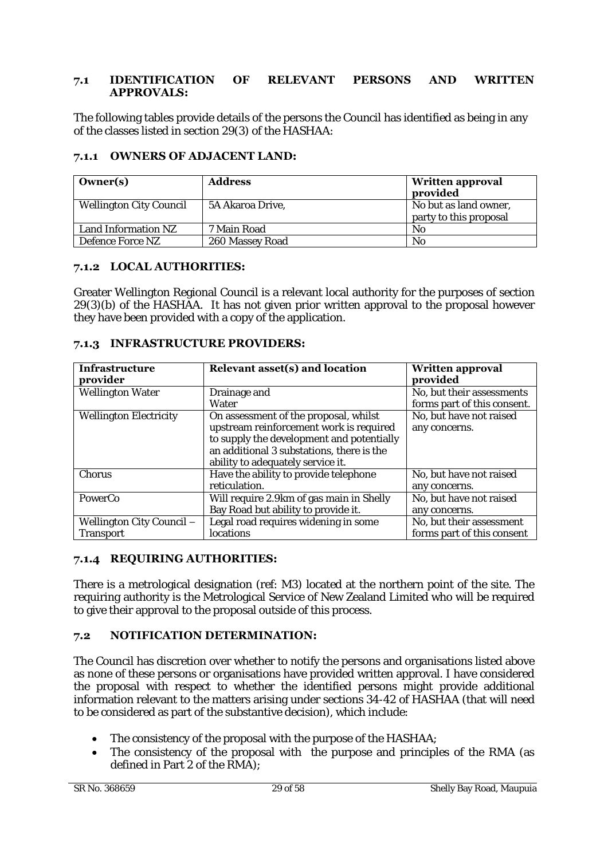# **7.1 IDENTIFICATION OF RELEVANT PERSONS AND WRITTEN APPROVALS:**

The following tables provide details of the persons the Council has identified as being in any of the classes listed in section 29(3) of the HASHAA:

|  | 7.1.1 OWNERS OF ADJACENT LAND: |  |
|--|--------------------------------|--|
|--|--------------------------------|--|

| Owner(s)                | <b>Address</b>   | <b>Written approval</b><br>provided             |
|-------------------------|------------------|-------------------------------------------------|
| Wellington City Council | 5A Akaroa Drive, | No but as land owner,<br>party to this proposal |
| Land Information NZ     | 7 Main Road      | No.                                             |
| Defence Force NZ        | 260 Massey Road  | No                                              |

# **7.1.2 LOCAL AUTHORITIES:**

Greater Wellington Regional Council is a relevant local authority for the purposes of section 29(3)(b) of the HASHAA. It has not given prior written approval to the proposal however they have been provided with a copy of the application.

| 7.1.3 INFRASTRUCTURE PROVIDERS: |  |
|---------------------------------|--|
|                                 |  |

| Infrastructure<br>provider             | Relevant asset(s) and location                                                                                                                                                                                  | <b>Written approval</b><br>provided                      |
|----------------------------------------|-----------------------------------------------------------------------------------------------------------------------------------------------------------------------------------------------------------------|----------------------------------------------------------|
| Wellington Water                       | Drainage and<br>Water                                                                                                                                                                                           | No, but their assessments<br>forms part of this consent. |
| <b>Wellington Electricity</b>          | On assessment of the proposal, whilst<br>upstream reinforcement work is required<br>to supply the development and potentially<br>an additional 3 substations, there is the<br>ability to adequately service it. | No, but have not raised<br>any concerns.                 |
| Chorus                                 | Have the ability to provide telephone<br>reticulation.                                                                                                                                                          | No, but have not raised<br>any concerns.                 |
| PowerCo                                | Will require 2.9km of gas main in Shelly<br>Bay Road but ability to provide it.                                                                                                                                 | No, but have not raised<br>any concerns.                 |
| Wellington City Council -<br>Transport | Legal road requires widening in some<br>locations                                                                                                                                                               | No, but their assessment<br>forms part of this consent   |

# **7.1.4 REQUIRING AUTHORITIES:**

There is a metrological designation (ref: M3) located at the northern point of the site. The requiring authority is the Metrological Service of New Zealand Limited who will be required to give their approval to the proposal outside of this process.

# **7.2 NOTIFICATION DETERMINATION:**

The Council has discretion over whether to notify the persons and organisations listed above as none of these persons or organisations have provided written approval. I have considered the proposal with respect to whether the identified persons might provide additional information relevant to the matters arising under sections 34-42 of HASHAA (that will need to be considered as part of the substantive decision), which include:

- The consistency of the proposal with the purpose of the HASHAA;
- The consistency of the proposal with the purpose and principles of the RMA (as defined in Part 2 of the RMA);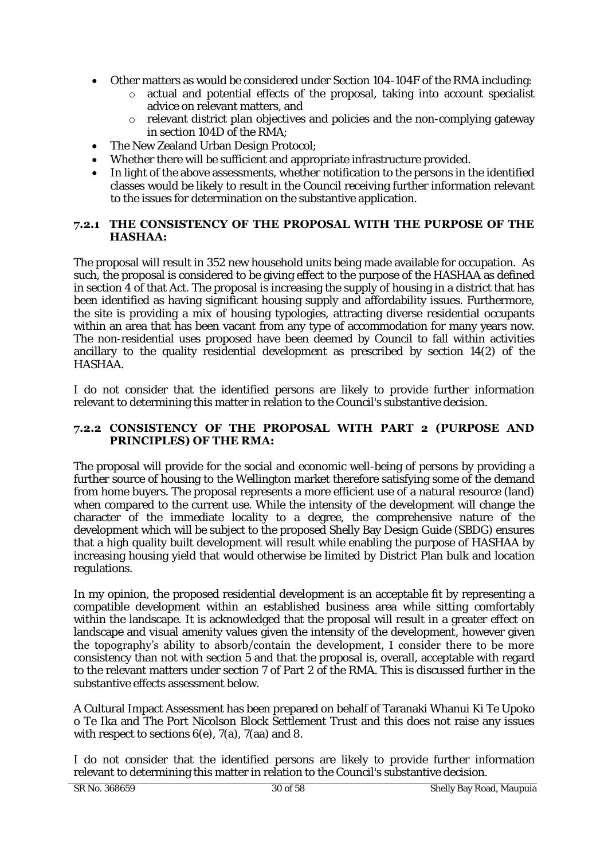- Other matters as would be considered under Section 104-104F of the RMA including:
	- o actual and potential effects of the proposal, taking into account specialist advice on relevant matters, and
	- o relevant district plan objectives and policies and the non-complying gateway in section 104D of the RMA;
- The New Zealand Urban Design Protocol;
- Whether there will be sufficient and appropriate infrastructure provided.
- In light of the above assessments, whether notification to the persons in the identified classes would be likely to result in the Council receiving further information relevant to the issues for determination on the substantive application.

# **7.2.1 THE CONSISTENCY OF THE PROPOSAL WITH THE PURPOSE OF THE HASHAA:**

The proposal will result in 352 new household units being made available for occupation. As such, the proposal is considered to be giving effect to the purpose of the HASHAA as defined in section 4 of that Act. The proposal is increasing the supply of housing in a district that has been identified as having significant housing supply and affordability issues. Furthermore, the site is providing a mix of housing typologies, attracting diverse residential occupants within an area that has been vacant from any type of accommodation for many years now. The non-residential uses proposed have been deemed by Council to fall within activities ancillary to the quality residential development as prescribed by section 14(2) of the HASHAA.

I do not consider that the identified persons are likely to provide further information relevant to determining this matter in relation to the Council's substantive decision.

# **7.2.2 CONSISTENCY OF THE PROPOSAL WITH PART 2 (PURPOSE AND PRINCIPLES) OF THE RMA:**

The proposal will provide for the social and economic well-being of persons by providing a further source of housing to the Wellington market therefore satisfying some of the demand from home buyers. The proposal represents a more efficient use of a natural resource (land) when compared to the current use. While the intensity of the development will change the character of the immediate locality to a degree, the comprehensive nature of the development which will be subject to the proposed Shelly Bay Design Guide (SBDG) ensures that a high quality built development will result while enabling the purpose of HASHAA by increasing housing yield that would otherwise be limited by District Plan bulk and location regulations.

In my opinion, the proposed residential development is an acceptable fit by representing a compatible development within an established business area while sitting comfortably within the landscape. It is acknowledged that the proposal will result in a greater effect on landscape and visual amenity values given the intensity of the development, however given the topography's ability to absorb/contain the development, I consider there to be more consistency than not with section 5 and that the proposal is, overall, acceptable with regard to the relevant matters under section 7 of Part 2 of the RMA. This is discussed further in the substantive effects assessment below.

A Cultural Impact Assessment has been prepared on behalf of Taranaki Whanui Ki Te Upoko o Te Ika and The Port Nicolson Block Settlement Trust and this does not raise any issues with respect to sections 6(e), 7(a), 7(aa) and 8.

I do not consider that the identified persons are likely to provide further information relevant to determining this matter in relation to the Council's substantive decision.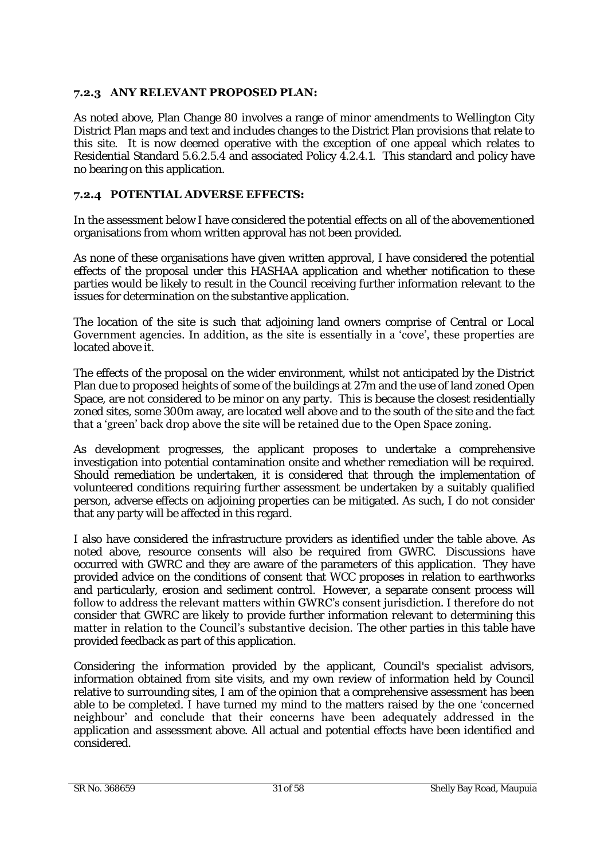# **7.2.3 ANY RELEVANT PROPOSED PLAN:**

As noted above, Plan Change 80 involves a range of minor amendments to Wellington City District Plan maps and text and includes changes to the District Plan provisions that relate to this site. It is now deemed operative with the exception of one appeal which relates to Residential Standard 5.6.2.5.4 and associated Policy 4.2.4.1. This standard and policy have no bearing on this application.

# **7.2.4 POTENTIAL ADVERSE EFFECTS:**

In the assessment below I have considered the potential effects on all of the abovementioned organisations from whom written approval has not been provided.

As none of these organisations have given written approval, I have considered the potential effects of the proposal under this HASHAA application and whether notification to these parties would be likely to result in the Council receiving further information relevant to the issues for determination on the substantive application.

The location of the site is such that adjoining land owners comprise of Central or Local Government agencies. In addition, as the site is essentially in a 'cove', these properties are located above it.

The effects of the proposal on the wider environment, whilst not anticipated by the District Plan due to proposed heights of some of the buildings at 27m and the use of land zoned Open Space, are not considered to be minor on any party. This is because the closest residentially zoned sites, some 300m away, are located well above and to the south of the site and the fact that a 'green' back drop above the site will be retained due to the Open Space zoning.

As development progresses, the applicant proposes to undertake a comprehensive investigation into potential contamination onsite and whether remediation will be required. Should remediation be undertaken, it is considered that through the implementation of volunteered conditions requiring further assessment be undertaken by a suitably qualified person, adverse effects on adjoining properties can be mitigated. As such, I do not consider that any party will be affected in this regard.

I also have considered the infrastructure providers as identified under the table above. As noted above, resource consents will also be required from GWRC. Discussions have occurred with GWRC and they are aware of the parameters of this application. They have provided advice on the conditions of consent that WCC proposes in relation to earthworks and particularly, erosion and sediment control. However, a separate consent process will follow to address the relevant matters within GWRC's consent jurisdiction. I therefore do not consider that GWRC are likely to provide further information relevant to determining this matter in relation to the Council's substantive decision. The other parties in this table have provided feedback as part of this application.

Considering the information provided by the applicant, Council's specialist advisors, information obtained from site visits, and my own review of information held by Council relative to surrounding sites, I am of the opinion that a comprehensive assessment has been able to be completed. I have turned my mind to the matters raised by the one 'concerned neighbour' and conclude that their concerns have been adequately addressed in the application and assessment above. All actual and potential effects have been identified and considered.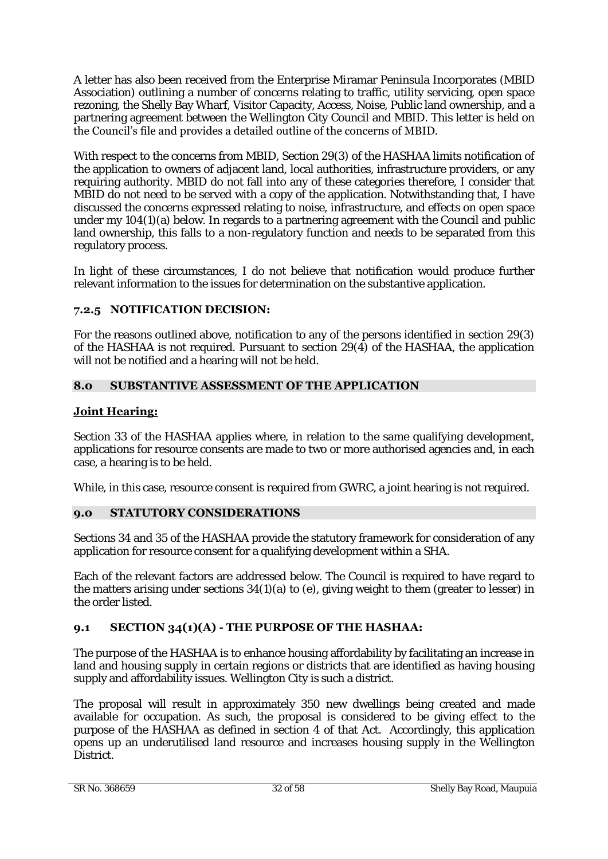A letter has also been received from the Enterprise Miramar Peninsula Incorporates (MBID Association) outlining a number of concerns relating to traffic, utility servicing, open space rezoning, the Shelly Bay Wharf, Visitor Capacity, Access, Noise, Public land ownership, and a partnering agreement between the Wellington City Council and MBID. This letter is held on the Council's file and provides a detailed outline of the concerns of MBID.

With respect to the concerns from MBID, Section 29(3) of the HASHAA limits notification of the application to owners of adjacent land, local authorities, infrastructure providers, or any requiring authority. MBID do not fall into any of these categories therefore, I consider that MBID do not need to be served with a copy of the application. Notwithstanding that, I have discussed the concerns expressed relating to noise, infrastructure, and effects on open space under my 104(1)(a) below. In regards to a partnering agreement with the Council and public land ownership, this falls to a non-regulatory function and needs to be separated from this regulatory process.

In light of these circumstances, I do not believe that notification would produce further relevant information to the issues for determination on the substantive application.

# **7.2.5 NOTIFICATION DECISION:**

For the reasons outlined above, notification to any of the persons identified in section 29(3) of the HASHAA is not required. Pursuant to section 29(4) of the HASHAA, the application will not be notified and a hearing will not be held.

# **8.0 SUBSTANTIVE ASSESSMENT OF THE APPLICATION**

# **Joint Hearing:**

Section 33 of the HASHAA applies where, in relation to the same qualifying development, applications for resource consents are made to two or more authorised agencies and, in each case, a hearing is to be held.

While, in this case, resource consent is required from GWRC, a joint hearing is not required.

# **9.0 STATUTORY CONSIDERATIONS**

Sections 34 and 35 of the HASHAA provide the statutory framework for consideration of any application for resource consent for a qualifying development within a SHA.

Each of the relevant factors are addressed below. The Council is required to have regard to the matters arising under sections  $34(1)(a)$  to (e), giving weight to them (greater to lesser) in the order listed.

# **9.1 SECTION 34(1)(A) - THE PURPOSE OF THE HASHAA:**

The purpose of the HASHAA is to enhance housing affordability by facilitating an increase in land and housing supply in certain regions or districts that are identified as having housing supply and affordability issues. Wellington City is such a district.

The proposal will result in approximately 350 new dwellings being created and made available for occupation. As such, the proposal is considered to be giving effect to the purpose of the HASHAA as defined in section 4 of that Act. Accordingly, this application opens up an underutilised land resource and increases housing supply in the Wellington District.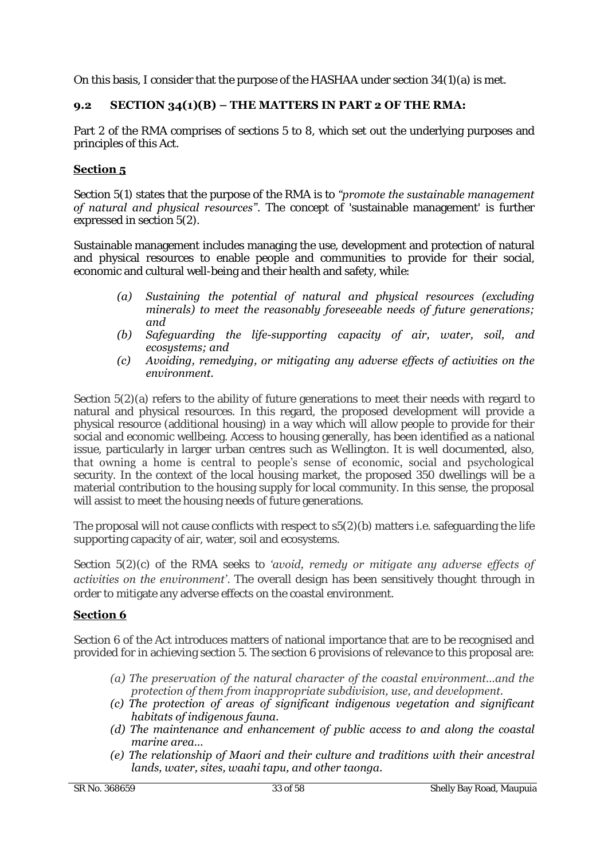On this basis, I consider that the purpose of the HASHAA under section 34(1)(a) is met.

# **9.2 SECTION 34(1)(B) – THE MATTERS IN PART 2 OF THE RMA:**

Part 2 of the RMA comprises of sections 5 to 8, which set out the underlying purposes and principles of this Act.

# **Section 5**

Section 5(1) states that the purpose of the RMA is to *"promote the sustainable management of natural and physical resources"*. The concept of 'sustainable management' is further expressed in section 5(2).

Sustainable management includes managing the use, development and protection of natural and physical resources to enable people and communities to provide for their social, economic and cultural well-being and their health and safety, while:

- *(a) Sustaining the potential of natural and physical resources (excluding minerals) to meet the reasonably foreseeable needs of future generations; and*
- *(b) Safeguarding the life-supporting capacity of air, water, soil, and ecosystems; and*
- *(c) Avoiding, remedying, or mitigating any adverse effects of activities on the environment.*

Section 5(2)(a) refers to the ability of future generations to meet their needs with regard to natural and physical resources. In this regard, the proposed development will provide a physical resource (additional housing) in a way which will allow people to provide for their social and economic wellbeing. Access to housing generally, has been identified as a national issue, particularly in larger urban centres such as Wellington. It is well documented, also, that owning a home is central to people's sense of economic, social and psychological security. In the context of the local housing market, the proposed 350 dwellings will be a material contribution to the housing supply for local community. In this sense, the proposal will assist to meet the housing needs of future generations.

The proposal will not cause conflicts with respect to  $s5(2)(b)$  matters i.e. safeguarding the life supporting capacity of air, water, soil and ecosystems.

Section 5(2)(c) of the RMA seeks to *'avoid, remedy or mitigate any adverse effects of activities on the environment*'. The overall design has been sensitively thought through in order to mitigate any adverse effects on the coastal environment.

# **Section 6**

Section 6 of the Act introduces matters of national importance that are to be recognised and provided for in achieving section 5. The section 6 provisions of relevance to this proposal are:

- *(a) The preservation of the natural character of the coastal environment…and the protection of them from inappropriate subdivision, use, and development.*
- *(c) The protection of areas of significant indigenous vegetation and significant habitats of indigenous fauna.*
- *(d) The maintenance and enhancement of public access to and along the coastal marine area…*
- *(e) The relationship of Maori and their culture and traditions with their ancestral lands, water, sites, waahi tapu, and other taonga.*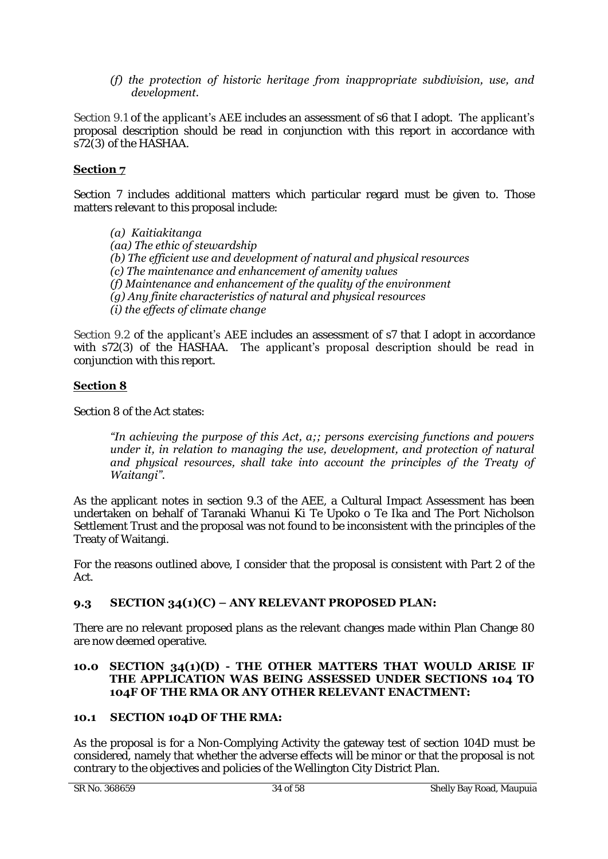# *(f) the protection of historic heritage from inappropriate subdivision, use, and development.*

Section 9.1 of the applicant's AEE includes an assessment of s6 that I adopt. The applicant's proposal description should be read in conjunction with this report in accordance with s72(3) of the HASHAA.

# **Section 7**

Section 7 includes additional matters which particular regard must be given to. Those matters relevant to this proposal include:

*(a) Kaitiakitanga (aa) The ethic of stewardship (b) The efficient use and development of natural and physical resources (c) The maintenance and enhancement of amenity values (f) Maintenance and enhancement of the quality of the environment (g) Any finite characteristics of natural and physical resources (i) the effects of climate change* 

Section 9.2 of the applicant's AEE includes an assessment of s7 that I adopt in accordance with s72(3) of the HASHAA. The applicant's proposal description should be read in conjunction with this report.

# **Section 8**

Section 8 of the Act states:

#### *"In achieving the purpose of this Act, a;; persons exercising functions and powers under it, in relation to managing the use, development, and protection of natural*  and physical resources, shall take into account the principles of the Treaty of *Waitangi".*

As the applicant notes in section 9.3 of the AEE, a Cultural Impact Assessment has been undertaken on behalf of Taranaki Whanui Ki Te Upoko o Te Ika and The Port Nicholson Settlement Trust and the proposal was not found to be inconsistent with the principles of the Treaty of Waitangi.

For the reasons outlined above, I consider that the proposal is consistent with Part 2 of the Act.

# **9.3 SECTION 34(1)(C) – ANY RELEVANT PROPOSED PLAN:**

There are no relevant proposed plans as the relevant changes made within Plan Change 80 are now deemed operative.

#### **10.0 SECTION 34(1)(D) - THE OTHER MATTERS THAT WOULD ARISE IF THE APPLICATION WAS BEING ASSESSED UNDER SECTIONS 104 TO 104F OF THE RMA OR ANY OTHER RELEVANT ENACTMENT:**

# **10.1 SECTION 104D OF THE RMA:**

As the proposal is for a Non-Complying Activity the gateway test of section 104D must be considered, namely that whether the adverse effects will be minor or that the proposal is not contrary to the objectives and policies of the Wellington City District Plan.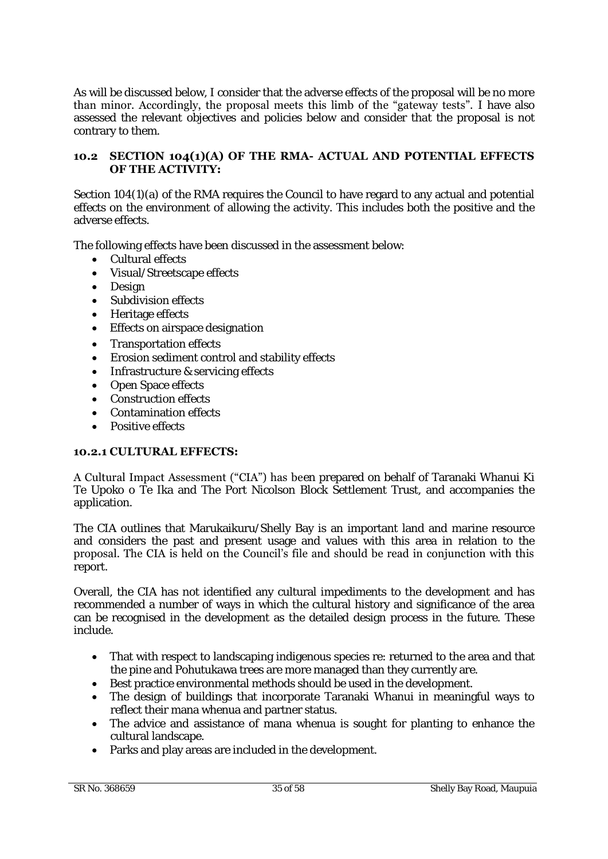As will be discussed below, I consider that the adverse effects of the proposal will be no more than minor. Accordingly, the proposal meets this limb of the "gateway tests". I have also assessed the relevant objectives and policies below and consider that the proposal is not contrary to them.

#### **10.2 SECTION 104(1)(A) OF THE RMA- ACTUAL AND POTENTIAL EFFECTS OF THE ACTIVITY:**

Section 104(1)(a) of the RMA requires the Council to have regard to any actual and potential effects on the environment of allowing the activity. This includes both the positive and the adverse effects.

The following effects have been discussed in the assessment below:

- Cultural effects
- Visual/Streetscape effects
- Design
- Subdivision effects
- Heritage effects
- Effects on airspace designation
- Transportation effects
- Erosion sediment control and stability effects
- Infrastructure & servicing effects
- Open Space effects
- Construction effects
- Contamination effects
- Positive effects

#### **10.2.1 CULTURAL EFFECTS:**

A Cultural Impact Assessment ("CIA") has been prepared on behalf of Taranaki Whanui Ki Te Upoko o Te Ika and The Port Nicolson Block Settlement Trust, and accompanies the application.

The CIA outlines that Marukaikuru/Shelly Bay is an important land and marine resource and considers the past and present usage and values with this area in relation to the proposal. The CIA is held on the Council's file and should be read in conjunction with this report.

Overall, the CIA has not identified any cultural impediments to the development and has recommended a number of ways in which the cultural history and significance of the area can be recognised in the development as the detailed design process in the future. These include.

- That with respect to landscaping indigenous species re: returned to the area and that the pine and Pohutukawa trees are more managed than they currently are.
- Best practice environmental methods should be used in the development.
- The design of buildings that incorporate Taranaki Whanui in meaningful ways to reflect their mana whenua and partner status.
- The advice and assistance of mana whenua is sought for planting to enhance the cultural landscape.
- Parks and play areas are included in the development.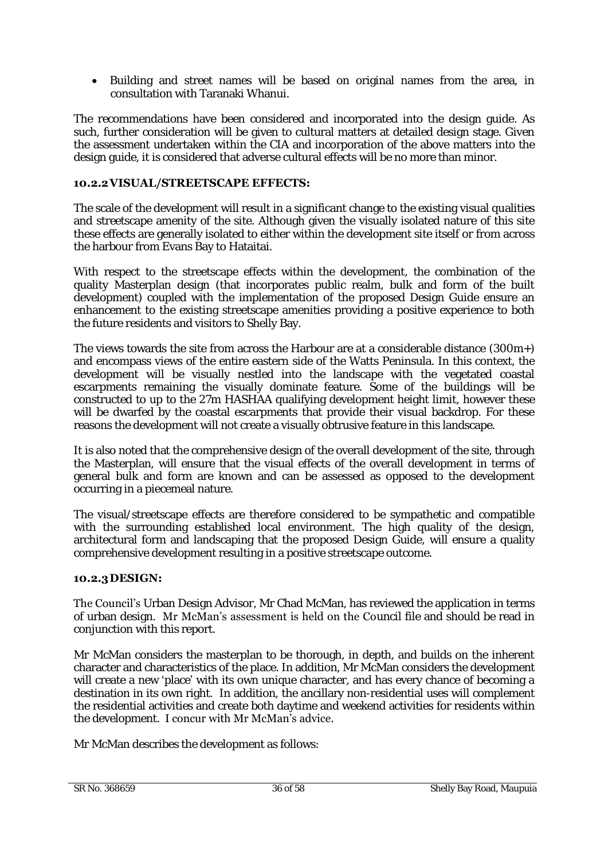• Building and street names will be based on original names from the area, in consultation with Taranaki Whanui.

The recommendations have been considered and incorporated into the design guide. As such, further consideration will be given to cultural matters at detailed design stage. Given the assessment undertaken within the CIA and incorporation of the above matters into the design guide, it is considered that adverse cultural effects will be no more than minor.

### **10.2.2 VISUAL/STREETSCAPE EFFECTS:**

The scale of the development will result in a significant change to the existing visual qualities and streetscape amenity of the site. Although given the visually isolated nature of this site these effects are generally isolated to either within the development site itself or from across the harbour from Evans Bay to Hataitai.

With respect to the streetscape effects within the development, the combination of the quality Masterplan design (that incorporates public realm, bulk and form of the built development) coupled with the implementation of the proposed Design Guide ensure an enhancement to the existing streetscape amenities providing a positive experience to both the future residents and visitors to Shelly Bay.

The views towards the site from across the Harbour are at a considerable distance (300m+) and encompass views of the entire eastern side of the Watts Peninsula. In this context, the development will be visually nestled into the landscape with the vegetated coastal escarpments remaining the visually dominate feature. Some of the buildings will be constructed to up to the 27m HASHAA qualifying development height limit, however these will be dwarfed by the coastal escarpments that provide their visual backdrop. For these reasons the development will not create a visually obtrusive feature in this landscape.

It is also noted that the comprehensive design of the overall development of the site, through the Masterplan, will ensure that the visual effects of the overall development in terms of general bulk and form are known and can be assessed as opposed to the development occurring in a piecemeal nature.

The visual/streetscape effects are therefore considered to be sympathetic and compatible with the surrounding established local environment. The high quality of the design, architectural form and landscaping that the proposed Design Guide, will ensure a quality comprehensive development resulting in a positive streetscape outcome.

#### **10.2.3 DESIGN:**

The Council's Urban Design Advisor, Mr Chad McMan, has reviewed the application in terms of urban design. Mr McMan's assessment is held on the Council file and should be read in conjunction with this report.

Mr McMan considers the masterplan to be thorough, in depth, and builds on the inherent character and characteristics of the place. In addition, Mr McMan considers the development will create a new 'place' with its own unique character, and has every chance of becoming a destination in its own right. In addition, the ancillary non-residential uses will complement the residential activities and create both daytime and weekend activities for residents within the development. I concur with Mr McMan's advice.

Mr McMan describes the development as follows: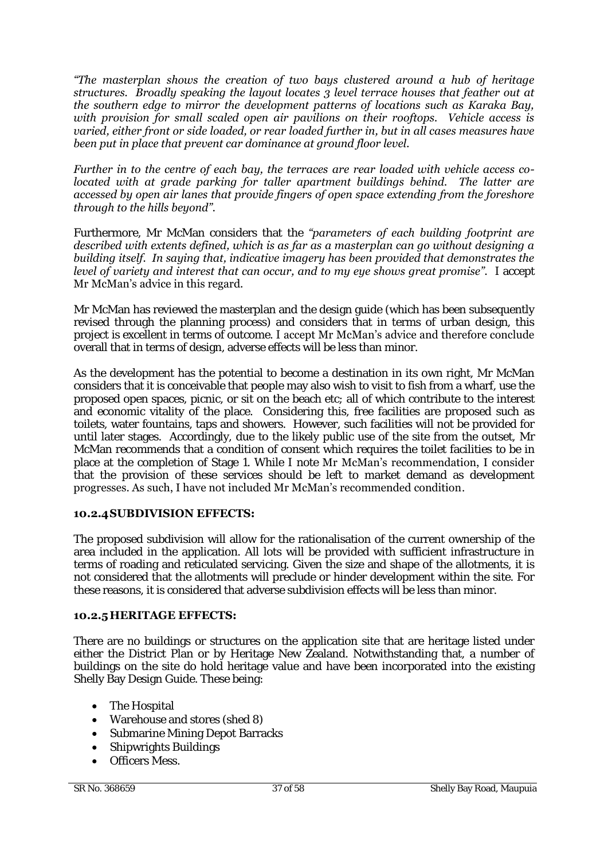*"The masterplan shows the creation of two bays clustered around a hub of heritage structures. Broadly speaking the layout locates 3 level terrace houses that feather out at the southern edge to mirror the development patterns of locations such as Karaka Bay, with provision for small scaled open air pavilions on their rooftops. Vehicle access is varied, either front or side loaded, or rear loaded further in, but in all cases measures have been put in place that prevent car dominance at ground floor level.* 

*Further in to the centre of each bay, the terraces are rear loaded with vehicle access colocated with at grade parking for taller apartment buildings behind. The latter are accessed by open air lanes that provide fingers of open space extending from the foreshore through to the hills beyond".*

Furthermore, Mr McMan considers that the *"parameters of each building footprint are described with extents defined, which is as far as a masterplan can go without designing a building itself. In saying that, indicative imagery has been provided that demonstrates the level of variety and interest that can occur, and to my eye shows great promise".* I accept Mr McMan's advice in this regard.

Mr McMan has reviewed the masterplan and the design guide (which has been subsequently revised through the planning process) and considers that in terms of urban design, this project is excellent in terms of outcome. I accept Mr McMan's advice and therefore conclude overall that in terms of design, adverse effects will be less than minor.

As the development has the potential to become a destination in its own right, Mr McMan considers that it is conceivable that people may also wish to visit to fish from a wharf, use the proposed open spaces, picnic, or sit on the beach etc; all of which contribute to the interest and economic vitality of the place. Considering this, free facilities are proposed such as toilets, water fountains, taps and showers. However, such facilities will not be provided for until later stages. Accordingly, due to the likely public use of the site from the outset, Mr McMan recommends that a condition of consent which requires the toilet facilities to be in place at the completion of Stage 1. While I note Mr McMan's recommendation, I consider that the provision of these services should be left to market demand as development progresses. As such, I have not included Mr McMan's recommended condition.

# **10.2.4 SUBDIVISION EFFECTS:**

The proposed subdivision will allow for the rationalisation of the current ownership of the area included in the application. All lots will be provided with sufficient infrastructure in terms of roading and reticulated servicing. Given the size and shape of the allotments, it is not considered that the allotments will preclude or hinder development within the site. For these reasons, it is considered that adverse subdivision effects will be less than minor.

# **10.2.5 HERITAGE EFFECTS:**

There are no buildings or structures on the application site that are heritage listed under either the District Plan or by Heritage New Zealand. Notwithstanding that, a number of buildings on the site do hold heritage value and have been incorporated into the existing Shelly Bay Design Guide. These being:

- The Hospital
- Warehouse and stores (shed 8)
- Submarine Mining Depot Barracks
- Shipwrights Buildings
- **•** Officers Mess.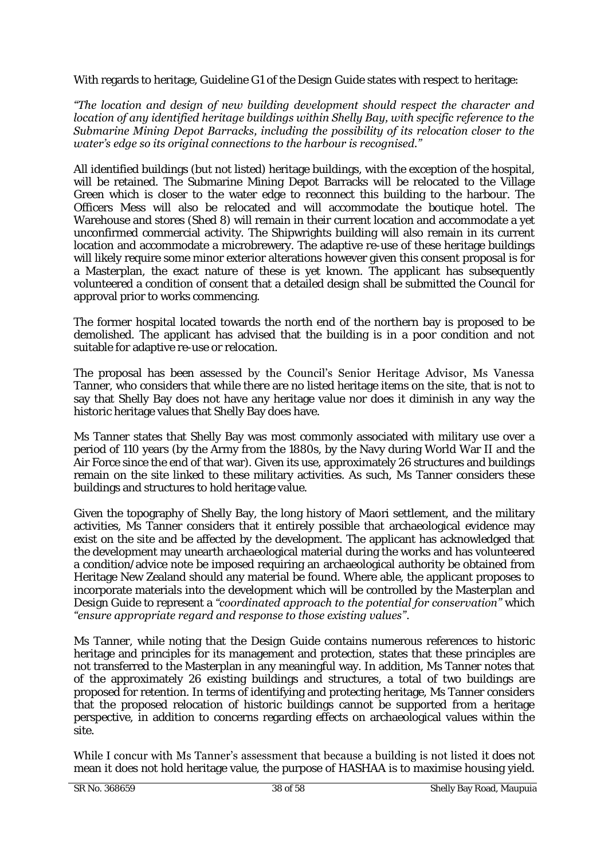With regards to heritage, Guideline G1 of the Design Guide states with respect to heritage:

#### *"The location and design of new building development should respect the character and location of any identified heritage buildings within Shelly Bay, with specific reference to the Submarine Mining Depot Barracks, including the possibility of its relocation closer to the water's edge so its original connections to the harbour is recognised."*

All identified buildings (but not listed) heritage buildings, with the exception of the hospital, will be retained. The Submarine Mining Depot Barracks will be relocated to the Village Green which is closer to the water edge to reconnect this building to the harbour. The Officers Mess will also be relocated and will accommodate the boutique hotel. The Warehouse and stores (Shed 8) will remain in their current location and accommodate a yet unconfirmed commercial activity. The Shipwrights building will also remain in its current location and accommodate a microbrewery. The adaptive re-use of these heritage buildings will likely require some minor exterior alterations however given this consent proposal is for a Masterplan, the exact nature of these is yet known. The applicant has subsequently volunteered a condition of consent that a detailed design shall be submitted the Council for approval prior to works commencing.

The former hospital located towards the north end of the northern bay is proposed to be demolished. The applicant has advised that the building is in a poor condition and not suitable for adaptive re-use or relocation.

The proposal has been assessed by the Council's Senior Heritage Advisor, Ms Vanessa Tanner, who considers that while there are no listed heritage items on the site, that is not to say that Shelly Bay does not have any heritage value nor does it diminish in any way the historic heritage values that Shelly Bay does have.

Ms Tanner states that Shelly Bay was most commonly associated with military use over a period of 110 years (by the Army from the 1880s, by the Navy during World War II and the Air Force since the end of that war). Given its use, approximately 26 structures and buildings remain on the site linked to these military activities. As such, Ms Tanner considers these buildings and structures to hold heritage value.

Given the topography of Shelly Bay, the long history of Maori settlement, and the military activities, Ms Tanner considers that it entirely possible that archaeological evidence may exist on the site and be affected by the development. The applicant has acknowledged that the development may unearth archaeological material during the works and has volunteered a condition/advice note be imposed requiring an archaeological authority be obtained from Heritage New Zealand should any material be found. Where able, the applicant proposes to incorporate materials into the development which will be controlled by the Masterplan and Design Guide to represent a *"coordinated approach to the potential for conservation"* which *"ensure appropriate regard and response to those existing values"*.

Ms Tanner, while noting that the Design Guide contains numerous references to historic heritage and principles for its management and protection, states that these principles are not transferred to the Masterplan in any meaningful way. In addition, Ms Tanner notes that of the approximately 26 existing buildings and structures, a total of two buildings are proposed for retention. In terms of identifying and protecting heritage, Ms Tanner considers that the proposed relocation of historic buildings cannot be supported from a heritage perspective, in addition to concerns regarding effects on archaeological values within the site.

While I concur with Ms Tanner's assessment that because a building is not listed it does not mean it does not hold heritage value, the purpose of HASHAA is to maximise housing yield.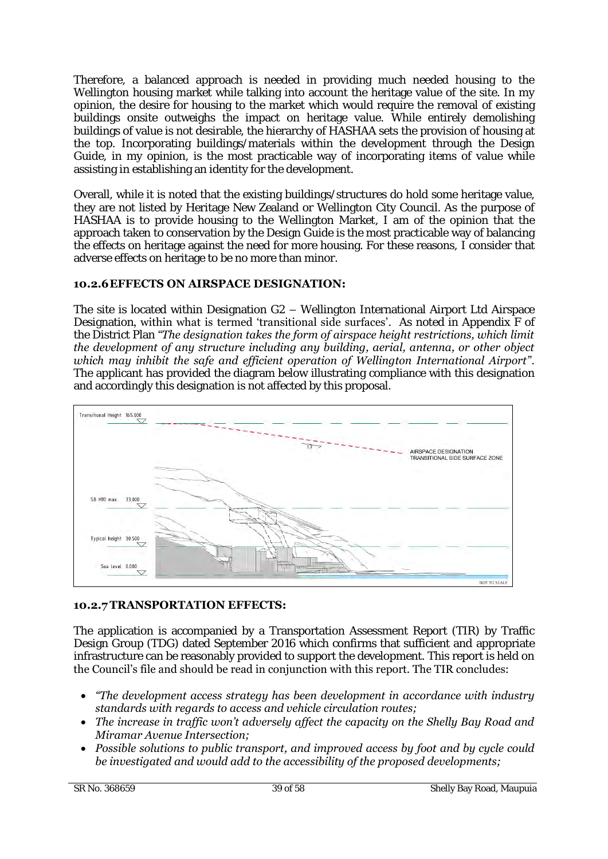Therefore, a balanced approach is needed in providing much needed housing to the Wellington housing market while talking into account the heritage value of the site. In my opinion, the desire for housing to the market which would require the removal of existing buildings onsite outweighs the impact on heritage value. While entirely demolishing buildings of value is not desirable, the hierarchy of HASHAA sets the provision of housing at the top. Incorporating buildings/materials within the development through the Design Guide, in my opinion, is the most practicable way of incorporating items of value while assisting in establishing an identity for the development.

Overall, while it is noted that the existing buildings/structures do hold some heritage value, they are not listed by Heritage New Zealand or Wellington City Council. As the purpose of HASHAA is to provide housing to the Wellington Market, I am of the opinion that the approach taken to conservation by the Design Guide is the most practicable way of balancing the effects on heritage against the need for more housing. For these reasons, I consider that adverse effects on heritage to be no more than minor.

# **10.2.6 EFFECTS ON AIRSPACE DESIGNATION:**

The site is located within Designation G2 – Wellington International Airport Ltd Airspace Designation, within what is termed 'transitional side surfaces'. As noted in Appendix F of the District Plan *"The designation takes the form of airspace height restrictions, which limit the development of any structure including any building, aerial, antenna, or other object which may inhibit the safe and efficient operation of Wellington International Airport"*. The applicant has provided the diagram below illustrating compliance with this designation and accordingly this designation is not affected by this proposal.



# **10.2.7 TRANSPORTATION EFFECTS:**

The application is accompanied by a Transportation Assessment Report (TIR) by Traffic Design Group (TDG) dated September 2016 which confirms that sufficient and appropriate infrastructure can be reasonably provided to support the development. This report is held on the Council's file and should be read in conjunction with this report. The TIR concludes:

- *"The development access strategy has been development in accordance with industry standards with regards to access and vehicle circulation routes;*
- *The increase in traffic won't adversely affect the capacity on the Shelly Bay Road and Miramar Avenue Intersection;*
- *Possible solutions to public transport, and improved access by foot and by cycle could be investigated and would add to the accessibility of the proposed developments;*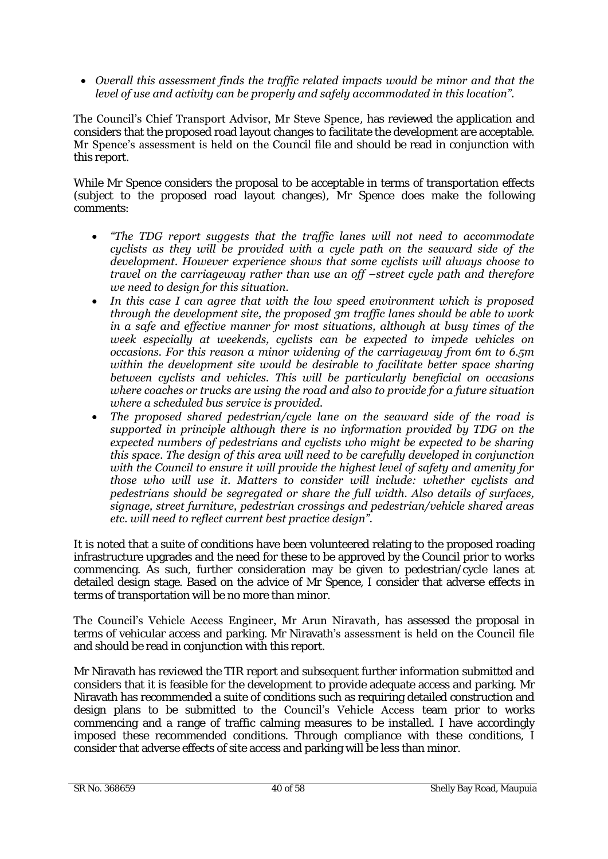*Overall this assessment finds the traffic related impacts would be minor and that the level of use and activity can be properly and safely accommodated in this location".*

The Council's Chief Transport Advisor, Mr Steve Spence, has reviewed the application and considers that the proposed road layout changes to facilitate the development are acceptable. Mr Spence's assessment is held on the Council file and should be read in conjunction with this report.

While Mr Spence considers the proposal to be acceptable in terms of transportation effects (subject to the proposed road layout changes), Mr Spence does make the following comments:

- *"The TDG report suggests that the traffic lanes will not need to accommodate cyclists as they will be provided with a cycle path on the seaward side of the development. However experience shows that some cyclists will always choose to travel on the carriageway rather than use an off –street cycle path and therefore we need to design for this situation.*
- *In this case I can agree that with the low speed environment which is proposed through the development site, the proposed 3m traffic lanes should be able to work in a safe and effective manner for most situations, although at busy times of the week especially at weekends, cyclists can be expected to impede vehicles on occasions. For this reason a minor widening of the carriageway from 6m to 6.5m within the development site would be desirable to facilitate better space sharing between cyclists and vehicles. This will be particularly beneficial on occasions where coaches or trucks are using the road and also to provide for a future situation where a scheduled bus service is provided.*
- *The proposed shared pedestrian/cycle lane on the seaward side of the road is supported in principle although there is no information provided by TDG on the expected numbers of pedestrians and cyclists who might be expected to be sharing this space. The design of this area will need to be carefully developed in conjunction with the Council to ensure it will provide the highest level of safety and amenity for those who will use it. Matters to consider will include: whether cyclists and pedestrians should be segregated or share the full width. Also details of surfaces, signage, street furniture, pedestrian crossings and pedestrian/vehicle shared areas etc. will need to reflect current best practice design".*

It is noted that a suite of conditions have been volunteered relating to the proposed roading infrastructure upgrades and the need for these to be approved by the Council prior to works commencing. As such, further consideration may be given to pedestrian/cycle lanes at detailed design stage. Based on the advice of Mr Spence, I consider that adverse effects in terms of transportation will be no more than minor.

The Council's Vehicle Access Engineer, Mr Arun Niravath, has assessed the proposal in terms of vehicular access and parking. Mr Niravath's assessment is held on the Council file and should be read in conjunction with this report.

Mr Niravath has reviewed the TIR report and subsequent further information submitted and considers that it is feasible for the development to provide adequate access and parking. Mr Niravath has recommended a suite of conditions such as requiring detailed construction and design plans to be submitted to the Council's Vehicle Access team prior to works commencing and a range of traffic calming measures to be installed. I have accordingly imposed these recommended conditions. Through compliance with these conditions, I consider that adverse effects of site access and parking will be less than minor.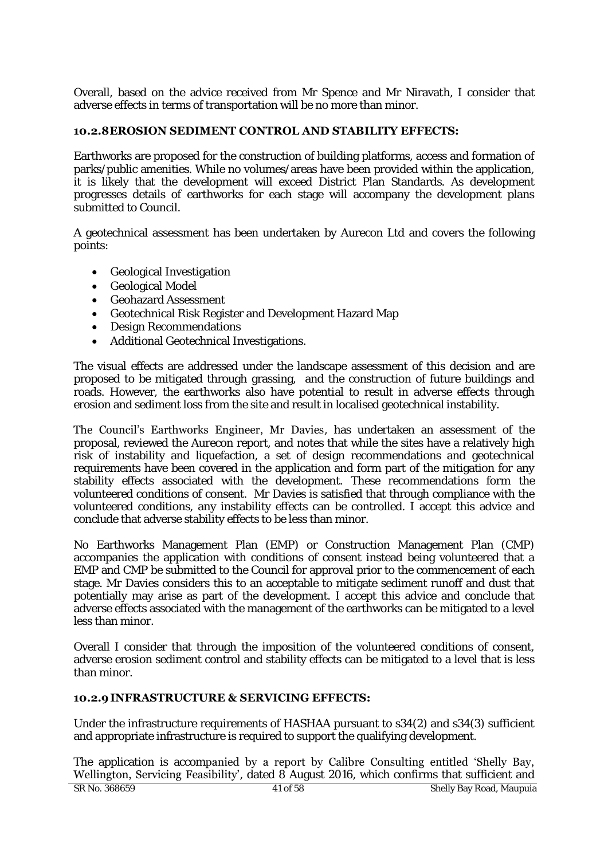Overall, based on the advice received from Mr Spence and Mr Niravath, I consider that adverse effects in terms of transportation will be no more than minor.

### **10.2.8 EROSION SEDIMENT CONTROL AND STABILITY EFFECTS:**

Earthworks are proposed for the construction of building platforms, access and formation of parks/public amenities. While no volumes/areas have been provided within the application, it is likely that the development will exceed District Plan Standards. As development progresses details of earthworks for each stage will accompany the development plans submitted to Council.

A geotechnical assessment has been undertaken by Aurecon Ltd and covers the following points:

- Geological Investigation
- Geological Model
- Geohazard Assessment
- Geotechnical Risk Register and Development Hazard Map
- Design Recommendations
- Additional Geotechnical Investigations.

The visual effects are addressed under the landscape assessment of this decision and are proposed to be mitigated through grassing, and the construction of future buildings and roads. However, the earthworks also have potential to result in adverse effects through erosion and sediment loss from the site and result in localised geotechnical instability.

The Council's Earthworks Engineer, Mr Davies, has undertaken an assessment of the proposal, reviewed the Aurecon report, and notes that while the sites have a relatively high risk of instability and liquefaction, a set of design recommendations and geotechnical requirements have been covered in the application and form part of the mitigation for any stability effects associated with the development. These recommendations form the volunteered conditions of consent. Mr Davies is satisfied that through compliance with the volunteered conditions, any instability effects can be controlled. I accept this advice and conclude that adverse stability effects to be less than minor.

No Earthworks Management Plan (EMP) or Construction Management Plan (CMP) accompanies the application with conditions of consent instead being volunteered that a EMP and CMP be submitted to the Council for approval prior to the commencement of each stage. Mr Davies considers this to an acceptable to mitigate sediment runoff and dust that potentially may arise as part of the development. I accept this advice and conclude that adverse effects associated with the management of the earthworks can be mitigated to a level less than minor.

Overall I consider that through the imposition of the volunteered conditions of consent, adverse erosion sediment control and stability effects can be mitigated to a level that is less than minor.

#### **10.2.9 INFRASTRUCTURE & SERVICING EFFECTS:**

Under the infrastructure requirements of HASHAA pursuant to s34(2) and s34(3) sufficient and appropriate infrastructure is required to support the qualifying development.

The application is accompanied by a report by Calibre Consulting entitled 'Shelly Bay, Wellington, Servicing Feasibility', dated 8 August 2016, which confirms that sufficient and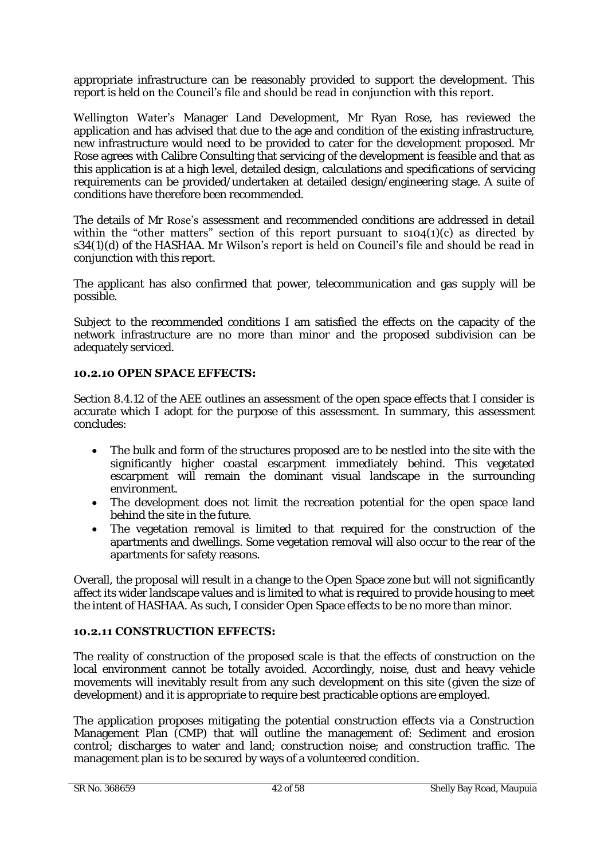appropriate infrastructure can be reasonably provided to support the development. This report is held on the Council's file and should be read in conjunction with this report.

Wellington Water's Manager Land Development, Mr Ryan Rose, has reviewed the application and has advised that due to the age and condition of the existing infrastructure, new infrastructure would need to be provided to cater for the development proposed. Mr Rose agrees with Calibre Consulting that servicing of the development is feasible and that as this application is at a high level, detailed design, calculations and specifications of servicing requirements can be provided/undertaken at detailed design/engineering stage. A suite of conditions have therefore been recommended.

The details of Mr Rose's assessment and recommended conditions are addressed in detail within the "other matters" section of this report pursuant to  $\text{SO}(1)(c)$  as directed by s34(1)(d) of the HASHAA. Mr Wilson's report is held on Council's file and should be read in conjunction with this report.

The applicant has also confirmed that power, telecommunication and gas supply will be possible.

Subject to the recommended conditions I am satisfied the effects on the capacity of the network infrastructure are no more than minor and the proposed subdivision can be adequately serviced.

# **10.2.10 OPEN SPACE EFFECTS:**

Section 8.4.12 of the AEE outlines an assessment of the open space effects that I consider is accurate which I adopt for the purpose of this assessment. In summary, this assessment concludes:

- The bulk and form of the structures proposed are to be nestled into the site with the significantly higher coastal escarpment immediately behind. This vegetated escarpment will remain the dominant visual landscape in the surrounding environment.
- The development does not limit the recreation potential for the open space land behind the site in the future.
- The vegetation removal is limited to that required for the construction of the apartments and dwellings. Some vegetation removal will also occur to the rear of the apartments for safety reasons.

Overall, the proposal will result in a change to the Open Space zone but will not significantly affect its wider landscape values and is limited to what is required to provide housing to meet the intent of HASHAA. As such, I consider Open Space effects to be no more than minor.

# **10.2.11 CONSTRUCTION EFFECTS:**

The reality of construction of the proposed scale is that the effects of construction on the local environment cannot be totally avoided. Accordingly, noise, dust and heavy vehicle movements will inevitably result from any such development on this site (given the size of development) and it is appropriate to require best practicable options are employed.

The application proposes mitigating the potential construction effects via a Construction Management Plan (CMP) that will outline the management of: Sediment and erosion control; discharges to water and land; construction noise; and construction traffic. The management plan is to be secured by ways of a volunteered condition.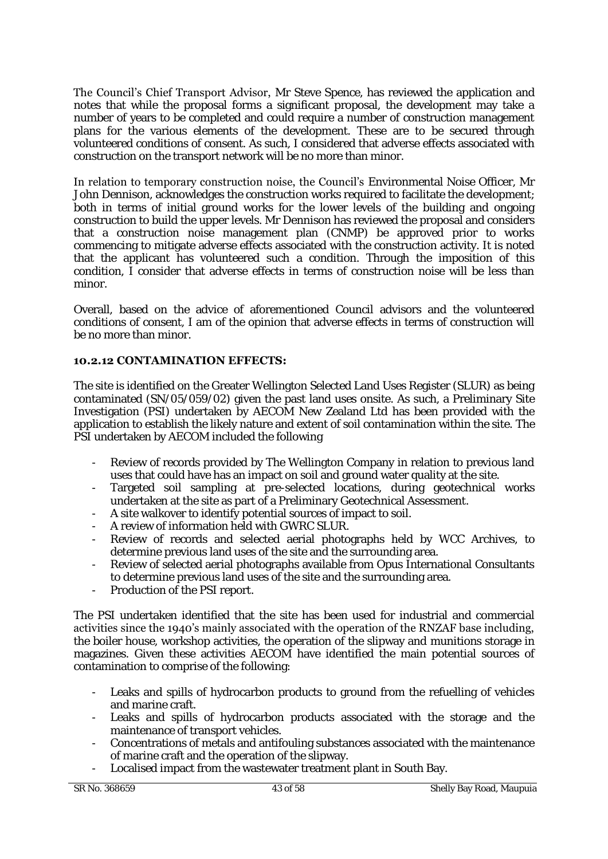The Council's Chief Transport Advisor, Mr Steve Spence, has reviewed the application and notes that while the proposal forms a significant proposal, the development may take a number of years to be completed and could require a number of construction management plans for the various elements of the development. These are to be secured through volunteered conditions of consent. As such, I considered that adverse effects associated with construction on the transport network will be no more than minor.

In relation to temporary construction noise, the Council's Environmental Noise Officer, Mr John Dennison, acknowledges the construction works required to facilitate the development; both in terms of initial ground works for the lower levels of the building and ongoing construction to build the upper levels. Mr Dennison has reviewed the proposal and considers that a construction noise management plan (CNMP) be approved prior to works commencing to mitigate adverse effects associated with the construction activity. It is noted that the applicant has volunteered such a condition. Through the imposition of this condition, I consider that adverse effects in terms of construction noise will be less than minor.

Overall, based on the advice of aforementioned Council advisors and the volunteered conditions of consent, I am of the opinion that adverse effects in terms of construction will be no more than minor.

# **10.2.12 CONTAMINATION EFFECTS:**

The site is identified on the Greater Wellington Selected Land Uses Register (SLUR) as being contaminated (SN/05/059/02) given the past land uses onsite. As such, a Preliminary Site Investigation (PSI) undertaken by AECOM New Zealand Ltd has been provided with the application to establish the likely nature and extent of soil contamination within the site. The PSI undertaken by AECOM included the following

- Review of records provided by The Wellington Company in relation to previous land uses that could have has an impact on soil and ground water quality at the site.
- Targeted soil sampling at pre-selected locations, during geotechnical works undertaken at the site as part of a Preliminary Geotechnical Assessment.
- A site walkover to identify potential sources of impact to soil.
- A review of information held with GWRC SLUR.
- Review of records and selected aerial photographs held by WCC Archives, to determine previous land uses of the site and the surrounding area.
- Review of selected aerial photographs available from Opus International Consultants to determine previous land uses of the site and the surrounding area.
- Production of the PSI report.

The PSI undertaken identified that the site has been used for industrial and commercial activities since the 1940's mainly associated with the operation of the RNZAF base including, the boiler house, workshop activities, the operation of the slipway and munitions storage in magazines. Given these activities AECOM have identified the main potential sources of contamination to comprise of the following:

- Leaks and spills of hydrocarbon products to ground from the refuelling of vehicles and marine craft.
- Leaks and spills of hydrocarbon products associated with the storage and the maintenance of transport vehicles.
- Concentrations of metals and antifouling substances associated with the maintenance of marine craft and the operation of the slipway.
- Localised impact from the wastewater treatment plant in South Bay.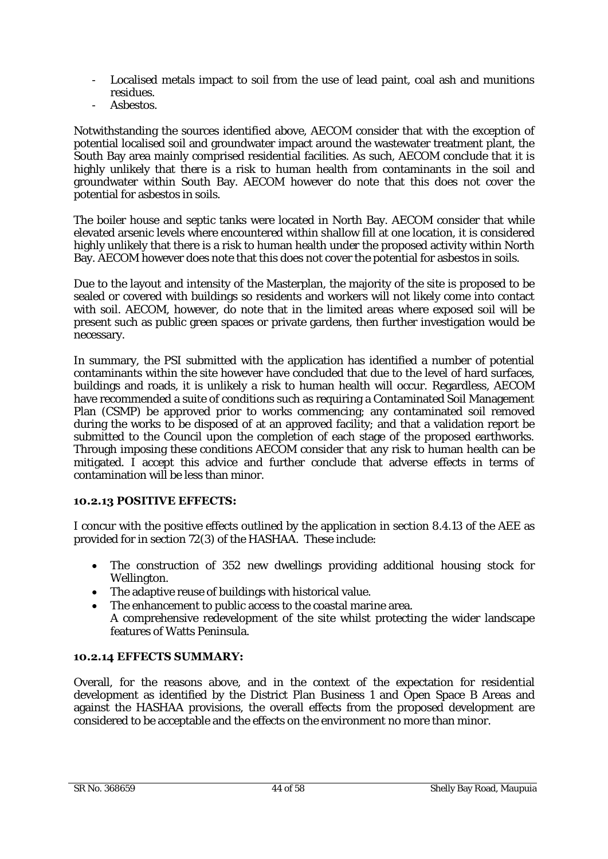- Localised metals impact to soil from the use of lead paint, coal ash and munitions residues.
- Asbestos.

Notwithstanding the sources identified above, AECOM consider that with the exception of potential localised soil and groundwater impact around the wastewater treatment plant, the South Bay area mainly comprised residential facilities. As such, AECOM conclude that it is highly unlikely that there is a risk to human health from contaminants in the soil and groundwater within South Bay. AECOM however do note that this does not cover the potential for asbestos in soils.

The boiler house and septic tanks were located in North Bay. AECOM consider that while elevated arsenic levels where encountered within shallow fill at one location, it is considered highly unlikely that there is a risk to human health under the proposed activity within North Bay. AECOM however does note that this does not cover the potential for asbestos in soils.

Due to the layout and intensity of the Masterplan, the majority of the site is proposed to be sealed or covered with buildings so residents and workers will not likely come into contact with soil. AECOM, however, do note that in the limited areas where exposed soil will be present such as public green spaces or private gardens, then further investigation would be necessary.

In summary, the PSI submitted with the application has identified a number of potential contaminants within the site however have concluded that due to the level of hard surfaces, buildings and roads, it is unlikely a risk to human health will occur. Regardless, AECOM have recommended a suite of conditions such as requiring a Contaminated Soil Management Plan (CSMP) be approved prior to works commencing; any contaminated soil removed during the works to be disposed of at an approved facility; and that a validation report be submitted to the Council upon the completion of each stage of the proposed earthworks. Through imposing these conditions AECOM consider that any risk to human health can be mitigated. I accept this advice and further conclude that adverse effects in terms of contamination will be less than minor.

# **10.2.13 POSITIVE EFFECTS:**

I concur with the positive effects outlined by the application in section 8.4.13 of the AEE as provided for in section 72(3) of the HASHAA. These include:

- The construction of 352 new dwellings providing additional housing stock for Wellington.
- The adaptive reuse of buildings with historical value.
- The enhancement to public access to the coastal marine area. A comprehensive redevelopment of the site whilst protecting the wider landscape features of Watts Peninsula.

# **10.2.14 EFFECTS SUMMARY:**

Overall, for the reasons above, and in the context of the expectation for residential development as identified by the District Plan Business 1 and Open Space B Areas and against the HASHAA provisions, the overall effects from the proposed development are considered to be acceptable and the effects on the environment no more than minor.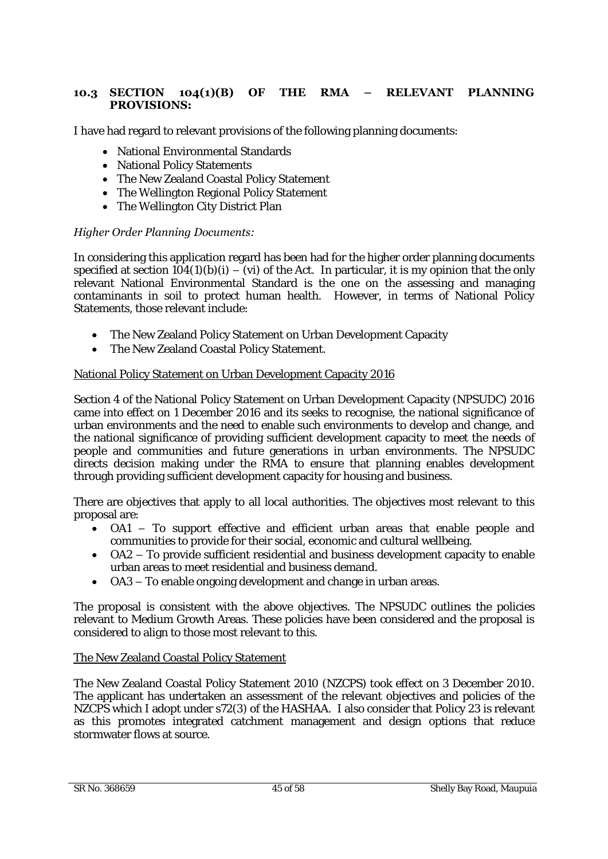# **10.3 SECTION 104(1)(B) OF THE RMA – RELEVANT PLANNING PROVISIONS:**

I have had regard to relevant provisions of the following planning documents:

- National Environmental Standards
- National Policy Statements
- The New Zealand Coastal Policy Statement
- The Wellington Regional Policy Statement
- The Wellington City District Plan

### *Higher Order Planning Documents:*

In considering this application regard has been had for the higher order planning documents specified at section  $104(1)(b)(i) - (vi)$  of the Act. In particular, it is my opinion that the only relevant National Environmental Standard is the one on the assessing and managing contaminants in soil to protect human health. However, in terms of National Policy Statements, those relevant include:

- The New Zealand Policy Statement on Urban Development Capacity
- The New Zealand Coastal Policy Statement.

#### National Policy Statement on Urban Development Capacity 2016

Section 4 of the National Policy Statement on Urban Development Capacity (NPSUDC) 2016 came into effect on 1 December 2016 and its seeks to recognise, the national significance of urban environments and the need to enable such environments to develop and change, and the national significance of providing sufficient development capacity to meet the needs of people and communities and future generations in urban environments. The NPSUDC directs decision making under the RMA to ensure that planning enables development through providing sufficient development capacity for housing and business.

There are objectives that apply to all local authorities. The objectives most relevant to this proposal are:

- OA1 To support effective and efficient urban areas that enable people and communities to provide for their social, economic and cultural wellbeing.
- OA2 To provide sufficient residential and business development capacity to enable urban areas to meet residential and business demand.
- OA3 To enable ongoing development and change in urban areas.

The proposal is consistent with the above objectives. The NPSUDC outlines the policies relevant to Medium Growth Areas. These policies have been considered and the proposal is considered to align to those most relevant to this.

#### The New Zealand Coastal Policy Statement

The New Zealand Coastal Policy Statement 2010 (NZCPS) took effect on 3 December 2010. The applicant has undertaken an assessment of the relevant objectives and policies of the NZCPS which I adopt under s72(3) of the HASHAA. I also consider that Policy 23 is relevant as this promotes integrated catchment management and design options that reduce stormwater flows at source.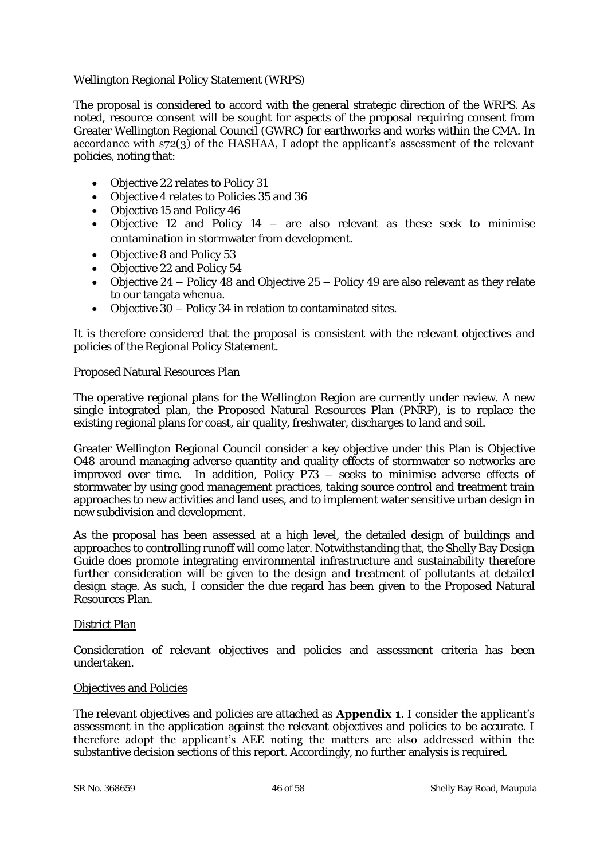# Wellington Regional Policy Statement (WRPS)

The proposal is considered to accord with the general strategic direction of the WRPS. As noted, resource consent will be sought for aspects of the proposal requiring consent from Greater Wellington Regional Council (GWRC) for earthworks and works within the CMA. In accordance with s72(3) of the HASHAA, I adopt the applicant's assessment of the relevant policies, noting that:

- Objective 22 relates to Policy 31
- Objective 4 relates to Policies 35 and 36
- Objective 15 and Policy 46
- Objective 12 and Policy 14 are also relevant as these seek to minimise contamination in stormwater from development.
- Objective 8 and Policy 53
- Objective 22 and Policy 54
- Objective 24 Policy 48 and Objective 25 Policy 49 are also relevant as they relate to our tangata whenua.
- Objective 30 Policy 34 in relation to contaminated sites.

It is therefore considered that the proposal is consistent with the relevant objectives and policies of the Regional Policy Statement.

#### Proposed Natural Resources Plan

The operative regional plans for the Wellington Region are currently under review. A new single integrated plan, the Proposed Natural Resources Plan (PNRP), is to replace the existing regional plans for coast, air quality, freshwater, discharges to land and soil.

Greater Wellington Regional Council consider a key objective under this Plan is Objective O48 around managing adverse quantity and quality effects of stormwater so networks are improved over time. In addition, Policy P73 – seeks to minimise adverse effects of stormwater by using good management practices, taking source control and treatment train approaches to new activities and land uses, and to implement water sensitive urban design in new subdivision and development.

As the proposal has been assessed at a high level, the detailed design of buildings and approaches to controlling runoff will come later. Notwithstanding that, the Shelly Bay Design Guide does promote integrating environmental infrastructure and sustainability therefore further consideration will be given to the design and treatment of pollutants at detailed design stage. As such, I consider the due regard has been given to the Proposed Natural Resources Plan.

#### District Plan

Consideration of relevant objectives and policies and assessment criteria has been undertaken.

#### Objectives and Policies

The relevant objectives and policies are attached as **Appendix 1**. I consider the applicant's assessment in the application against the relevant objectives and policies to be accurate. I therefore adopt the applicant's AEE noting the matters are also addressed within the substantive decision sections of this report. Accordingly, no further analysis is required.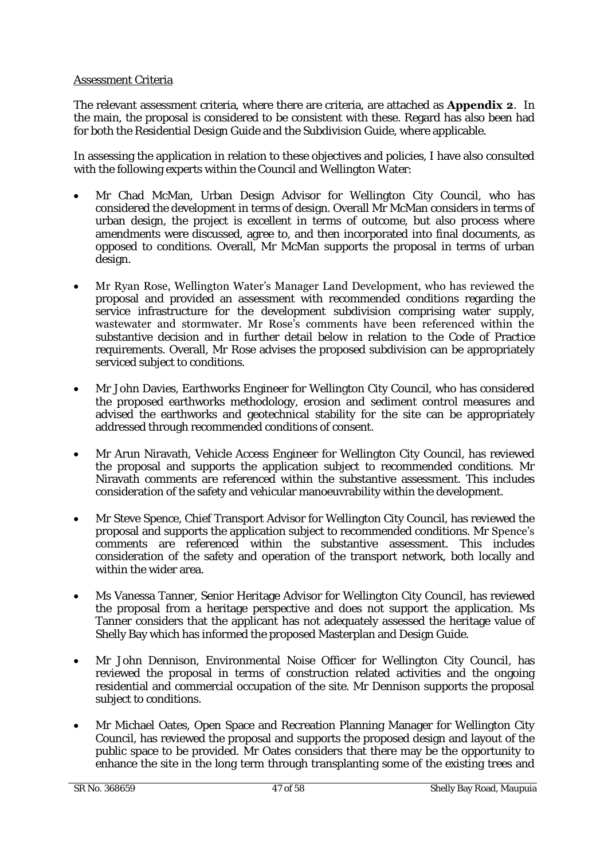# Assessment Criteria

The relevant assessment criteria, where there are criteria, are attached as **Appendix 2**. In the main, the proposal is considered to be consistent with these. Regard has also been had for both the Residential Design Guide and the Subdivision Guide, where applicable.

In assessing the application in relation to these objectives and policies, I have also consulted with the following experts within the Council and Wellington Water:

- Mr Chad McMan, Urban Design Advisor for Wellington City Council, who has considered the development in terms of design. Overall Mr McMan considers in terms of urban design, the project is excellent in terms of outcome, but also process where amendments were discussed, agree to, and then incorporated into final documents, as opposed to conditions. Overall, Mr McMan supports the proposal in terms of urban design.
- Mr Ryan Rose, Wellington Water's Manager Land Development, who has reviewed the proposal and provided an assessment with recommended conditions regarding the service infrastructure for the development subdivision comprising water supply, wastewater and stormwater. Mr Rose's comments have been referenced within the substantive decision and in further detail below in relation to the Code of Practice requirements. Overall, Mr Rose advises the proposed subdivision can be appropriately serviced subject to conditions.
- Mr John Davies, Earthworks Engineer for Wellington City Council, who has considered the proposed earthworks methodology, erosion and sediment control measures and advised the earthworks and geotechnical stability for the site can be appropriately addressed through recommended conditions of consent.
- Mr Arun Niravath, Vehicle Access Engineer for Wellington City Council, has reviewed the proposal and supports the application subject to recommended conditions. Mr Niravath comments are referenced within the substantive assessment. This includes consideration of the safety and vehicular manoeuvrability within the development.
- Mr Steve Spence, Chief Transport Advisor for Wellington City Council, has reviewed the proposal and supports the application subject to recommended conditions. Mr Spence's comments are referenced within the substantive assessment. This includes consideration of the safety and operation of the transport network, both locally and within the wider area.
- Ms Vanessa Tanner, Senior Heritage Advisor for Wellington City Council, has reviewed the proposal from a heritage perspective and does not support the application. Ms Tanner considers that the applicant has not adequately assessed the heritage value of Shelly Bay which has informed the proposed Masterplan and Design Guide.
- Mr John Dennison, Environmental Noise Officer for Wellington City Council, has reviewed the proposal in terms of construction related activities and the ongoing residential and commercial occupation of the site. Mr Dennison supports the proposal subject to conditions.
- Mr Michael Oates, Open Space and Recreation Planning Manager for Wellington City Council, has reviewed the proposal and supports the proposed design and layout of the public space to be provided. Mr Oates considers that there may be the opportunity to enhance the site in the long term through transplanting some of the existing trees and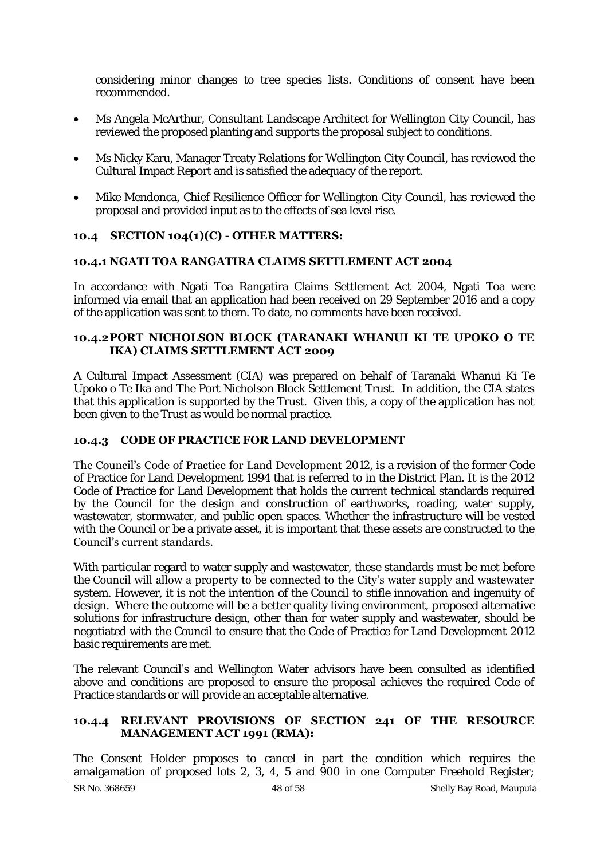considering minor changes to tree species lists. Conditions of consent have been recommended.

- Ms Angela McArthur, Consultant Landscape Architect for Wellington City Council, has reviewed the proposed planting and supports the proposal subject to conditions.
- Ms Nicky Karu, Manager Treaty Relations for Wellington City Council, has reviewed the Cultural Impact Report and is satisfied the adequacy of the report.
- Mike Mendonca, Chief Resilience Officer for Wellington City Council, has reviewed the proposal and provided input as to the effects of sea level rise.

# **10.4 SECTION 104(1)(C) - OTHER MATTERS:**

# **10.4.1 NGATI TOA RANGATIRA CLAIMS SETTLEMENT ACT 2004**

In accordance with Ngati Toa Rangatira Claims Settlement Act 2004, Ngati Toa were informed via email that an application had been received on 29 September 2016 and a copy of the application was sent to them. To date, no comments have been received.

#### **10.4.2 PORT NICHOLSON BLOCK (TARANAKI WHANUI KI TE UPOKO O TE IKA) CLAIMS SETTLEMENT ACT 2009**

A Cultural Impact Assessment (CIA) was prepared on behalf of Taranaki Whanui Ki Te Upoko o Te Ika and The Port Nicholson Block Settlement Trust. In addition, the CIA states that this application is supported by the Trust. Given this, a copy of the application has not been given to the Trust as would be normal practice.

# **10.4.3 CODE OF PRACTICE FOR LAND DEVELOPMENT**

The Council's Code of Practice for Land Development 2012, is a revision of the former Code of Practice for Land Development 1994 that is referred to in the District Plan. It is the 2012 Code of Practice for Land Development that holds the current technical standards required by the Council for the design and construction of earthworks, roading, water supply, wastewater, stormwater, and public open spaces. Whether the infrastructure will be vested with the Council or be a private asset, it is important that these assets are constructed to the Council's current standards.

With particular regard to water supply and wastewater, these standards must be met before the Council will allow a property to be connected to the City's water supply and wastewater system. However, it is not the intention of the Council to stifle innovation and ingenuity of design. Where the outcome will be a better quality living environment, proposed alternative solutions for infrastructure design, other than for water supply and wastewater, should be negotiated with the Council to ensure that the Code of Practice for Land Development 2012 basic requirements are met.

The relevant Council's and Wellington Water advisors have been consulted as identified above and conditions are proposed to ensure the proposal achieves the required Code of Practice standards or will provide an acceptable alternative.

### **10.4.4 RELEVANT PROVISIONS OF SECTION 241 OF THE RESOURCE MANAGEMENT ACT 1991 (RMA):**

The Consent Holder proposes to cancel in part the condition which requires the amalgamation of proposed lots 2, 3, 4, 5 and 900 in one Computer Freehold Register;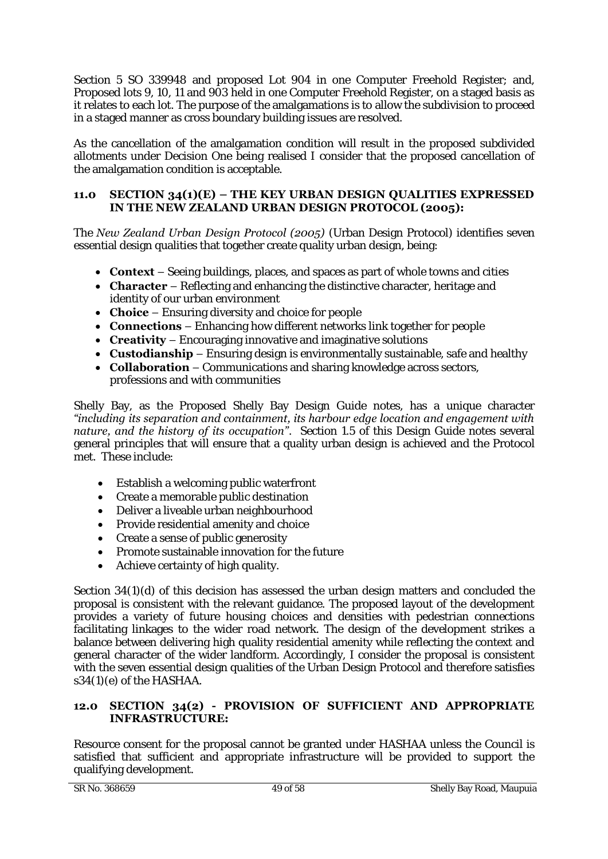Section 5 SO 339948 and proposed Lot 904 in one Computer Freehold Register; and, Proposed lots 9, 10, 11 and 903 held in one Computer Freehold Register, on a staged basis as it relates to each lot. The purpose of the amalgamations is to allow the subdivision to proceed in a staged manner as cross boundary building issues are resolved.

As the cancellation of the amalgamation condition will result in the proposed subdivided allotments under Decision One being realised I consider that the proposed cancellation of the amalgamation condition is acceptable.

# **11.0 SECTION 34(1)(E) – THE KEY URBAN DESIGN QUALITIES EXPRESSED IN THE NEW ZEALAND URBAN DESIGN PROTOCOL (2005):**

The *New Zealand Urban Design Protocol (2005)* (Urban Design Protocol) identifies seven essential design qualities that together create quality urban design, being:

- **Context** Seeing buildings, places, and spaces as part of whole towns and cities
- **Character** Reflecting and enhancing the distinctive character, heritage and identity of our urban environment
- **Choice** Ensuring diversity and choice for people
- **Connections** Enhancing how different networks link together for people
- **Creativity** Encouraging innovative and imaginative solutions
- **Custodianship** Ensuring design is environmentally sustainable, safe and healthy
- **Collaboration** Communications and sharing knowledge across sectors, professions and with communities

Shelly Bay, as the Proposed Shelly Bay Design Guide notes, has a unique character *"including its separation and containment, its harbour edge location and engagement with nature, and the history of its occupation"*. Section 1.5 of this Design Guide notes several general principles that will ensure that a quality urban design is achieved and the Protocol met. These include:

- Establish a welcoming public waterfront
- Create a memorable public destination
- Deliver a liveable urban neighbourhood
- Provide residential amenity and choice
- Create a sense of public generosity
- Promote sustainable innovation for the future
- Achieve certainty of high quality.

Section 34(1)(d) of this decision has assessed the urban design matters and concluded the proposal is consistent with the relevant guidance. The proposed layout of the development provides a variety of future housing choices and densities with pedestrian connections facilitating linkages to the wider road network. The design of the development strikes a balance between delivering high quality residential amenity while reflecting the context and general character of the wider landform. Accordingly, I consider the proposal is consistent with the seven essential design qualities of the Urban Design Protocol and therefore satisfies s34(1)(e) of the HASHAA.

### **12.0 SECTION 34(2) - PROVISION OF SUFFICIENT AND APPROPRIATE INFRASTRUCTURE:**

Resource consent for the proposal cannot be granted under HASHAA unless the Council is satisfied that sufficient and appropriate infrastructure will be provided to support the qualifying development.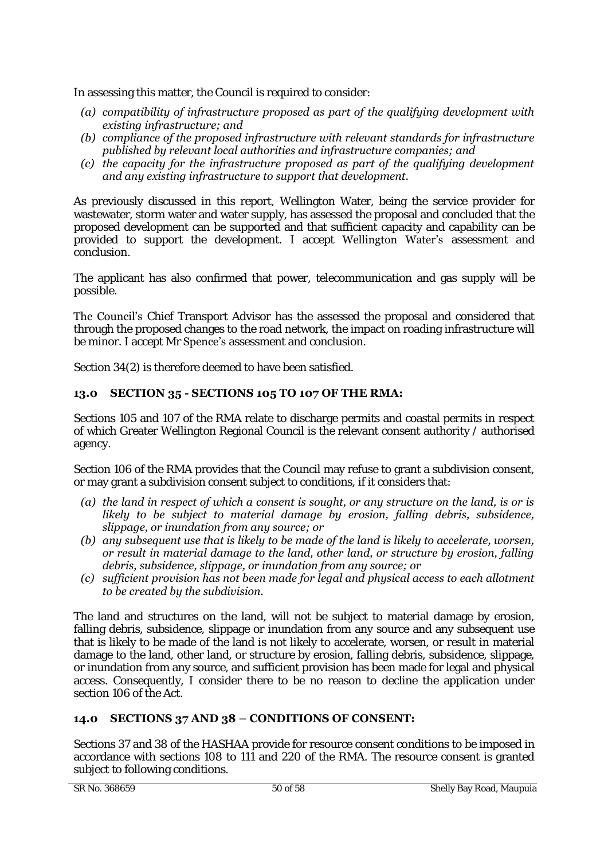In assessing this matter, the Council is required to consider:

- *(a) compatibility of infrastructure proposed as part of the qualifying development with existing infrastructure; and*
- *(b) compliance of the proposed infrastructure with relevant standards for infrastructure published by relevant local authorities and infrastructure companies; and*
- *(c) the capacity for the infrastructure proposed as part of the qualifying development and any existing infrastructure to support that development.*

As previously discussed in this report, Wellington Water, being the service provider for wastewater, storm water and water supply, has assessed the proposal and concluded that the proposed development can be supported and that sufficient capacity and capability can be provided to support the development. I accept Wellington Water's assessment and conclusion.

The applicant has also confirmed that power, telecommunication and gas supply will be possible.

The Council's Chief Transport Advisor has the assessed the proposal and considered that through the proposed changes to the road network, the impact on roading infrastructure will be minor. I accept Mr **Spence's** assessment and conclusion.

Section 34(2) is therefore deemed to have been satisfied.

# **13.0 SECTION 35 - SECTIONS 105 TO 107 OF THE RMA:**

Sections 105 and 107 of the RMA relate to discharge permits and coastal permits in respect of which Greater Wellington Regional Council is the relevant consent authority / authorised agency.

Section 106 of the RMA provides that the Council may refuse to grant a subdivision consent, or may grant a subdivision consent subject to conditions, if it considers that:

- *(a) the land in respect of which a consent is sought, or any structure on the land, is or is likely to be subject to material damage by erosion, falling debris, subsidence, slippage, or inundation from any source; or*
- *(b) any subsequent use that is likely to be made of the land is likely to accelerate, worsen, or result in material damage to the land, other land, or structure by erosion, falling debris, subsidence, slippage, or inundation from any source; or*
- *(c) sufficient provision has not been made for legal and physical access to each allotment to be created by the subdivision.*

The land and structures on the land, will not be subject to material damage by erosion, falling debris, subsidence, slippage or inundation from any source and any subsequent use that is likely to be made of the land is not likely to accelerate, worsen, or result in material damage to the land, other land, or structure by erosion, falling debris, subsidence, slippage, or inundation from any source, and sufficient provision has been made for legal and physical access. Consequently, I consider there to be no reason to decline the application under section 106 of the Act.

# **14.0 SECTIONS 37 AND 38 – CONDITIONS OF CONSENT:**

Sections 37 and 38 of the HASHAA provide for resource consent conditions to be imposed in accordance with sections 108 to 111 and 220 of the RMA. The resource consent is granted subject to following conditions.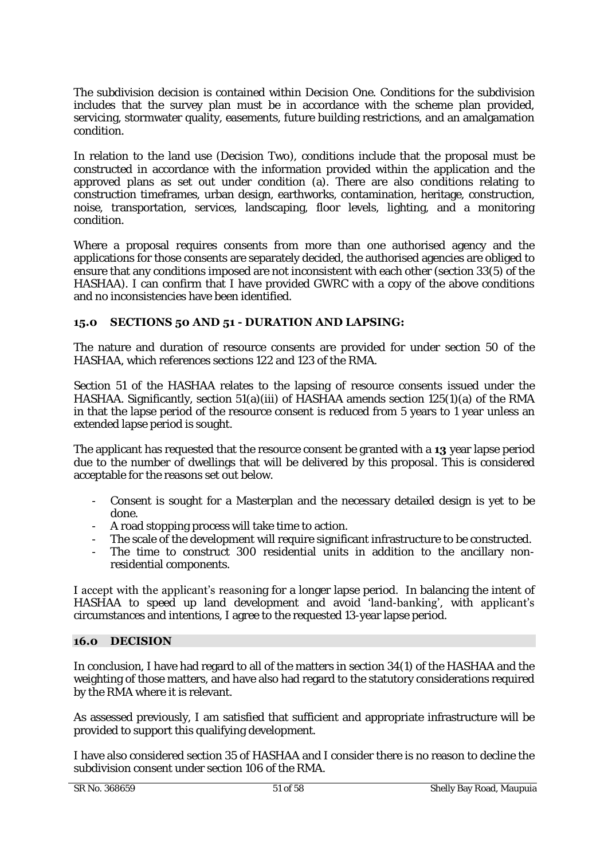The subdivision decision is contained within Decision One. Conditions for the subdivision includes that the survey plan must be in accordance with the scheme plan provided, servicing, stormwater quality, easements, future building restrictions, and an amalgamation condition.

In relation to the land use (Decision Two), conditions include that the proposal must be constructed in accordance with the information provided within the application and the approved plans as set out under condition (a). There are also conditions relating to construction timeframes, urban design, earthworks, contamination, heritage, construction, noise, transportation, services, landscaping, floor levels, lighting, and a monitoring condition.

Where a proposal requires consents from more than one authorised agency and the applications for those consents are separately decided, the authorised agencies are obliged to ensure that any conditions imposed are not inconsistent with each other (section 33(5) of the HASHAA). I can confirm that I have provided GWRC with a copy of the above conditions and no inconsistencies have been identified.

# **15.0 SECTIONS 50 AND 51 - DURATION AND LAPSING:**

The nature and duration of resource consents are provided for under section 50 of the HASHAA, which references sections 122 and 123 of the RMA.

Section 51 of the HASHAA relates to the lapsing of resource consents issued under the HASHAA. Significantly, section 51(a)(iii) of HASHAA amends section 125(1)(a) of the RMA in that the lapse period of the resource consent is reduced from 5 years to 1 year unless an extended lapse period is sought.

The applicant has requested that the resource consent be granted with a **13** year lapse period due to the number of dwellings that will be delivered by this proposal. This is considered acceptable for the reasons set out below.

- Consent is sought for a Masterplan and the necessary detailed design is yet to be done.
- A road stopping process will take time to action.
- The scale of the development will require significant infrastructure to be constructed.
- The time to construct 300 residential units in addition to the ancillary nonresidential components.

I accept with the applicant's reasoning for a longer lapse period. In balancing the intent of HASHAA to speed up land development and avoid 'land-banking', with applicant's circumstances and intentions, I agree to the requested 13-year lapse period.

# **16.0 DECISION**

In conclusion, I have had regard to all of the matters in section 34(1) of the HASHAA and the weighting of those matters, and have also had regard to the statutory considerations required by the RMA where it is relevant.

As assessed previously, I am satisfied that sufficient and appropriate infrastructure will be provided to support this qualifying development.

I have also considered section 35 of HASHAA and I consider there is no reason to decline the subdivision consent under section 106 of the RMA.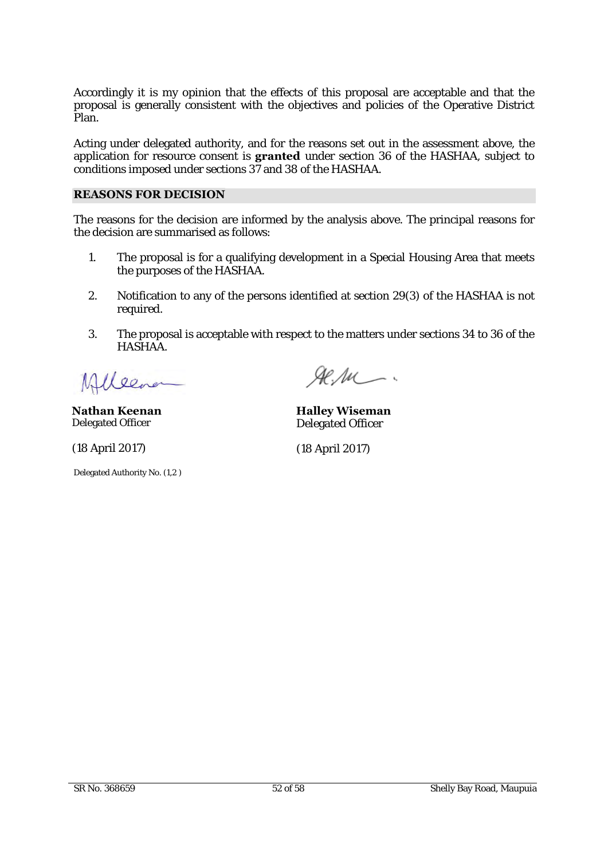Accordingly it is my opinion that the effects of this proposal are acceptable and that the proposal is generally consistent with the objectives and policies of the Operative District Plan.

Acting under delegated authority, and for the reasons set out in the assessment above, the application for resource consent is **granted** under section 36 of the HASHAA, subject to conditions imposed under sections 37 and 38 of the HASHAA.

### **REASONS FOR DECISION**

The reasons for the decision are informed by the analysis above. The principal reasons for the decision are summarised as follows:

- 1. The proposal is for a qualifying development in a Special Housing Area that meets the purposes of the HASHAA.
- 2. Notification to any of the persons identified at section 29(3) of the HASHAA is not required.
- 3. The proposal is acceptable with respect to the matters under sections 34 to 36 of the HASHAA.

lener

**Nathan Keenan** Delegated Officer

(18 April 2017)

Delegated Authority No. (1,2 )

 $A$ e. Au  $-$ 

**Halley Wiseman** Delegated Officer

(18 April 2017)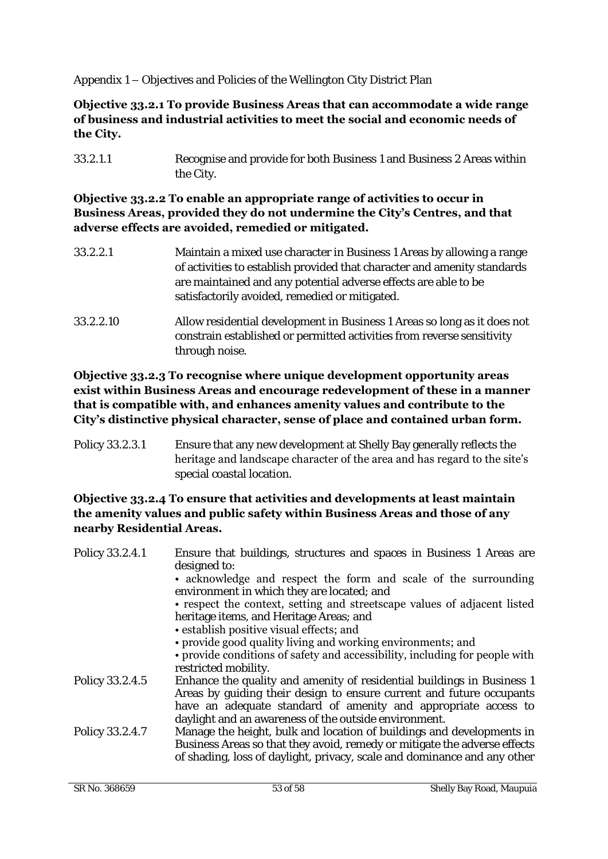Appendix 1 – Objectives and Policies of the Wellington City District Plan

# **Objective 33.2.1 To provide Business Areas that can accommodate a wide range of business and industrial activities to meet the social and economic needs of the City.**

33.2.1.1 Recognise and provide for both Business 1 and Business 2 Areas within the City.

# **Objective 33.2.2 To enable an appropriate range of activities to occur in Business Areas, provided they do not undermine the City's Centres, and that adverse effects are avoided, remedied or mitigated.**

- 33.2.2.1 Maintain a mixed use character in Business 1 Areas by allowing a range of activities to establish provided that character and amenity standards are maintained and any potential adverse effects are able to be satisfactorily avoided, remedied or mitigated.
- 33.2.2.10 Allow residential development in Business 1 Areas so long as it does not constrain established or permitted activities from reverse sensitivity through noise.

# **Objective 33.2.3 To recognise where unique development opportunity areas exist within Business Areas and encourage redevelopment of these in a manner that is compatible with, and enhances amenity values and contribute to the City's distinctive physical character, sense of place and contained urban form.**

Policy 33.2.3.1 Ensure that any new development at Shelly Bay generally reflects the heritage and landscape character of the area and has regard to the site's special coastal location.

# **Objective 33.2.4 To ensure that activities and developments at least maintain the amenity values and public safety within Business Areas and those of any nearby Residential Areas.**

| Policy 33.2.4.1 | Ensure that buildings, structures and spaces in Business 1 Areas are<br>designed to:                                                                                                                                                                                      |
|-----------------|---------------------------------------------------------------------------------------------------------------------------------------------------------------------------------------------------------------------------------------------------------------------------|
|                 | • acknowledge and respect the form and scale of the surrounding<br>environment in which they are located; and                                                                                                                                                             |
|                 | • respect the context, setting and streetscape values of adjacent listed<br>heritage items, and Heritage Areas; and                                                                                                                                                       |
|                 | • establish positive visual effects; and<br>• provide good quality living and working environments; and                                                                                                                                                                   |
|                 | • provide conditions of safety and accessibility, including for people with<br>restricted mobility.                                                                                                                                                                       |
| Policy 33.2.4.5 | Enhance the quality and amenity of residential buildings in Business 1<br>Areas by quiding their design to ensure current and future occupants<br>have an adequate standard of amenity and appropriate access to<br>daylight and an awareness of the outside environment. |
| Policy 33.2.4.7 | Manage the height, bulk and location of buildings and developments in<br>Business Areas so that they avoid, remedy or mitigate the adverse effects<br>of shading, loss of daylight, privacy, scale and dominance and any other                                            |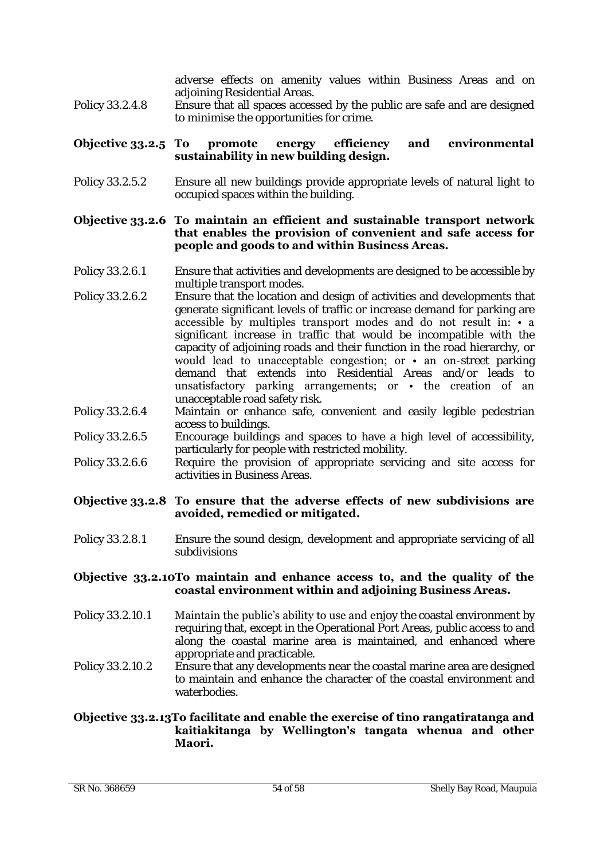adverse effects on amenity values within Business Areas and on adjoining Residential Areas.

Policy 33.2.4.8 Ensure that all spaces accessed by the public are safe and are designed to minimise the opportunities for crime.

#### **Objective 33.2.5 To promote energy efficiency and environmental sustainability in new building design.**

Policy 33.2.5.2 Ensure all new buildings provide appropriate levels of natural light to occupied spaces within the building.

#### **Objective 33.2.6 To maintain an efficient and sustainable transport network that enables the provision of convenient and safe access for people and goods to and within Business Areas.**

- Policy 33.2.6.1 Ensure that activities and developments are designed to be accessible by multiple transport modes.
- Policy 33.2.6.2 Ensure that the location and design of activities and developments that generate significant levels of traffic or increase demand for parking are accessible by multiples transport modes and do not result in: • a significant increase in traffic that would be incompatible with the capacity of adjoining roads and their function in the road hierarchy, or would lead to unacceptable congestion; or • an on-street parking demand that extends into Residential Areas and/or leads to unsatisfactory parking arrangements; or • the creation of an unacceptable road safety risk.
- Policy 33.2.6.4 Maintain or enhance safe, convenient and easily legible pedestrian access to buildings.
- Policy 33.2.6.5 Encourage buildings and spaces to have a high level of accessibility, particularly for people with restricted mobility.
- Policy 33.2.6.6 Require the provision of appropriate servicing and site access for activities in Business Areas.

#### **Objective 33.2.8 To ensure that the adverse effects of new subdivisions are avoided, remedied or mitigated.**

Policy 33.2.8.1 Ensure the sound design, development and appropriate servicing of all subdivisions

#### **Objective 33.2.10To maintain and enhance access to, and the quality of the coastal environment within and adjoining Business Areas.**

- Policy 33.2.10.1 Maintain the public's ability to use and enjoy the coastal environment by requiring that, except in the Operational Port Areas, public access to and along the coastal marine area is maintained, and enhanced where appropriate and practicable.
- Policy 33.2.10.2 Ensure that any developments near the coastal marine area are designed to maintain and enhance the character of the coastal environment and waterbodies.

### **Objective 33.2.13To facilitate and enable the exercise of tino rangatiratanga and kaitiakitanga by Wellington's tangata whenua and other Maori.**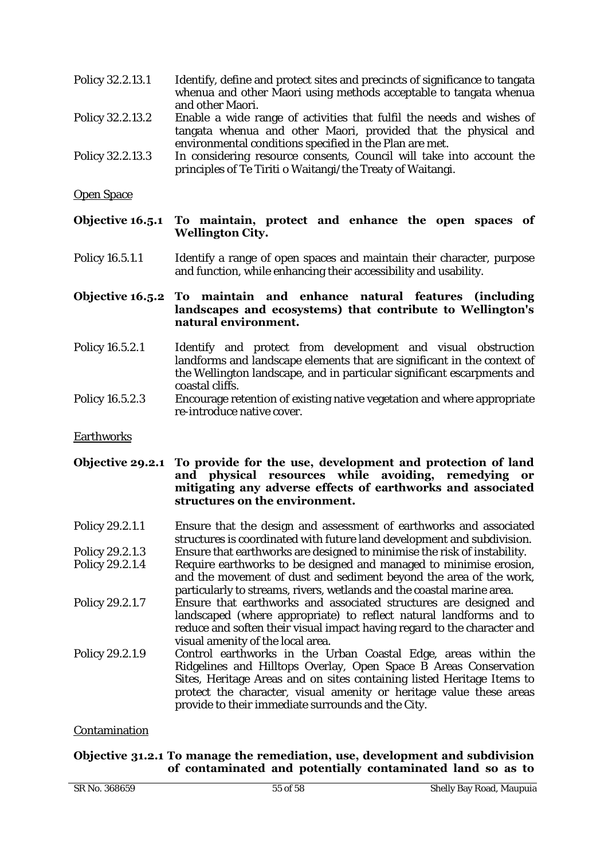- Policy 32.2.13.1 Identify, define and protect sites and precincts of significance to tangata whenua and other Maori using methods acceptable to tangata whenua and other Maori.
- Policy 32.2.13.2 Enable a wide range of activities that fulfil the needs and wishes of tangata whenua and other Maori, provided that the physical and environmental conditions specified in the Plan are met.
- Policy 32.2.13.3 In considering resource consents, Council will take into account the principles of Te Tiriti o Waitangi/the Treaty of Waitangi.

Open Space

### **Objective 16.5.1 To maintain, protect and enhance the open spaces of Wellington City.**

Policy 16.5.1.1 Identify a range of open spaces and maintain their character, purpose and function, while enhancing their accessibility and usability.

#### **Objective 16.5.2 To maintain and enhance natural features (including landscapes and ecosystems) that contribute to Wellington's natural environment.**

- Policy 16.5.2.1 Identify and protect from development and visual obstruction landforms and landscape elements that are significant in the context of the Wellington landscape, and in particular significant escarpments and coastal cliffs.
- Policy 16.5.2.3 Encourage retention of existing native vegetation and where appropriate re-introduce native cover.

**Earthworks** 

#### **Objective 29.2.1 To provide for the use, development and protection of land and physical resources while avoiding, remedying or mitigating any adverse effects of earthworks and associated structures on the environment.**

- Policy 29.2.1.1 Ensure that the design and assessment of earthworks and associated structures is coordinated with future land development and subdivision. Policy 29.2.1.3 Ensure that earthworks are designed to minimise the risk of instability.
- Policy 29.2.1.4 Require earthworks to be designed and managed to minimise erosion, and the movement of dust and sediment beyond the area of the work, particularly to streams, rivers, wetlands and the coastal marine area.
- Policy 29.2.1.7 Ensure that earthworks and associated structures are designed and landscaped (where appropriate) to reflect natural landforms and to reduce and soften their visual impact having regard to the character and visual amenity of the local area.
- Policy 29.2.1.9 Control earthworks in the Urban Coastal Edge, areas within the Ridgelines and Hilltops Overlay, Open Space B Areas Conservation Sites, Heritage Areas and on sites containing listed Heritage Items to protect the character, visual amenity or heritage value these areas provide to their immediate surrounds and the City.

Contamination

# **Objective 31.2.1 To manage the remediation, use, development and subdivision of contaminated and potentially contaminated land so as to**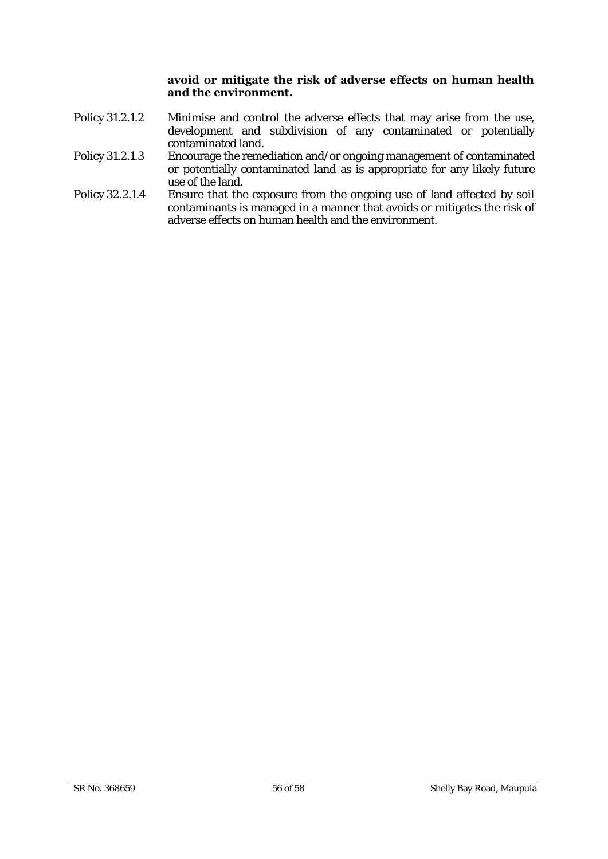### **avoid or mitigate the risk of adverse effects on human health and the environment.**

- Policy 31.2.1.2 Minimise and control the adverse effects that may arise from the use, development and subdivision of any contaminated or potentially contaminated land.
- Policy 31.2.1.3 Encourage the remediation and/or ongoing management of contaminated or potentially contaminated land as is appropriate for any likely future use of the land.
- Policy 32.2.1.4 Ensure that the exposure from the ongoing use of land affected by soil contaminants is managed in a manner that avoids or mitigates the risk of adverse effects on human health and the environment.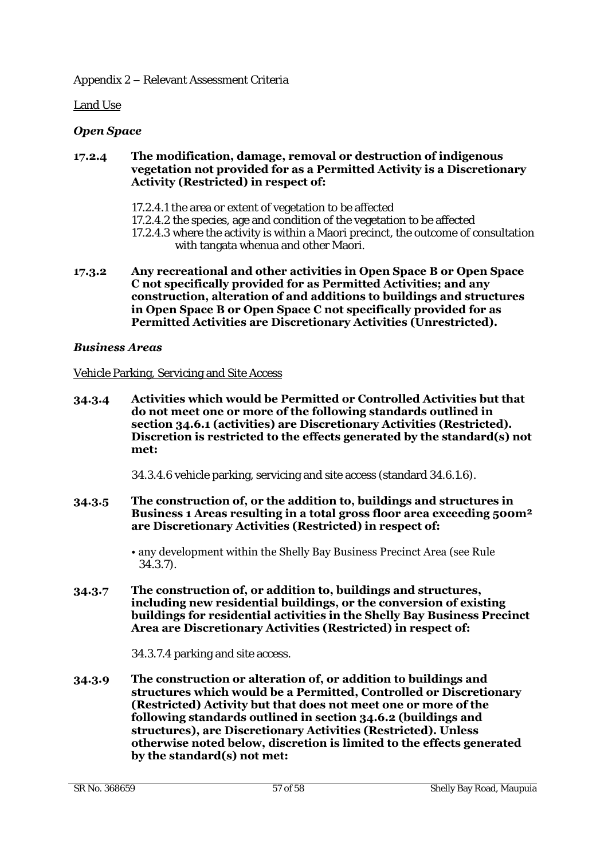Land Use

# *Open Space*

#### **17.2.4 The modification, damage, removal or destruction of indigenous vegetation not provided for as a Permitted Activity is a Discretionary Activity (Restricted) in respect of:**

- 17.2.4.1 the area or extent of vegetation to be affected
- 17.2.4.2 the species, age and condition of the vegetation to be affected
- 17.2.4.3 where the activity is within a Maori precinct, the outcome of consultation with tangata whenua and other Maori.
- **17.3.2 Any recreational and other activities in Open Space B or Open Space C not specifically provided for as Permitted Activities; and any construction, alteration of and additions to buildings and structures in Open Space B or Open Space C not specifically provided for as Permitted Activities are Discretionary Activities (Unrestricted).**

### *Business Areas*

#### Vehicle Parking, Servicing and Site Access

**34.3.4 Activities which would be Permitted or Controlled Activities but that do not meet one or more of the following standards outlined in section 34.6.1 (activities) are Discretionary Activities (Restricted). Discretion is restricted to the effects generated by the standard(s) not met:** 

34.3.4.6 vehicle parking, servicing and site access (standard 34.6.1.6).

- **34.3.5 The construction of, or the addition to, buildings and structures in Business 1 Areas resulting in a total gross floor area exceeding 500m² are Discretionary Activities (Restricted) in respect of:**
	- any development within the Shelly Bay Business Precinct Area (see Rule 34.3.7).
- **34.3.7 The construction of, or addition to, buildings and structures, including new residential buildings, or the conversion of existing buildings for residential activities in the Shelly Bay Business Precinct Area are Discretionary Activities (Restricted) in respect of:**

34.3.7.4 parking and site access.

**34.3.9 The construction or alteration of, or addition to buildings and structures which would be a Permitted, Controlled or Discretionary (Restricted) Activity but that does not meet one or more of the following standards outlined in section 34.6.2 (buildings and structures), are Discretionary Activities (Restricted). Unless otherwise noted below, discretion is limited to the effects generated by the standard(s) not met:**